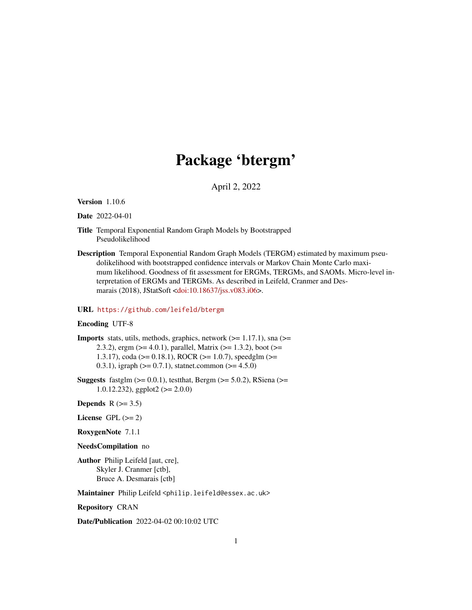## Package 'btergm'

April 2, 2022

<span id="page-0-0"></span>Version 1.10.6

Date 2022-04-01

- Title Temporal Exponential Random Graph Models by Bootstrapped Pseudolikelihood
- Description Temporal Exponential Random Graph Models (TERGM) estimated by maximum pseudolikelihood with bootstrapped confidence intervals or Markov Chain Monte Carlo maximum likelihood. Goodness of fit assessment for ERGMs, TERGMs, and SAOMs. Micro-level interpretation of ERGMs and TERGMs. As described in Leifeld, Cranmer and Desmarais (2018), JStatSoft [<doi:10.18637/jss.v083.i06>](https://doi.org/10.18637/jss.v083.i06).

#### URL <https://github.com/leifeld/btergm>

#### Encoding UTF-8

**Imports** stats, utils, methods, graphics, network  $(>= 1.17.1)$ , sna  $(>=$ 2.3.2), ergm ( $>= 4.0.1$ ), parallel, Matrix ( $>= 1.3.2$ ), boot ( $>=$ 1.3.17), coda (>= 0.18.1), ROCR (>= 1.0.7), speedglm (>= 0.3.1), igraph ( $> = 0.7.1$ ), statnet.common ( $>= 4.5.0$ )

**Suggests** fastglm  $(>= 0.0.1)$ , test that, Bergm  $(>= 5.0.2)$ , RSiena  $(>=$ 1.0.12.232), ggplot2 (>= 2.0.0)

Depends  $R$  ( $> = 3.5$ )

- License GPL  $(>= 2)$
- RoxygenNote 7.1.1

NeedsCompilation no

Author Philip Leifeld [aut, cre], Skyler J. Cranmer [ctb], Bruce A. Desmarais [ctb]

Maintainer Philip Leifeld <philip.leifeld@essex.ac.uk>

Repository CRAN

Date/Publication 2022-04-02 00:10:02 UTC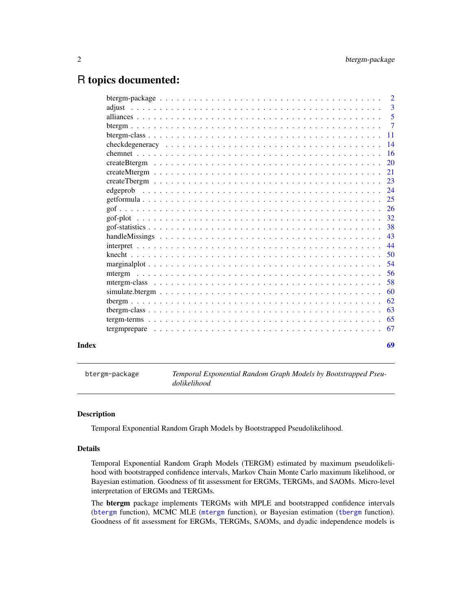## <span id="page-1-0"></span>R topics documented:

|       | $\overline{\phantom{0}}^2$ |
|-------|----------------------------|
|       |                            |
|       |                            |
|       |                            |
|       |                            |
|       |                            |
|       |                            |
|       |                            |
|       |                            |
|       |                            |
|       |                            |
|       |                            |
|       |                            |
|       |                            |
|       |                            |
|       |                            |
|       | 44                         |
|       | -50                        |
|       |                            |
|       |                            |
|       | .58                        |
|       | 60                         |
|       | 62                         |
|       | 63                         |
|       | 65                         |
|       |                            |
| Index | 69                         |

btergm-package *Temporal Exponential Random Graph Models by Bootstrapped Pseudolikelihood*

#### Description

Temporal Exponential Random Graph Models by Bootstrapped Pseudolikelihood.

## Details

Temporal Exponential Random Graph Models (TERGM) estimated by maximum pseudolikelihood with bootstrapped confidence intervals, Markov Chain Monte Carlo maximum likelihood, or Bayesian estimation. Goodness of fit assessment for ERGMs, TERGMs, and SAOMs. Micro-level interpretation of ERGMs and TERGMs.

The btergm package implements TERGMs with MPLE and bootstrapped confidence intervals ([btergm](#page-6-1) function), MCMC MLE ([mtergm](#page-55-1) function), or Bayesian estimation ([tbergm](#page-61-1) function). Goodness of fit assessment for ERGMs, TERGMs, SAOMs, and dyadic independence models is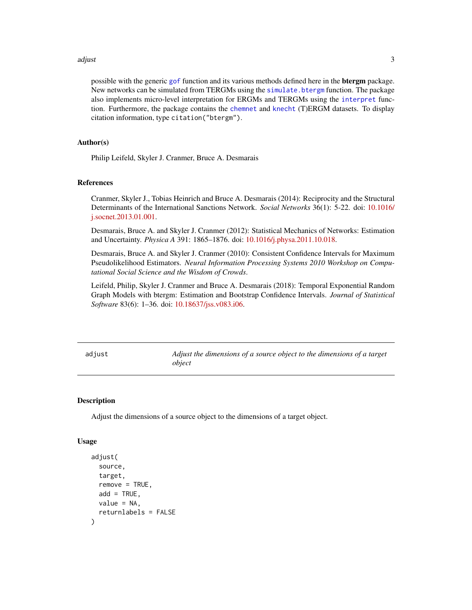#### <span id="page-2-0"></span>adjust 3 and 3 and 3 and 3 and 3 and 3 and 3 and 3 and 3 and 3 and 3 and 3 and 3 and 3 and 3 and 3 and 3 and 3

possible with the generic [gof](#page-25-1) function and its various methods defined here in the **btergm** package. New networks can be simulated from TERGMs using the [simulate.btergm](#page-59-1) function. The package also implements micro-level interpretation for ERGMs and TERGMs using the [interpret](#page-43-1) function. Furthermore, the package contains the [chemnet](#page-15-1) and [knecht](#page-49-1) (T)ERGM datasets. To display citation information, type citation("btergm").

#### Author(s)

Philip Leifeld, Skyler J. Cranmer, Bruce A. Desmarais

#### References

Cranmer, Skyler J., Tobias Heinrich and Bruce A. Desmarais (2014): Reciprocity and the Structural Determinants of the International Sanctions Network. *Social Networks* 36(1): 5-22. doi: [10.1016/](https://doi.org/10.1016/j.socnet.2013.01.001) [j.socnet.2013.01.001.](https://doi.org/10.1016/j.socnet.2013.01.001)

Desmarais, Bruce A. and Skyler J. Cranmer (2012): Statistical Mechanics of Networks: Estimation and Uncertainty. *Physica A* 391: 1865–1876. doi: [10.1016/j.physa.2011.10.018.](https://doi.org/10.1016/j.physa.2011.10.018)

Desmarais, Bruce A. and Skyler J. Cranmer (2010): Consistent Confidence Intervals for Maximum Pseudolikelihood Estimators. *Neural Information Processing Systems 2010 Workshop on Computational Social Science and the Wisdom of Crowds*.

Leifeld, Philip, Skyler J. Cranmer and Bruce A. Desmarais (2018): Temporal Exponential Random Graph Models with btergm: Estimation and Bootstrap Confidence Intervals. *Journal of Statistical Software* 83(6): 1–36. doi: [10.18637/jss.v083.i06.](https://doi.org/10.18637/jss.v083.i06)

<span id="page-2-1"></span>adjust *Adjust the dimensions of a source object to the dimensions of a target object*

#### **Description**

Adjust the dimensions of a source object to the dimensions of a target object.

#### Usage

```
adjust(
  source,
  target,
  remove = TRUE,
  add = TRUE,
  value = NA,
  returnlabels = FALSE
)
```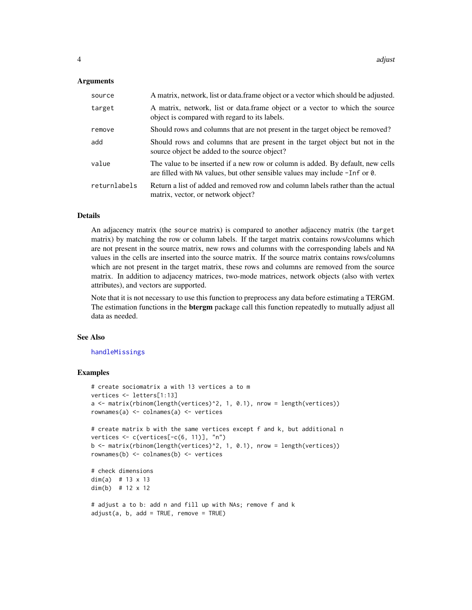#### <span id="page-3-0"></span>Arguments

| source       | A matrix, network, list or data.frame object or a vector which should be adjusted.                                                                             |
|--------------|----------------------------------------------------------------------------------------------------------------------------------------------------------------|
| target       | A matrix, network, list or data.frame object or a vector to which the source<br>object is compared with regard to its labels.                                  |
| remove       | Should rows and columns that are not present in the target object be removed?                                                                                  |
| add          | Should rows and columns that are present in the target object but not in the<br>source object be added to the source object?                                   |
| value        | The value to be inserted if a new row or column is added. By default, new cells<br>are filled with NA values, but other sensible values may include -Inf or 0. |
| returnlabels | Return a list of added and removed row and column labels rather than the actual<br>matrix, vector, or network object?                                          |

#### Details

An adjacency matrix (the source matrix) is compared to another adjacency matrix (the target matrix) by matching the row or column labels. If the target matrix contains rows/columns which are not present in the source matrix, new rows and columns with the corresponding labels and NA values in the cells are inserted into the source matrix. If the source matrix contains rows/columns which are not present in the target matrix, these rows and columns are removed from the source matrix. In addition to adjacency matrices, two-mode matrices, network objects (also with vertex attributes), and vectors are supported.

Note that it is not necessary to use this function to preprocess any data before estimating a TERGM. The estimation functions in the **btergm** package call this function repeatedly to mutually adjust all data as needed.

#### See Also

#### [handleMissings](#page-42-1)

## Examples

```
# create sociomatrix a with 13 vertices a to m
vertices <- letters[1:13]
a <- matrix(rbinom(length(vertices)^2, 1, 0.1), nrow = length(vertices))
rownames(a) <- colnames(a) <- vertices
# create matrix b with the same vertices except f and k, but additional n
vertices <- c(vertices[-c(6, 11)], "n")
b <- matrix(rbinom(length(vertices)^2, 1, 0.1), nrow = length(vertices))
rownames(b) <- colnames(b) <- vertices
# check dimensions
dim(a) # 13 x 13
dim(b) # 12 x 12
# adjust a to b: add n and fill up with NAs; remove f and k
adjust(a, b, add = TRUE, remove = TRUE)
```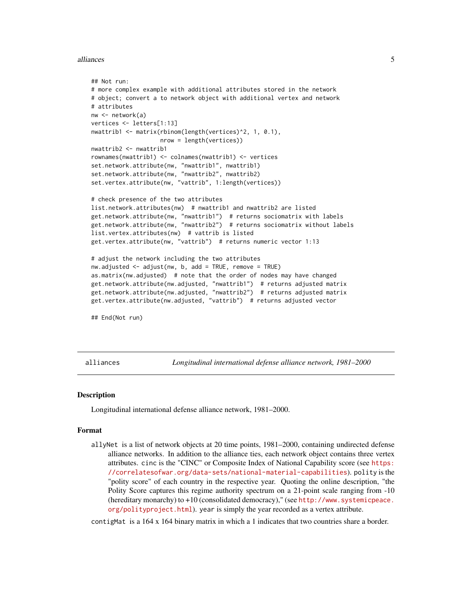#### <span id="page-4-0"></span>alliances 5

```
## Not run:
# more complex example with additional attributes stored in the network
# object; convert a to network object with additional vertex and network
# attributes
nw <- network(a)
vertices <- letters[1:13]
nwattrib1 <- matrix(rbinom(length(vertices)^2, 1, 0.1),
                   nrow = length(vertices))
nwattrib2 <- nwattrib1
rownames(nwattrib1) <- colnames(nwattrib1) <- vertices
set.network.attribute(nw, "nwattrib1", nwattrib1)
set.network.attribute(nw, "nwattrib2", nwattrib2)
set.vertex.attribute(nw, "vattrib", 1:length(vertices))
# check presence of the two attributes
list.network.attributes(nw) # nwattrib1 and nwattrib2 are listed
get.network.attribute(nw, "nwattrib1") # returns sociomatrix with labels
get.network.attribute(nw, "nwattrib2") # returns sociomatrix without labels
list.vertex.attributes(nw) # vattrib is listed
get.vertex.attribute(nw, "vattrib") # returns numeric vector 1:13
# adjust the network including the two attributes
nw.adjusted <- adjust(nw, b, add = TRUE, remove = TRUE)
as.matrix(nw.adjusted) # note that the order of nodes may have changed
get.network.attribute(nw.adjusted, "nwattrib1") # returns adjusted matrix
get.network.attribute(nw.adjusted, "nwattrib2") # returns adjusted matrix
get.vertex.attribute(nw.adjusted, "vattrib") # returns adjusted vector
## End(Not run)
```
alliances *Longitudinal international defense alliance network, 1981–2000*

#### **Description**

Longitudinal international defense alliance network, 1981–2000.

#### Format

allyNet is a list of network objects at 20 time points, 1981–2000, containing undirected defense alliance networks. In addition to the alliance ties, each network object contains three vertex attributes. cinc is the "CINC" or Composite Index of National Capability score (see [https:](https://correlatesofwar.org/data-sets/national-material-capabilities) [//correlatesofwar.org/data-sets/national-material-capabilities](https://correlatesofwar.org/data-sets/national-material-capabilities)). polity is the "polity score" of each country in the respective year. Quoting the online description, "the Polity Score captures this regime authority spectrum on a 21-point scale ranging from -10 (hereditary monarchy) to +10 (consolidated democracy)," (see [http://www.systemicpeace.](http://www.systemicpeace.org/polityproject.html) [org/polityproject.html](http://www.systemicpeace.org/polityproject.html)). year is simply the year recorded as a vertex attribute.

contigMat is a 164 x 164 binary matrix in which a 1 indicates that two countries share a border.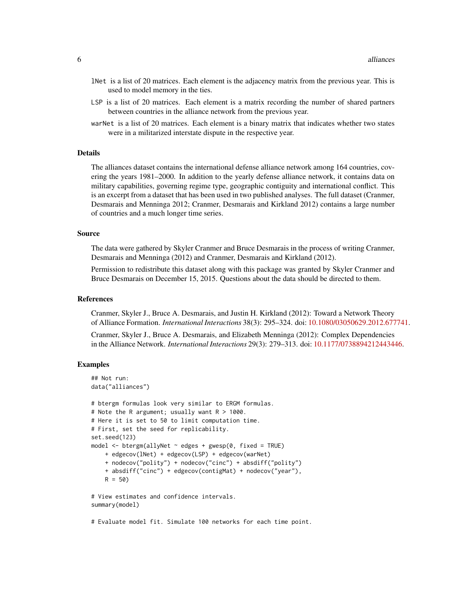- lNet is a list of 20 matrices. Each element is the adjacency matrix from the previous year. This is used to model memory in the ties.
- LSP is a list of 20 matrices. Each element is a matrix recording the number of shared partners between countries in the alliance network from the previous year.
- warNet is a list of 20 matrices. Each element is a binary matrix that indicates whether two states were in a militarized interstate dispute in the respective year.

## Details

The alliances dataset contains the international defense alliance network among 164 countries, covering the years 1981–2000. In addition to the yearly defense alliance network, it contains data on military capabilities, governing regime type, geographic contiguity and international conflict. This is an excerpt from a dataset that has been used in two published analyses. The full dataset (Cranmer, Desmarais and Menninga 2012; Cranmer, Desmarais and Kirkland 2012) contains a large number of countries and a much longer time series.

#### Source

The data were gathered by Skyler Cranmer and Bruce Desmarais in the process of writing Cranmer, Desmarais and Menninga (2012) and Cranmer, Desmarais and Kirkland (2012).

Permission to redistribute this dataset along with this package was granted by Skyler Cranmer and Bruce Desmarais on December 15, 2015. Questions about the data should be directed to them.

#### References

Cranmer, Skyler J., Bruce A. Desmarais, and Justin H. Kirkland (2012): Toward a Network Theory of Alliance Formation. *International Interactions* 38(3): 295–324. doi: [10.1080/03050629.2012.677741.](https://doi.org/10.1080/03050629.2012.677741)

Cranmer, Skyler J., Bruce A. Desmarais, and Elizabeth Menninga (2012): Complex Dependencies in the Alliance Network. *International Interactions* 29(3): 279–313. doi: [10.1177/0738894212443446.](https://doi.org/10.1177/0738894212443446)

#### Examples

```
## Not run:
data("alliances")
# btergm formulas look very similar to ERGM formulas.
# Note the R argument; usually want R > 1000.
# Here it is set to 50 to limit computation time.
# First, set the seed for replicability.
set.seed(123)
model <- btergm(allyNet ~ edges + gwesp(0, fixed = TRUE)
    + edgecov(lNet) + edgecov(LSP) + edgecov(warNet)
    + nodecov("polity") + nodecov("cinc") + absdiff("polity")
    + absdiff("cinc") + edgecov(contigMat) + nodecov("year"),
   R = 50# View estimates and confidence intervals.
summary(model)
```
# Evaluate model fit. Simulate 100 networks for each time point.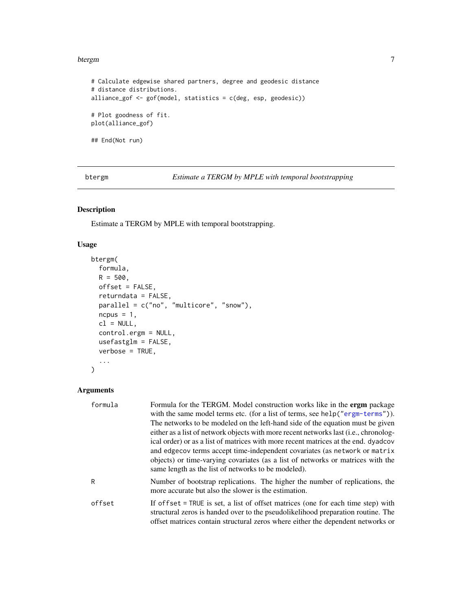#### <span id="page-6-0"></span>btergm  $\sim$  7 and 2008  $\sim$  7 and 2008  $\sim$  7 and 2008  $\sim$  7 and 2008  $\sim$  7 and 2008  $\sim$  7 and 2008  $\sim$  7 and 2008  $\sim$  7 and 2008  $\sim$  7 and 2008  $\sim$  7 and 2008  $\sim$  7 and 2008  $\sim$  7 and 2008  $\sim$  7 and 2008  $\sim$  7

```
# Calculate edgewise shared partners, degree and geodesic distance
# distance distributions.
alliance_gof <- gof(model, statistics = c(deg, esp, geodesic))
# Plot goodness of fit.
plot(alliance_gof)
## End(Not run)
```
<span id="page-6-1"></span>btergm *Estimate a TERGM by MPLE with temporal bootstrapping*

## Description

Estimate a TERGM by MPLE with temporal bootstrapping.

## Usage

```
btergm(
  formula,
 R = 500,
 offset = FALSE,returndata = FALSE,
 parallel = c("no", "multicore", "snow"),
 ncpus = 1,
  cl = NULL,control.ergm = NULL,
 usefastglm = FALSE,
  verbose = TRUE,
  ...
\mathcal{L}
```

| formula | Formula for the TERGM. Model construction works like in the <b>ergm</b> package<br>with the same model terms etc. (for a list of terms, see help ("ergm-terms")).<br>The networks to be modeled on the left-hand side of the equation must be given<br>either as a list of network objects with more recent networks last (i.e., chronolog-<br>ical order) or as a list of matrices with more recent matrices at the end. dyadcov<br>and edge cov terms accept time-independent covariates (as network or matrix<br>objects) or time-varying covariates (as a list of networks or matrices with the<br>same length as the list of networks to be modeled). |
|---------|------------------------------------------------------------------------------------------------------------------------------------------------------------------------------------------------------------------------------------------------------------------------------------------------------------------------------------------------------------------------------------------------------------------------------------------------------------------------------------------------------------------------------------------------------------------------------------------------------------------------------------------------------------|
| R       | Number of bootstrap replications. The higher the number of replications, the<br>more accurate but also the slower is the estimation.                                                                                                                                                                                                                                                                                                                                                                                                                                                                                                                       |
| offset  | If offset = TRUE is set, a list of offset matrices (one for each time step) with<br>structural zeros is handed over to the pseudolikelihood preparation routine. The<br>offset matrices contain structural zeros where either the dependent networks or                                                                                                                                                                                                                                                                                                                                                                                                    |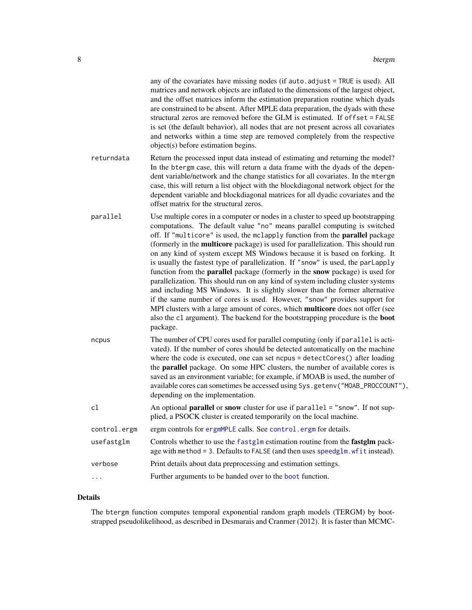<span id="page-7-0"></span>

|              | any of the covariates have missing nodes (if auto. adjust = TRUE is used). All<br>matrices and network objects are inflated to the dimensions of the largest object,<br>and the offset matrices inform the estimation preparation routine which dyads<br>are constrained to be absent. After MPLE data preparation, the dyads with these<br>structural zeros are removed before the GLM is estimated. If offset = FALSE<br>is set (the default behavior), all nodes that are not present across all covariates<br>and networks within a time step are removed completely from the respective<br>object(s) before estimation begins.                                                                                                                                                                                                                                                                                                                                                                                                |
|--------------|------------------------------------------------------------------------------------------------------------------------------------------------------------------------------------------------------------------------------------------------------------------------------------------------------------------------------------------------------------------------------------------------------------------------------------------------------------------------------------------------------------------------------------------------------------------------------------------------------------------------------------------------------------------------------------------------------------------------------------------------------------------------------------------------------------------------------------------------------------------------------------------------------------------------------------------------------------------------------------------------------------------------------------|
| returndata   | Return the processed input data instead of estimating and returning the model?<br>In the btergm case, this will return a data frame with the dyads of the depen-<br>dent variable/network and the change statistics for all covariates. In the mtergm<br>case, this will return a list object with the blockdiagonal network object for the<br>dependent variable and blockdiagonal matrices for all dyadic covariates and the<br>offset matrix for the structural zeros.                                                                                                                                                                                                                                                                                                                                                                                                                                                                                                                                                          |
| parallel     | Use multiple cores in a computer or nodes in a cluster to speed up bootstrapping<br>computations. The default value "no" means parallel computing is switched<br>off. If "multicore" is used, the mclapply function from the parallel package<br>(formerly in the multicore package) is used for parallelization. This should run<br>on any kind of system except MS Windows because it is based on forking. It<br>is usually the fastest type of parallelization. If "snow" is used, the parLapply<br>function from the <b>parallel</b> package (formerly in the <b>snow</b> package) is used for<br>parallelization. This should run on any kind of system including cluster systems<br>and including MS Windows. It is slightly slower than the former alternative<br>if the same number of cores is used. However, "snow" provides support for<br>MPI clusters with a large amount of cores, which multicore does not offer (see<br>also the c1 argument). The backend for the bootstrapping procedure is the boot<br>package. |
| ncpus        | The number of CPU cores used for parallel computing (only if parallel is acti-<br>vated). If the number of cores should be detected automatically on the machine<br>where the code is executed, one can set ncpus = detectCores() after loading<br>the parallel package. On some HPC clusters, the number of available cores is<br>saved as an environment variable; for example, if MOAB is used, the number of<br>available cores can sometimes be accessed using Sys.getenv("MOAB_PROCCOUNT"),<br>depending on the implementation.                                                                                                                                                                                                                                                                                                                                                                                                                                                                                              |
| c1           | An optional <b>parallel</b> or snow cluster for use if parallel = "snow". If not sup-<br>plied, a PSOCK cluster is created temporarily on the local machine.                                                                                                                                                                                                                                                                                                                                                                                                                                                                                                                                                                                                                                                                                                                                                                                                                                                                       |
| control.ergm | ergm controls for ergmMPLE calls. See control. ergm for details.                                                                                                                                                                                                                                                                                                                                                                                                                                                                                                                                                                                                                                                                                                                                                                                                                                                                                                                                                                   |
| usefastglm   | Controls whether to use the fastglm estimation routine from the fastglm pack-<br>age with method = 3. Defaults to FALSE (and then uses speedglm. wfit instead).                                                                                                                                                                                                                                                                                                                                                                                                                                                                                                                                                                                                                                                                                                                                                                                                                                                                    |
| verbose      | Print details about data preprocessing and estimation settings.                                                                                                                                                                                                                                                                                                                                                                                                                                                                                                                                                                                                                                                                                                                                                                                                                                                                                                                                                                    |
| .            | Further arguments to be handed over to the <b>boot</b> function.                                                                                                                                                                                                                                                                                                                                                                                                                                                                                                                                                                                                                                                                                                                                                                                                                                                                                                                                                                   |
|              |                                                                                                                                                                                                                                                                                                                                                                                                                                                                                                                                                                                                                                                                                                                                                                                                                                                                                                                                                                                                                                    |

## Details

The btergm function computes temporal exponential random graph models (TERGM) by bootstrapped pseudolikelihood, as described in Desmarais and Cranmer (2012). It is faster than MCMC-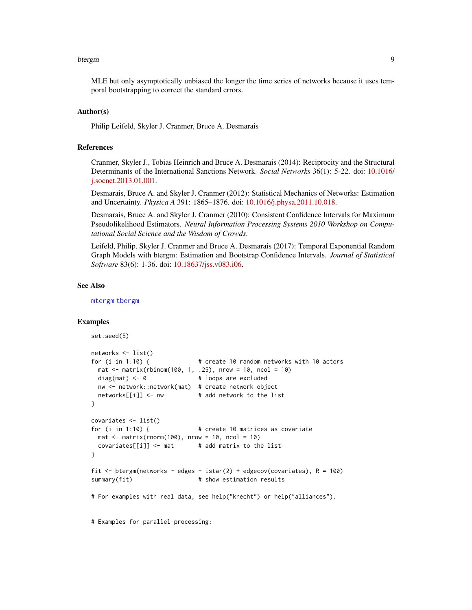#### <span id="page-8-0"></span>btergm 9

MLE but only asymptotically unbiased the longer the time series of networks because it uses temporal bootstrapping to correct the standard errors.

#### Author(s)

Philip Leifeld, Skyler J. Cranmer, Bruce A. Desmarais

#### References

Cranmer, Skyler J., Tobias Heinrich and Bruce A. Desmarais (2014): Reciprocity and the Structural Determinants of the International Sanctions Network. *Social Networks* 36(1): 5-22. doi: [10.1016/](https://doi.org/10.1016/j.socnet.2013.01.001) [j.socnet.2013.01.001.](https://doi.org/10.1016/j.socnet.2013.01.001)

Desmarais, Bruce A. and Skyler J. Cranmer (2012): Statistical Mechanics of Networks: Estimation and Uncertainty. *Physica A* 391: 1865–1876. doi: [10.1016/j.physa.2011.10.018.](https://doi.org/10.1016/j.physa.2011.10.018)

Desmarais, Bruce A. and Skyler J. Cranmer (2010): Consistent Confidence Intervals for Maximum Pseudolikelihood Estimators. *Neural Information Processing Systems 2010 Workshop on Computational Social Science and the Wisdom of Crowds*.

Leifeld, Philip, Skyler J. Cranmer and Bruce A. Desmarais (2017): Temporal Exponential Random Graph Models with btergm: Estimation and Bootstrap Confidence Intervals. *Journal of Statistical Software* 83(6): 1-36. doi: [10.18637/jss.v083.i06.](https://doi.org/10.18637/jss.v083.i06)

#### See Also

[mtergm](#page-55-1) [tbergm](#page-61-1)

#### Examples

```
set.seed(5)
networks <- list()
for (i in 1:10) { # create 10 random networks with 10 actors
 mat \le matrix(rbinom(100, 1, .25), nrow = 10, ncol = 10)
 diag(mat) \leq -\theta # loops are excluded
 nw <- network::network(mat) # create network object
 networks[[i]] \leftarrow nw # add network to the list
}
covariates <- list()
for (i in 1:10) { # create 10 matrices as covariate
 mat \le matrix(rnorm(100), nrow = 10, ncol = 10)
 covariates[[i]] \leftarrow mat # add matrix to the list
}
fit \le btergm(networks \sim edges + istar(2) + edgecov(covariates), R = 100)
summary(fit) \qquad # show estimation results
# For examples with real data, see help("knecht") or help("alliances").
# Examples for parallel processing:
```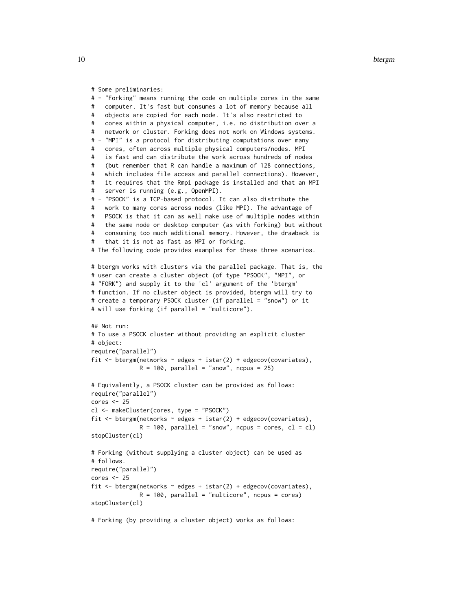```
# Some preliminaries:
# - "Forking" means running the code on multiple cores in the same
# computer. It's fast but consumes a lot of memory because all
# objects are copied for each node. It's also restricted to
# cores within a physical computer, i.e. no distribution over a
# network or cluster. Forking does not work on Windows systems.
# - "MPI" is a protocol for distributing computations over many
# cores, often across multiple physical computers/nodes. MPI
# is fast and can distribute the work across hundreds of nodes
# (but remember that R can handle a maximum of 128 connections,
# which includes file access and parallel connections). However,
# it requires that the Rmpi package is installed and that an MPI
# server is running (e.g., OpenMPI).
# - "PSOCK" is a TCP-based protocol. It can also distribute the
# work to many cores across nodes (like MPI). The advantage of
# PSOCK is that it can as well make use of multiple nodes within
# the same node or desktop computer (as with forking) but without
# consuming too much additional memory. However, the drawback is
# that it is not as fast as MPI or forking.
# The following code provides examples for these three scenarios.
# btergm works with clusters via the parallel package. That is, the
# user can create a cluster object (of type "PSOCK", "MPI", or
# "FORK") and supply it to the 'cl' argument of the 'btergm'
# function. If no cluster object is provided, btergm will try to
# create a temporary PSOCK cluster (if parallel = "snow") or it
# will use forking (if parallel = "multicore").
## Not run:
# To use a PSOCK cluster without providing an explicit cluster
# object:
require("parallel")
fit \leq btergm(networks \sim edges + istar(2) + edgecov(covariates),
             R = 100, parallel = "snow", ncpus = 25)
# Equivalently, a PSOCK cluster can be provided as follows:
require("parallel")
cores <- 25
cl <- makeCluster(cores, type = "PSOCK")
fit \leq btergm(networks \sim edges + istar(2) + edgecov(covariates),
              R = 100, parallel = "snow", ncpus = cores, cl = cl)
stopCluster(cl)
# Forking (without supplying a cluster object) can be used as
# follows.
require("parallel")
cores < - 25fit \leq btergm(networks \sim edges + istar(2) + edgecov(covariates),
             R = 100, parallel = "multicore", ncpus = cores)
stopCluster(cl)
```
# Forking (by providing a cluster object) works as follows: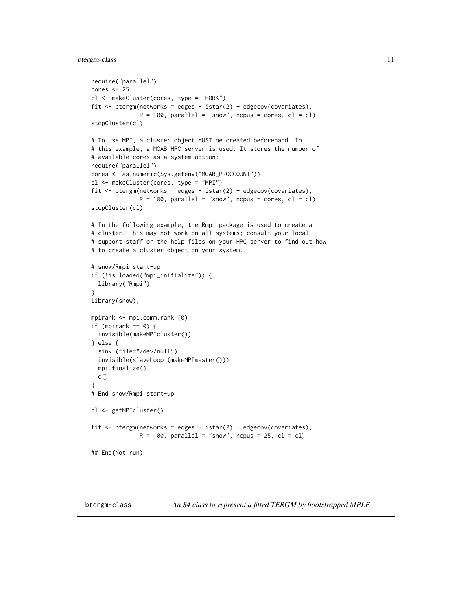#### <span id="page-10-0"></span>btergm-class 11

```
require("parallel")
cores <- 25
cl <- makeCluster(cores, type = "FORK")
fit \leq btergm(networks \sim edges + istar(2) + edgecov(covariates),
              R = 100, parallel = "snow", ncpus = cores, cl = cl)
stopCluster(cl)
# To use MPI, a cluster object MUST be created beforehand. In
# this example, a MOAB HPC server is used. It stores the number of
# available cores as a system option:
require("parallel")
cores <- as.numeric(Sys.getenv("MOAB_PROCCOUNT"))
cl <- makeCluster(cores, type = "MPI")
fit <- btergm(networks ~ edges + istar(2) + edgecov(covariates),
              R = 100, parallel = "snow", ncpus = cores, cl = cl)
stopCluster(cl)
# In the following example, the Rmpi package is used to create a
# cluster. This may not work on all systems; consult your local
# support staff or the help files on your HPC server to find out how
# to create a cluster object on your system.
# snow/Rmpi start-up
if (!is.loaded("mpi_initialize")) {
  library("Rmpi")
}
library(snow);
mpirank <- mpi.comm.rank (0)
if (mpirank == 0) {
  invisible(makeMPIcluster())
} else {
  sink (file="/dev/null")
  invisible(slaveLoop (makeMPImaster()))
  mpi.finalize()
  q()
}
# End snow/Rmpi start-up
cl <- getMPIcluster()
fit <- btergm(networks ~ edges + istar(2) + edgecov(covariates),
              R = 100, parallel = "snow", ncpus = 25, cl = cl)
## End(Not run)
```
<span id="page-10-1"></span>btergm-class *An S4 class to represent a fitted TERGM by bootstrapped MPLE*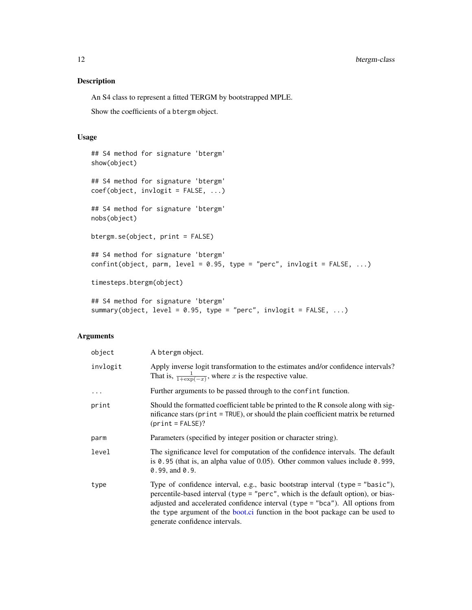## <span id="page-11-0"></span>Description

An S4 class to represent a fitted TERGM by bootstrapped MPLE.

Show the coefficients of a btergm object.

#### Usage

```
## S4 method for signature 'btergm'
show(object)
## S4 method for signature 'btergm'
coef(object, invlogit = FALSE, ...)
## S4 method for signature 'btergm'
nobs(object)
btergm.se(object, print = FALSE)
## S4 method for signature 'btergm'
confint(object, parm, level = 0.95, type = "perc", invlogit = FALSE, \ldots)
timesteps.btergm(object)
## S4 method for signature 'btergm'
summary(object, level = 0.95, type = "perc", invlogit = FALSE, ...)
```

| object   | A btergm object.                                                                                                                                                                                                                                                                                                                                                      |
|----------|-----------------------------------------------------------------------------------------------------------------------------------------------------------------------------------------------------------------------------------------------------------------------------------------------------------------------------------------------------------------------|
| invlogit | Apply inverse logit transformation to the estimates and/or confidence intervals?<br>That is, $\frac{1}{1+\exp(-x)}$ , where x is the respective value.                                                                                                                                                                                                                |
| $\ddots$ | Further arguments to be passed through to the confint function.                                                                                                                                                                                                                                                                                                       |
| print    | Should the formatted coefficient table be printed to the R console along with sig-<br>nificance stars (print = TRUE), or should the plain coefficient matrix be returned<br>$(print = FALSE)?$                                                                                                                                                                        |
| parm     | Parameters (specified by integer position or character string).                                                                                                                                                                                                                                                                                                       |
| level    | The significance level for computation of the confidence intervals. The default<br>is $\theta$ . 95 (that is, an alpha value of 0.05). Other common values include $\theta$ . 999,<br>$0.99$ , and $0.9$ .                                                                                                                                                            |
| type     | Type of confidence interval, e.g., basic bootstrap interval $(typ = "basic"),$<br>percentile-based interval (type = "perc", which is the default option), or bias-<br>adjusted and accelerated confidence interval (type = "bca"). All options from<br>the type argument of the boot.ci function in the boot package can be used to<br>generate confidence intervals. |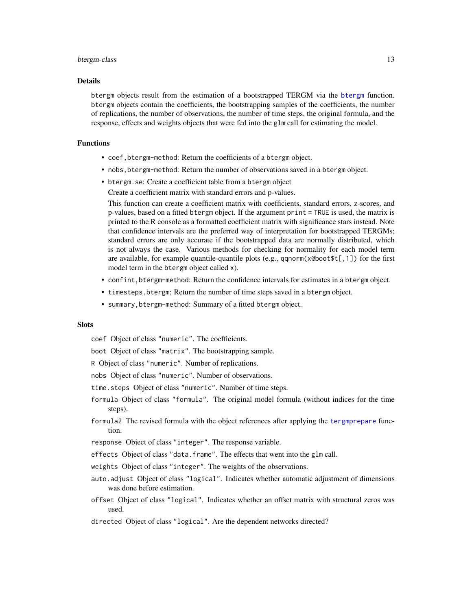#### <span id="page-12-0"></span>btergm-class 13

#### Details

btergm objects result from the estimation of a bootstrapped TERGM via the [btergm](#page-6-1) function. btergm objects contain the coefficients, the bootstrapping samples of the coefficients, the number of replications, the number of observations, the number of time steps, the original formula, and the response, effects and weights objects that were fed into the glm call for estimating the model.

## Functions

- coef,btergm-method: Return the coefficients of a btergm object.
- nobs,btergm-method: Return the number of observations saved in a btergm object.
- btergm.se: Create a coefficient table from a btergm object

Create a coefficient matrix with standard errors and p-values.

This function can create a coefficient matrix with coefficients, standard errors, z-scores, and p-values, based on a fitted btergm object. If the argument print = TRUE is used, the matrix is printed to the R console as a formatted coefficient matrix with significance stars instead. Note that confidence intervals are the preferred way of interpretation for bootstrapped TERGMs; standard errors are only accurate if the bootstrapped data are normally distributed, which is not always the case. Various methods for checking for normality for each model term are available, for example quantile-quantile plots (e.g.,  $qqnorm(x@boot $t[, 1])$  for the first model term in the btergm object called x).

- confint,btergm-method: Return the confidence intervals for estimates in a btergm object.
- timesteps.btergm: Return the number of time steps saved in a btergm object.
- summary,btergm-method: Summary of a fitted btergm object.

#### **Slots**

coef Object of class "numeric". The coefficients.

boot Object of class "matrix". The bootstrapping sample.

- R Object of class "numeric". Number of replications.
- nobs Object of class "numeric". Number of observations.
- time.steps Object of class "numeric". Number of time steps.
- formula Object of class "formula". The original model formula (without indices for the time steps).
- formula2 The revised formula with the object references after applying the [tergmprepare](#page-66-1) function.
- response Object of class "integer". The response variable.
- effects Object of class "data.frame". The effects that went into the glm call.
- weights Object of class "integer". The weights of the observations.
- auto.adjust Object of class "logical". Indicates whether automatic adjustment of dimensions was done before estimation.
- offset Object of class "logical". Indicates whether an offset matrix with structural zeros was used.
- directed Object of class "logical". Are the dependent networks directed?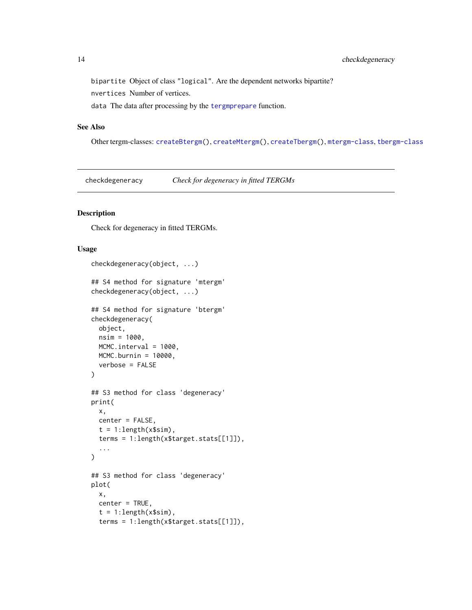## <span id="page-13-0"></span>14 checkdegeneracy

bipartite Object of class "logical". Are the dependent networks bipartite?

nvertices Number of vertices.

data The data after processing by the [tergmprepare](#page-66-1) function.

## See Also

Other tergm-classes: [createBtergm\(](#page-19-1)), [createMtergm\(](#page-20-1)), [createTbergm\(](#page-22-1)), [mtergm-class](#page-57-1), [tbergm-class](#page-62-1)

checkdegeneracy *Check for degeneracy in fitted TERGMs*

#### Description

Check for degeneracy in fitted TERGMs.

#### Usage

```
checkdegeneracy(object, ...)
## S4 method for signature 'mtergm'
checkdegeneracy(object, ...)
## S4 method for signature 'btergm'
checkdegeneracy(
 object,
  nsim = 1000,
 MCMC.interval = 1000,
 MCMC.burnin = 10000,
  verbose = FALSE
\lambda## S3 method for class 'degeneracy'
print(
 x,
 center = FALSE,
  t = 1: length(x$sim),
  terms = 1:length(x$target.stats[[1]]),
  ...
)
## S3 method for class 'degeneracy'
plot(
  x,
  center = TRUE,
  t = 1: length(x$sim),
  terms = 1:length(x$target.stats[[1]]),
```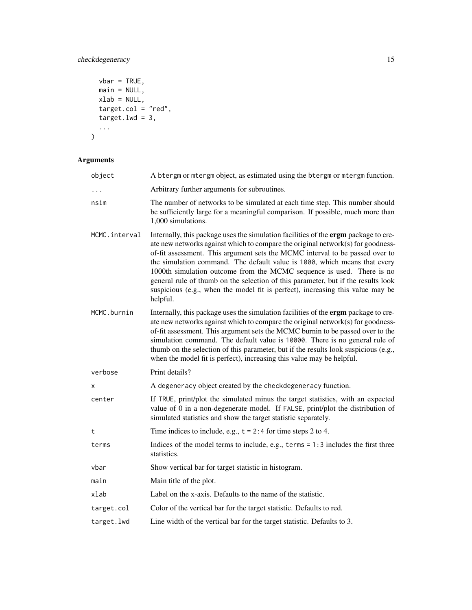## checkdegeneracy 15

```
vbar = TRUE,main = NULL,xlab = NULL,
 target.col = "red",target.lwd = 3,...
\overline{)}
```

| object        | A btergm or mtergm object, as estimated using the btergm or mtergm function.                                                                                                                                                                                                                                                                                                                                                                                                                                                                                                                    |
|---------------|-------------------------------------------------------------------------------------------------------------------------------------------------------------------------------------------------------------------------------------------------------------------------------------------------------------------------------------------------------------------------------------------------------------------------------------------------------------------------------------------------------------------------------------------------------------------------------------------------|
|               | Arbitrary further arguments for subroutines.                                                                                                                                                                                                                                                                                                                                                                                                                                                                                                                                                    |
| nsim          | The number of networks to be simulated at each time step. This number should<br>be sufficiently large for a meaningful comparison. If possible, much more than<br>1,000 simulations.                                                                                                                                                                                                                                                                                                                                                                                                            |
| MCMC.interval | Internally, this package uses the simulation facilities of the ergm package to cre-<br>ate new networks against which to compare the original network(s) for goodness-<br>of-fit assessment. This argument sets the MCMC interval to be passed over to<br>the simulation command. The default value is 1000, which means that every<br>1000th simulation outcome from the MCMC sequence is used. There is no<br>general rule of thumb on the selection of this parameter, but if the results look<br>suspicious (e.g., when the model fit is perfect), increasing this value may be<br>helpful. |
| MCMC.burnin   | Internally, this package uses the simulation facilities of the ergm package to cre-<br>ate new networks against which to compare the original network(s) for goodness-<br>of-fit assessment. This argument sets the MCMC burnin to be passed over to the<br>simulation command. The default value is 10000. There is no general rule of<br>thumb on the selection of this parameter, but if the results look suspicious (e.g.,<br>when the model fit is perfect), increasing this value may be helpful.                                                                                         |
| verbose       | Print details?                                                                                                                                                                                                                                                                                                                                                                                                                                                                                                                                                                                  |
| χ             | A degeneracy object created by the checkdegeneracy function.                                                                                                                                                                                                                                                                                                                                                                                                                                                                                                                                    |
| center        | If TRUE, print/plot the simulated minus the target statistics, with an expected<br>value of 0 in a non-degenerate model. If FALSE, print/plot the distribution of<br>simulated statistics and show the target statistic separately.                                                                                                                                                                                                                                                                                                                                                             |
| t             | Time indices to include, e.g., $t = 2:4$ for time steps 2 to 4.                                                                                                                                                                                                                                                                                                                                                                                                                                                                                                                                 |
| terms         | Indices of the model terms to include, e.g., terms $= 1:3$ includes the first three<br>statistics.                                                                                                                                                                                                                                                                                                                                                                                                                                                                                              |
| vbar          | Show vertical bar for target statistic in histogram.                                                                                                                                                                                                                                                                                                                                                                                                                                                                                                                                            |
| main          | Main title of the plot.                                                                                                                                                                                                                                                                                                                                                                                                                                                                                                                                                                         |
| xlab          | Label on the x-axis. Defaults to the name of the statistic.                                                                                                                                                                                                                                                                                                                                                                                                                                                                                                                                     |
| target.col    | Color of the vertical bar for the target statistic. Defaults to red.                                                                                                                                                                                                                                                                                                                                                                                                                                                                                                                            |
| target.lwd    | Line width of the vertical bar for the target statistic. Defaults to 3.                                                                                                                                                                                                                                                                                                                                                                                                                                                                                                                         |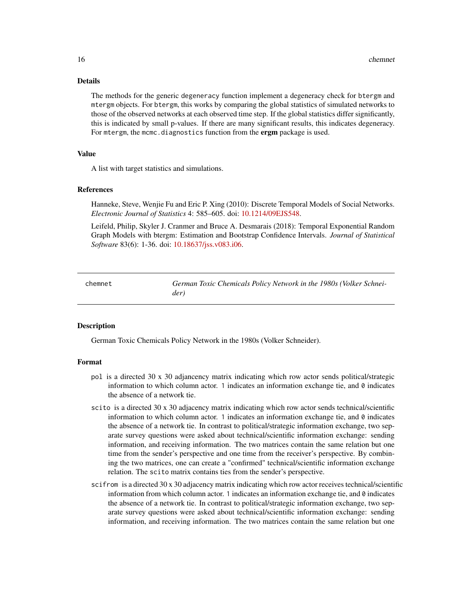#### Details

The methods for the generic degeneracy function implement a degeneracy check for btergm and mtergm objects. For btergm, this works by comparing the global statistics of simulated networks to those of the observed networks at each observed time step. If the global statistics differ significantly, this is indicated by small p-values. If there are many significant results, this indicates degeneracy. For mtergm, the mcmc.diagnostics function from the ergm package is used.

## Value

A list with target statistics and simulations.

#### References

Hanneke, Steve, Wenjie Fu and Eric P. Xing (2010): Discrete Temporal Models of Social Networks. *Electronic Journal of Statistics* 4: 585–605. doi: [10.1214/09EJS548.](https://doi.org/10.1214/09-EJS548)

Leifeld, Philip, Skyler J. Cranmer and Bruce A. Desmarais (2018): Temporal Exponential Random Graph Models with btergm: Estimation and Bootstrap Confidence Intervals. *Journal of Statistical Software* 83(6): 1-36. doi: [10.18637/jss.v083.i06.](https://doi.org/10.18637/jss.v083.i06)

<span id="page-15-1"></span>chemnet *German Toxic Chemicals Policy Network in the 1980s (Volker Schneider)*

#### Description

German Toxic Chemicals Policy Network in the 1980s (Volker Schneider).

#### Format

- pol is a directed 30 x 30 adjancency matrix indicating which row actor sends political/strategic information to which column actor. 1 indicates an information exchange tie, and 0 indicates the absence of a network tie.
- scito is a directed 30 x 30 adjacency matrix indicating which row actor sends technical/scientific information to which column actor. 1 indicates an information exchange tie, and  $\theta$  indicates the absence of a network tie. In contrast to political/strategic information exchange, two separate survey questions were asked about technical/scientific information exchange: sending information, and receiving information. The two matrices contain the same relation but one time from the sender's perspective and one time from the receiver's perspective. By combining the two matrices, one can create a "confirmed" technical/scientific information exchange relation. The scito matrix contains ties from the sender's perspective.
- scifrom is a directed 30 x 30 adjacency matrix indicating which row actor receives technical/scientific information from which column actor. 1 indicates an information exchange tie, and 0 indicates the absence of a network tie. In contrast to political/strategic information exchange, two separate survey questions were asked about technical/scientific information exchange: sending information, and receiving information. The two matrices contain the same relation but one

<span id="page-15-0"></span>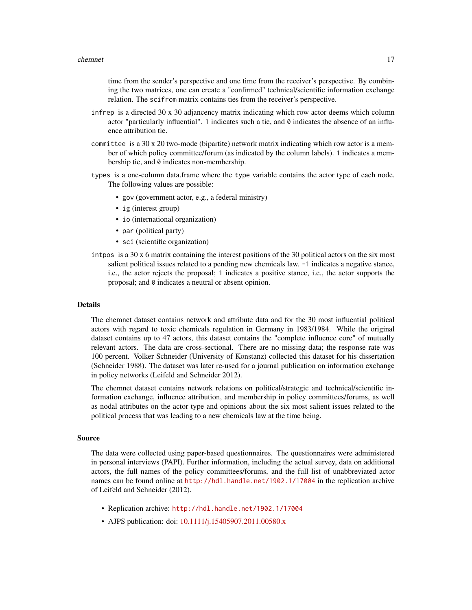time from the sender's perspective and one time from the receiver's perspective. By combining the two matrices, one can create a "confirmed" technical/scientific information exchange relation. The scifrom matrix contains ties from the receiver's perspective.

- infrep is a directed 30 x 30 adjancency matrix indicating which row actor deems which column actor "particularly influential". 1 indicates such a tie, and  $\theta$  indicates the absence of an influence attribution tie.
- committee is a 30 x 20 two-mode (bipartite) network matrix indicating which row actor is a member of which policy committee/forum (as indicated by the column labels). 1 indicates a membership tie, and 0 indicates non-membership.
- types is a one-column data.frame where the type variable contains the actor type of each node. The following values are possible:
	- gov (government actor, e.g., a federal ministry)
	- ig (interest group)
	- io (international organization)
	- par (political party)
	- sci (scientific organization)
- intpos is a 30 x 6 matrix containing the interest positions of the 30 political actors on the six most salient political issues related to a pending new chemicals law. -1 indicates a negative stance, i.e., the actor rejects the proposal; 1 indicates a positive stance, i.e., the actor supports the proposal; and 0 indicates a neutral or absent opinion.

#### Details

The chemnet dataset contains network and attribute data and for the 30 most influential political actors with regard to toxic chemicals regulation in Germany in 1983/1984. While the original dataset contains up to 47 actors, this dataset contains the "complete influence core" of mutually relevant actors. The data are cross-sectional. There are no missing data; the response rate was 100 percent. Volker Schneider (University of Konstanz) collected this dataset for his dissertation (Schneider 1988). The dataset was later re-used for a journal publication on information exchange in policy networks (Leifeld and Schneider 2012).

The chemnet dataset contains network relations on political/strategic and technical/scientific information exchange, influence attribution, and membership in policy committees/forums, as well as nodal attributes on the actor type and opinions about the six most salient issues related to the political process that was leading to a new chemicals law at the time being.

#### Source

The data were collected using paper-based questionnaires. The questionnaires were administered in personal interviews (PAPI). Further information, including the actual survey, data on additional actors, the full names of the policy committees/forums, and the full list of unabbreviated actor names can be found online at <http://hdl.handle.net/1902.1/17004> in the replication archive of Leifeld and Schneider (2012).

- Replication archive: <http://hdl.handle.net/1902.1/17004>
- AJPS publication: doi: [10.1111/j.15405907.2011.00580.x](https://doi.org/10.1111/j.1540-5907.2011.00580.x)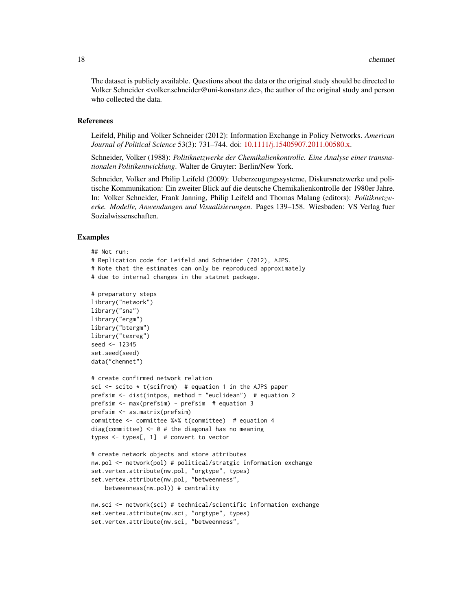The dataset is publicly available. Questions about the data or the original study should be directed to Volker Schneider <volker.schneider@uni-konstanz.de>, the author of the original study and person who collected the data.

#### References

Leifeld, Philip and Volker Schneider (2012): Information Exchange in Policy Networks. *American Journal of Political Science* 53(3): 731–744. doi: [10.1111/j.15405907.2011.00580.x.](https://doi.org/10.1111/j.1540-5907.2011.00580.x)

Schneider, Volker (1988): *Politiknetzwerke der Chemikalienkontrolle. Eine Analyse einer transnationalen Politikentwicklung*. Walter de Gruyter: Berlin/New York.

Schneider, Volker and Philip Leifeld (2009): Ueberzeugungssysteme, Diskursnetzwerke und politische Kommunikation: Ein zweiter Blick auf die deutsche Chemikalienkontrolle der 1980er Jahre. In: Volker Schneider, Frank Janning, Philip Leifeld and Thomas Malang (editors): *Politiknetzwerke. Modelle, Anwendungen und Visualisierungen*. Pages 139–158. Wiesbaden: VS Verlag fuer Sozialwissenschaften.

#### Examples

```
## Not run:
# Replication code for Leifeld and Schneider (2012), AJPS.
# Note that the estimates can only be reproduced approximately
# due to internal changes in the statnet package.
# preparatory steps
library("network")
library("sna")
library("ergm")
library("btergm")
library("texreg")
seed <- 12345
set.seed(seed)
data("chemnet")
# create confirmed network relation
sci \le scito \star t(scifrom) # equation 1 in the AJPS paper
prefsim <- dist(intpos, method = "euclidean") # equation 2
prefsim <- max(prefsim) - prefsim # equation 3
prefsim <- as.matrix(prefsim)
committee <- committee %*% t(committee) # equation 4
diag(committee) \leq -0 # the diagonal has no meaning
types <- types[, 1] # convert to vector
# create network objects and store attributes
nw.pol <- network(pol) # political/stratgic information exchange
set.vertex.attribute(nw.pol, "orgtype", types)
set.vertex.attribute(nw.pol, "betweenness",
    betweenness(nw.pol)) # centrality
nw.sci <- network(sci) # technical/scientific information exchange
set.vertex.attribute(nw.sci, "orgtype", types)
```
set.vertex.attribute(nw.sci, "betweenness",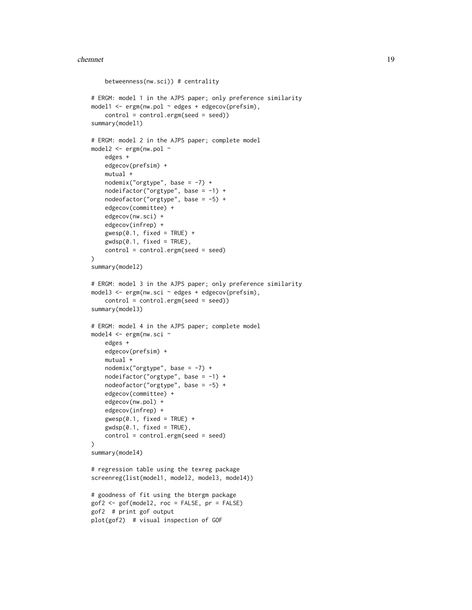#### chemnet the change of the change of the change of the change of the change of the change of the change of the change of the change of the change of the change of the change of the change of the change of the change of the

```
betweenness(nw.sci)) # centrality
# ERGM: model 1 in the AJPS paper; only preference similarity
model1 \leq - ergm(nw.pol \sim edges + edgecov(prefsim),
    control = control.ergm(seed = seed))
summary(model1)
# ERGM: model 2 in the AJPS paper; complete model
model2 <- ergm(nw.pol ~
    edges +
    edgecov(prefsim) +
   mutual +
    nodemix("orgtype", base = -7) +nodeifactor("orgtype", base = -1) +
    nodeofactor("orgtype", base = -5) +
    edgecov(committee) +
    edgecov(nw.sci) +
    edgecov(infrep) +
    gwesp(0.1, fixed = TRUE) +
    gwdsp(0.1, fixed = TRUE),
    control = control.ergm(seed = seed)
\lambdasummary(model2)
# ERGM: model 3 in the AJPS paper; only preference similarity
model3 <- ergm(nw.sci ~ edges + edgecov(prefsim),
    control = control.ergm(seed = seed))
summary(model3)
# ERGM: model 4 in the AJPS paper; complete model
model4 <- ergm(nw.sci ~
   edges +
    edgecov(prefsim) +
    mutual +
    nodemix("orgtype", base = -7) +nodeifactor("orgtype", base = -1) +
    nodeofactor("orgtype", base = -5) +
    edgecov(committee) +
    edgecov(nw.pol) +
    edgecov(infrep) +
    gwesp(0.1, fixed = TRUE) +
    gwdsp(0.1, fixed = TRUE),
    control = control.ergm(seed = seed)
)
summary(model4)
# regression table using the texreg package
screenreg(list(model1, model2, model3, model4))
# goodness of fit using the btergm package
gof2 <- gof(model2, roc = FALSE, pr = FALSE)
gof2 # print gof output
plot(gof2) # visual inspection of GOF
```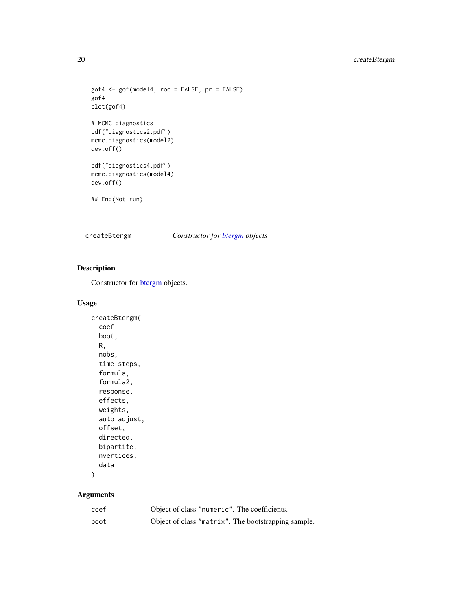## <span id="page-19-0"></span>20 createBtergm

```
gof4 <- gof(model4, roc = FALSE, pr = FALSE)
gof4
plot(gof4)
# MCMC diagnostics
pdf("diagnostics2.pdf")
mcmc.diagnostics(model2)
dev.off()
pdf("diagnostics4.pdf")
mcmc.diagnostics(model4)
dev.off()
## End(Not run)
```
## <span id="page-19-1"></span>createBtergm *Constructor for [btergm](#page-10-1) objects*

## Description

Constructor for [btergm](#page-10-1) objects.

#### Usage

```
createBtergm(
  coef,
  boot,
  R,
  nobs,
  time.steps,
  formula,
  formula2,
  response,
  effects,
  weights,
  auto.adjust,
  offset,
  directed,
  bipartite,
  nvertices,
  data
\mathcal{E}
```

| coef | Object of class "numeric". The coefficients.        |
|------|-----------------------------------------------------|
| boot | Object of class "matrix". The bootstrapping sample. |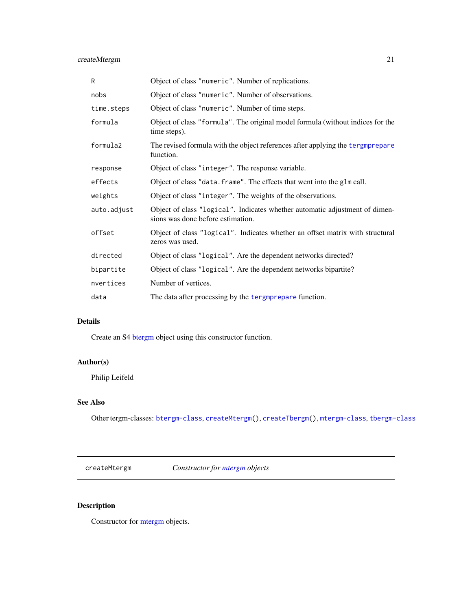## <span id="page-20-0"></span>createMtergm 21

| R           | Object of class "numeric". Number of replications.                                                               |
|-------------|------------------------------------------------------------------------------------------------------------------|
| nobs        | Object of class "numeric". Number of observations.                                                               |
| time.steps  | Object of class "numeric". Number of time steps.                                                                 |
| formula     | Object of class "formula". The original model formula (without indices for the<br>time steps).                   |
| formula2    | The revised formula with the object references after applying the tergmprepare<br>function.                      |
| response    | Object of class "integer". The response variable.                                                                |
| effects     | Object of class "data. frame". The effects that went into the glm call.                                          |
| weights     | Object of class "integer". The weights of the observations.                                                      |
| auto.adjust | Object of class "logical". Indicates whether automatic adjustment of dimen-<br>sions was done before estimation. |
| offset      | Object of class "logical". Indicates whether an offset matrix with structural<br>zeros was used.                 |
| directed    | Object of class "logical". Are the dependent networks directed?                                                  |
| bipartite   | Object of class "logical". Are the dependent networks bipartite?                                                 |
| nvertices   | Number of vertices.                                                                                              |
| data        | The data after processing by the tergmprepare function.                                                          |

## Details

Create an S4 [btergm](#page-10-1) object using this constructor function.

## Author(s)

Philip Leifeld

## See Also

Other tergm-classes: [btergm-class](#page-10-1), [createMtergm\(](#page-20-1)), [createTbergm\(](#page-22-1)), [mtergm-class](#page-57-1), [tbergm-class](#page-62-1)

<span id="page-20-1"></span>createMtergm *Constructor for [mtergm](#page-57-1) objects*

## Description

Constructor for [mtergm](#page-57-1) objects.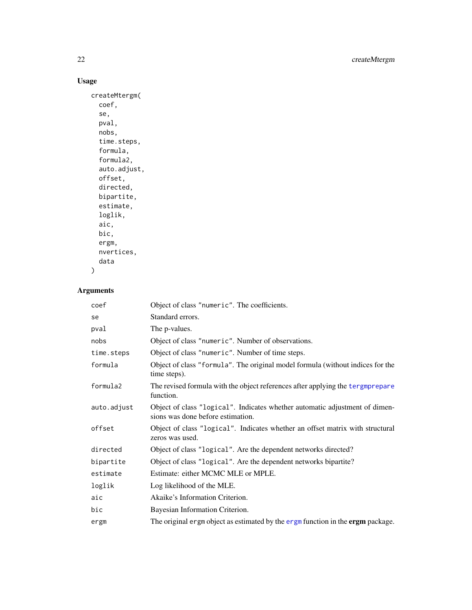## Usage

```
createMtergm(
 coef,
  se,
 pval,
 nobs,
  time.steps,
  formula,
  formula2,
  auto.adjust,
 offset,
 directed,
 bipartite,
 estimate,
 loglik,
 aic,
 bic,
 ergm,
 nvertices,
 data
)
```

| coef        | Object of class "numeric". The coefficients.                                                                     |
|-------------|------------------------------------------------------------------------------------------------------------------|
| se          | Standard errors.                                                                                                 |
| pval        | The <i>p</i> -values.                                                                                            |
| nobs        | Object of class "numeric". Number of observations.                                                               |
| time.steps  | Object of class "numeric". Number of time steps.                                                                 |
| formula     | Object of class "formula". The original model formula (without indices for the<br>time steps).                   |
| formula2    | The revised formula with the object references after applying the tergmprepare<br>function.                      |
| auto.adjust | Object of class "logical". Indicates whether automatic adjustment of dimen-<br>sions was done before estimation. |
| offset      | Object of class "logical". Indicates whether an offset matrix with structural<br>zeros was used.                 |
| directed    | Object of class "logical". Are the dependent networks directed?                                                  |
| bipartite   | Object of class "logical". Are the dependent networks bipartite?                                                 |
| estimate    | Estimate: either MCMC MLE or MPLE.                                                                               |
| loglik      | Log likelihood of the MLE.                                                                                       |
| aic         | Akaike's Information Criterion.                                                                                  |
| bic         | Bayesian Information Criterion.                                                                                  |
| ergm        | The original ergm object as estimated by the ergm function in the ergm package.                                  |

<span id="page-21-0"></span>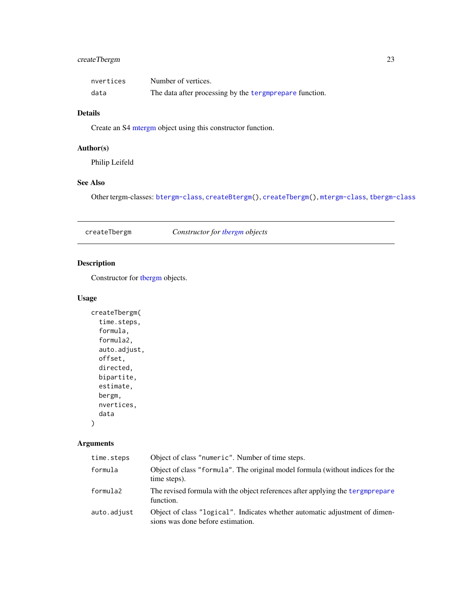## <span id="page-22-0"></span>createTbergm 23

| nvertices | Number of vertices.                                     |
|-----------|---------------------------------------------------------|
| data      | The data after processing by the tergmprepare function. |

#### Details

Create an S4 [mtergm](#page-57-1) object using this constructor function.

## Author(s)

Philip Leifeld

## See Also

Other tergm-classes: [btergm-class](#page-10-1), [createBtergm\(](#page-19-1)), [createTbergm\(](#page-22-1)), [mtergm-class](#page-57-1), [tbergm-class](#page-62-1)

<span id="page-22-1"></span>createTbergm *Constructor for [tbergm](#page-62-1) objects*

## Description

Constructor for [tbergm](#page-62-1) objects.

## Usage

```
createTbergm(
  time.steps,
  formula,
  formula2,
  auto.adjust,
 offset,
 directed,
 bipartite,
 estimate,
 bergm,
 nvertices,
  data
)
```

| time.steps  | Object of class "numeric". Number of time steps.                                                                 |
|-------------|------------------------------------------------------------------------------------------------------------------|
| formula     | Object of class "formula". The original model formula (without indices for the<br>time steps).                   |
| formula2    | The revised formula with the object references after applying the tergmprepare<br>function.                      |
| auto.adjust | Object of class "logical". Indicates whether automatic adjustment of dimen-<br>sions was done before estimation. |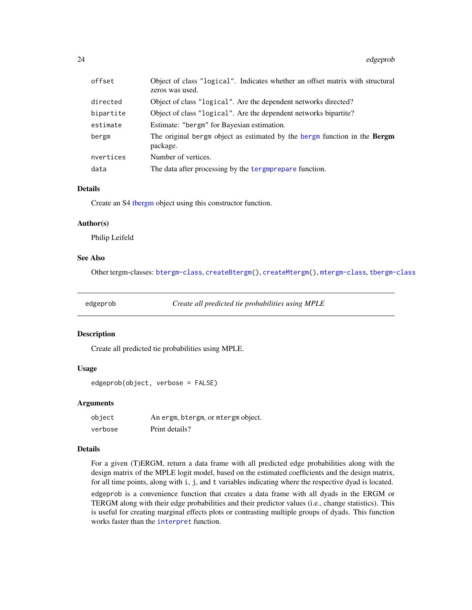<span id="page-23-0"></span>

| offset    | Object of class "logical". Indicates whether an offset matrix with structural<br>zeros was used. |
|-----------|--------------------------------------------------------------------------------------------------|
| directed  | Object of class "logical". Are the dependent networks directed?                                  |
| bipartite | Object of class "logical". Are the dependent networks bipartite?                                 |
| estimate  | Estimate: "bergm" for Bayesian estimation.                                                       |
| bergm     | The original bergm object as estimated by the bergm function in the <b>Bergm</b><br>package.     |
| nvertices | Number of vertices.                                                                              |
| data      | The data after processing by the tergmprepare function.                                          |

#### Details

Create an S4 [tbergm](#page-62-1) object using this constructor function.

#### Author(s)

Philip Leifeld

## See Also

Other tergm-classes: [btergm-class](#page-10-1), [createBtergm\(](#page-19-1)), [createMtergm\(](#page-20-1)), [mtergm-class](#page-57-1), [tbergm-class](#page-62-1)

<span id="page-23-1"></span>edgeprob *Create all predicted tie probabilities using MPLE*

## Description

Create all predicted tie probabilities using MPLE.

## Usage

edgeprob(object, verbose = FALSE)

#### Arguments

| object  | An ergm, btergm, or mtergm object. |
|---------|------------------------------------|
| verbose | Print details?                     |

#### Details

For a given (T)ERGM, return a data frame with all predicted edge probabilities along with the design matrix of the MPLE logit model, based on the estimated coefficients and the design matrix, for all time points, along with i, j, and t variables indicating where the respective dyad is located.

edgeprob is a convenience function that creates a data frame with all dyads in the ERGM or TERGM along with their edge probabilities and their predictor values (i.e., change statistics). This is useful for creating marginal effects plots or contrasting multiple groups of dyads. This function works faster than the [interpret](#page-43-1) function.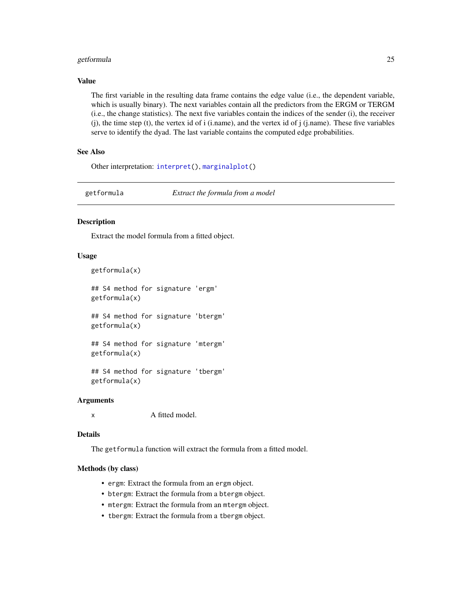#### <span id="page-24-0"></span>getformula 25

## Value

The first variable in the resulting data frame contains the edge value (i.e., the dependent variable, which is usually binary). The next variables contain all the predictors from the ERGM or TERGM (i.e., the change statistics). The next five variables contain the indices of the sender (i), the receiver (j), the time step (t), the vertex id of i (i.name), and the vertex id of j (j.name). These five variables serve to identify the dyad. The last variable contains the computed edge probabilities.

## See Also

Other interpretation: [interpret\(](#page-43-1)), [marginalplot\(](#page-53-1))

getformula *Extract the formula from a model*

## Description

Extract the model formula from a fitted object.

#### Usage

```
getformula(x)
```
## S4 method for signature 'ergm' getformula(x)

## S4 method for signature 'btergm' getformula(x)

## S4 method for signature 'mtergm' getformula(x)

## S4 method for signature 'tbergm' getformula(x)

#### Arguments

x A fitted model.

#### Details

The getformula function will extract the formula from a fitted model.

#### Methods (by class)

- ergm: Extract the formula from an ergm object.
- btergm: Extract the formula from a btergm object.
- mtergm: Extract the formula from an mtergm object.
- tbergm: Extract the formula from a tbergm object.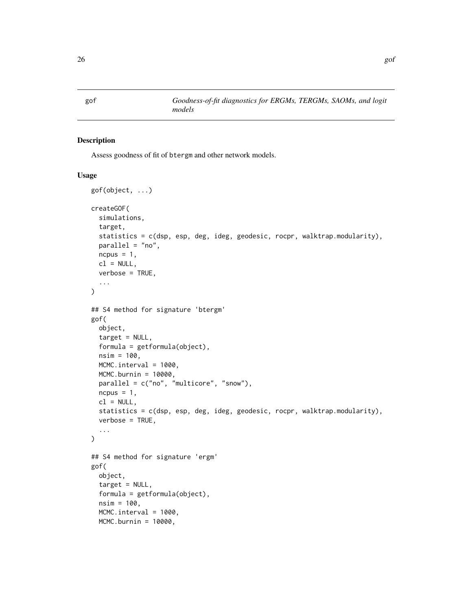## <span id="page-25-2"></span>Description

Assess goodness of fit of btergm and other network models.

#### Usage

```
gof(object, ...)
createGOF(
  simulations,
  target,
  statistics = c(dsp, esp, deg, ideg, geodesic, rocpr, walktrap.modularity),
 parallel = "no",
 ncpus = 1,
  cl = NULL,verbose = TRUE,
  ...
)
## S4 method for signature 'btergm'
gof(
 object,
  target = NULL,formula = getformula(object),
  nsim = 100,
 MCMC.interval = 1000,
 MCMC.burnin = 10000,
 parallel = c("no", "multicore", "snow"),
  ncpus = 1,
  cl = NULL,statistics = c(dsp, esp, deg, ideg, geodesic, rocpr, walktrap.modularity),
  verbose = TRUE,
  ...
)
## S4 method for signature 'ergm'
gof(
  object,
  target = NULL,
  formula = getformula(object),
  nsim = 100,MCMC.interval = 1000,
 MCMC.burnin = 10000,
```
<span id="page-25-1"></span><span id="page-25-0"></span>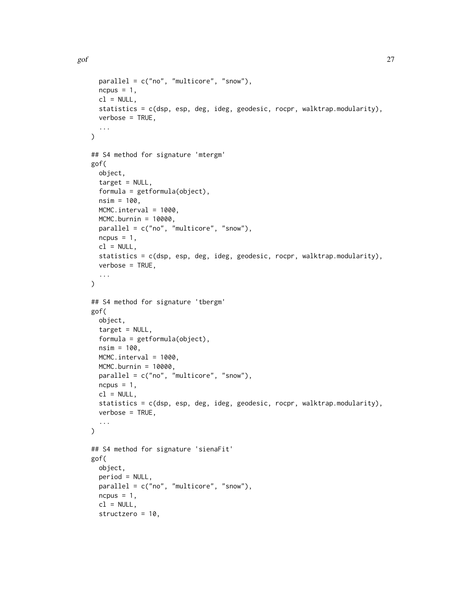```
parallel = c("no", "multicore", "snow"),
  ncpus = 1,
  cl = NULL,statistics = c(dsp, esp, deg, ideg, geodesic, rocpr, walktrap.modularity),
  verbose = TRUE,
  ...
\lambda## S4 method for signature 'mtergm'
gof(
 object,
  target = NULL,formula = getformula(object),
 nsim = 100,
 MCMC.interval = 1000,
 MCMC.burnin = 10000,
 parallel = c("no", "multicore", "snow"),
 ncpus = 1,
 cl = NULL,statistics = c(dsp, esp, deg, ideg, geodesic, rocpr, walktrap.modularity),
 verbose = TRUE,
  ...
\mathcal{L}## S4 method for signature 'tbergm'
gof(
  object,
  target = NULL,formula = getformula(object),
 nsim = 100,
 MCMC.interval = 1000,
 MCMC.burnin = 10000,parallel = c("no", "multicore", "snow"),
 ncpus = 1,cl = NULL,statistics = c(dsp, esp, deg, ideg, geodesic, rocpr, walktrap.modularity),
  verbose = TRUE,
  ...
\mathcal{L}## S4 method for signature 'sienaFit'
gof(
 object,
 period = NULL,
 parallel = c("no", "multicore", "snow"),
  ncpus = 1,
  cl = NULL,structzero = 10,
```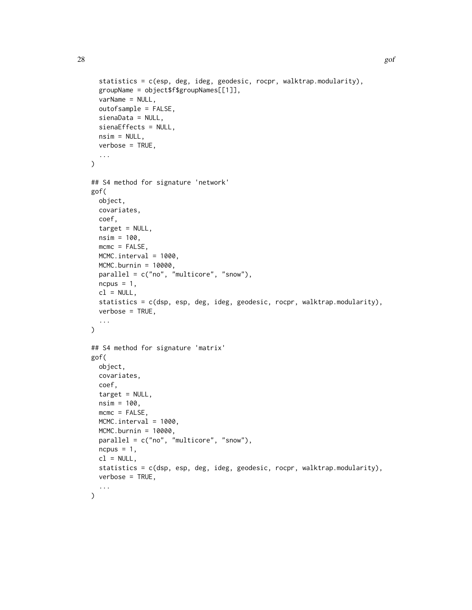```
statistics = c(esp, deg, ideg, geodesic, rocpr, walktrap.modularity),
  groupName = object$f$groupNames[[1]],
  varName = NULL,
  outofsample = FALSE,
  sienaData = NULL,
  sienaEffects = NULL,
 nsim = NULL,
 verbose = TRUE,
  ...
)
## S4 method for signature 'network'
gof(
 object,
 covariates,
  coef,
  target = NULL,nsim = 100,
 mcmc = FALSE,
 MCMC.interval = 1000,
 MCMC.burnin = 10000,
 parallel = c("no", "multicore", "snow"),
 ncpus = 1,cl = NULL,statistics = c(dsp, esp, deg, ideg, geodesic, rocpr, walktrap.modularity),
 verbose = TRUE,
  ...
\mathcal{L}## S4 method for signature 'matrix'
gof(
 object,
  covariates,
  coef,
  target = NULL,
 nsim = 100,
 mcmc = FALSE,
 MCMC.interval = 1000,
 MCMC.burnin = 10000,
 parallel = c("no", "multicore", "snow"),
  ncpus = 1,
  cl = NULL,statistics = c(dsp, esp, deg, ideg, geodesic, rocpr, walktrap.modularity),
  verbose = TRUE,
  ...
)
```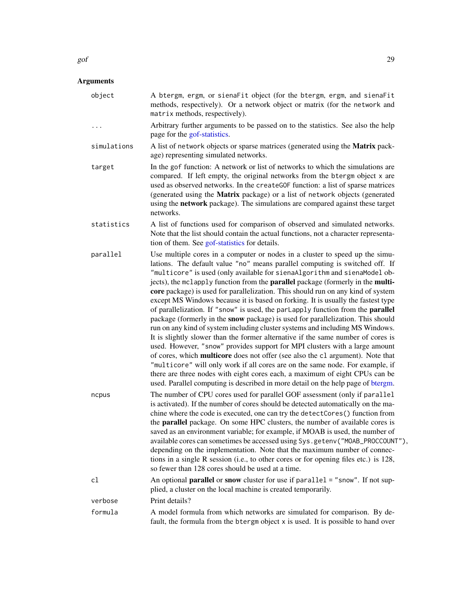|             | methods, respectively). Or a network object or matrix (for the network and<br>matrix methods, respectively).                                                                                                                                                                                                                                                                                                                                                                                                                                                                                                                                                                                                                                                                                                                                                                                                                                                                                                                                                                                                                                                                                                                                                         |
|-------------|----------------------------------------------------------------------------------------------------------------------------------------------------------------------------------------------------------------------------------------------------------------------------------------------------------------------------------------------------------------------------------------------------------------------------------------------------------------------------------------------------------------------------------------------------------------------------------------------------------------------------------------------------------------------------------------------------------------------------------------------------------------------------------------------------------------------------------------------------------------------------------------------------------------------------------------------------------------------------------------------------------------------------------------------------------------------------------------------------------------------------------------------------------------------------------------------------------------------------------------------------------------------|
| .           | Arbitrary further arguments to be passed on to the statistics. See also the help<br>page for the gof-statistics.                                                                                                                                                                                                                                                                                                                                                                                                                                                                                                                                                                                                                                                                                                                                                                                                                                                                                                                                                                                                                                                                                                                                                     |
| simulations | A list of network objects or sparse matrices (generated using the Matrix pack-<br>age) representing simulated networks.                                                                                                                                                                                                                                                                                                                                                                                                                                                                                                                                                                                                                                                                                                                                                                                                                                                                                                                                                                                                                                                                                                                                              |
| target      | In the gof function: A network or list of networks to which the simulations are<br>compared. If left empty, the original networks from the btergm object x are<br>used as observed networks. In the createGOF function: a list of sparse matrices<br>(generated using the Matrix package) or a list of network objects (generated<br>using the network package). The simulations are compared against these target<br>networks.                                                                                                                                                                                                                                                                                                                                                                                                                                                                                                                                                                                                                                                                                                                                                                                                                                      |
| statistics  | A list of functions used for comparison of observed and simulated networks.<br>Note that the list should contain the actual functions, not a character representa-<br>tion of them. See gof-statistics for details.                                                                                                                                                                                                                                                                                                                                                                                                                                                                                                                                                                                                                                                                                                                                                                                                                                                                                                                                                                                                                                                  |
| parallel    | Use multiple cores in a computer or nodes in a cluster to speed up the simu-<br>lations. The default value "no" means parallel computing is switched off. If<br>"multicore" is used (only available for sienaAlgorithm and sienaModel ob-<br>jects), the mclapply function from the parallel package (formerly in the multi-<br>core package) is used for parallelization. This should run on any kind of system<br>except MS Windows because it is based on forking. It is usually the fastest type<br>of parallelization. If "snow" is used, the parlapply function from the parallel<br>package (formerly in the snow package) is used for parallelization. This should<br>run on any kind of system including cluster systems and including MS Windows.<br>It is slightly slower than the former alternative if the same number of cores is<br>used. However, "snow" provides support for MPI clusters with a large amount<br>of cores, which multicore does not offer (see also the c1 argument). Note that<br>"multicore" will only work if all cores are on the same node. For example, if<br>there are three nodes with eight cores each, a maximum of eight CPUs can be<br>used. Parallel computing is described in more detail on the help page of btergm. |
| ncpus       | The number of CPU cores used for parallel GOF assessment (only if parallel<br>is activated). If the number of cores should be detected automatically on the ma-<br>chine where the code is executed, one can try the detectCores() function from<br>the parallel package. On some HPC clusters, the number of available cores is<br>saved as an environment variable; for example, if MOAB is used, the number of<br>available cores can sometimes be accessed using Sys.getenv("MOAB_PROCCOUNT"),<br>depending on the implementation. Note that the maximum number of connec-<br>tions in a single R session (i.e., to other cores or for opening files etc.) is 128,<br>so fewer than 128 cores should be used at a time.                                                                                                                                                                                                                                                                                                                                                                                                                                                                                                                                          |
| cl          | An optional <b>parallel</b> or snow cluster for use if parallel = "snow". If not sup-<br>plied, a cluster on the local machine is created temporarily.                                                                                                                                                                                                                                                                                                                                                                                                                                                                                                                                                                                                                                                                                                                                                                                                                                                                                                                                                                                                                                                                                                               |
| verbose     | Print details?                                                                                                                                                                                                                                                                                                                                                                                                                                                                                                                                                                                                                                                                                                                                                                                                                                                                                                                                                                                                                                                                                                                                                                                                                                                       |
|             |                                                                                                                                                                                                                                                                                                                                                                                                                                                                                                                                                                                                                                                                                                                                                                                                                                                                                                                                                                                                                                                                                                                                                                                                                                                                      |

<span id="page-28-0"></span>object A btergm, ergm, or sienaFit object (for the btergm, ergm, and sienaFit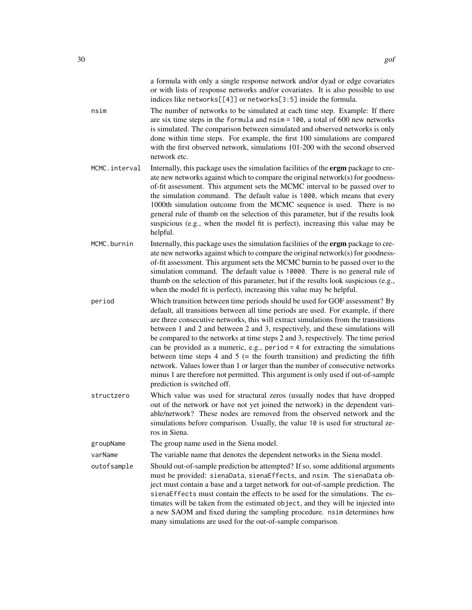| nsim          | a formula with only a single response network and/or dyad or edge covariates<br>or with lists of response networks and/or covariates. It is also possible to use<br>indices like networks[[4]] or networks[3:5] inside the formula.<br>The number of networks to be simulated at each time step. Example: If there<br>are six time steps in the formula and $nsim = 100$ , a total of 600 new networks<br>is simulated. The comparison between simulated and observed networks is only<br>done within time steps. For example, the first 100 simulations are compared<br>with the first observed network, simulations 101-200 with the second observed<br>network etc.                                                                                                                                  |
|---------------|---------------------------------------------------------------------------------------------------------------------------------------------------------------------------------------------------------------------------------------------------------------------------------------------------------------------------------------------------------------------------------------------------------------------------------------------------------------------------------------------------------------------------------------------------------------------------------------------------------------------------------------------------------------------------------------------------------------------------------------------------------------------------------------------------------|
| MCMC.interval | Internally, this package uses the simulation facilities of the ergm package to cre-<br>ate new networks against which to compare the original network(s) for goodness-<br>of-fit assessment. This argument sets the MCMC interval to be passed over to<br>the simulation command. The default value is 1000, which means that every<br>1000th simulation outcome from the MCMC sequence is used. There is no<br>general rule of thumb on the selection of this parameter, but if the results look<br>suspicious (e.g., when the model fit is perfect), increasing this value may be<br>helpful.                                                                                                                                                                                                         |
| MCMC.burnin   | Internally, this package uses the simulation facilities of the ergm package to cre-<br>ate new networks against which to compare the original network(s) for goodness-<br>of-fit assessment. This argument sets the MCMC burnin to be passed over to the<br>simulation command. The default value is 10000. There is no general rule of<br>thumb on the selection of this parameter, but if the results look suspicious (e.g.,<br>when the model fit is perfect), increasing this value may be helpful.                                                                                                                                                                                                                                                                                                 |
| period        | Which transition between time periods should be used for GOF assessment? By<br>default, all transitions between all time periods are used. For example, if there<br>are three consecutive networks, this will extract simulations from the transitions<br>between 1 and 2 and between 2 and 3, respectively, and these simulations will<br>be compared to the networks at time steps 2 and 3, respectively. The time period<br>can be provided as a numeric, e.g., period $=$ 4 for extracting the simulations<br>between time steps 4 and 5 ( $=$ the fourth transition) and predicting the fifth<br>network. Values lower than 1 or larger than the number of consecutive networks<br>minus 1 are therefore not permitted. This argument is only used if out-of-sample<br>prediction is switched off. |
| structzero    | Which value was used for structural zeros (usually nodes that have dropped<br>out of the network or have not yet joined the network) in the dependent vari-<br>able/network? These nodes are removed from the observed network and the<br>simulations before comparison. Usually, the value 10 is used for structural ze-<br>ros in Siena.                                                                                                                                                                                                                                                                                                                                                                                                                                                              |
| groupName     | The group name used in the Siena model.                                                                                                                                                                                                                                                                                                                                                                                                                                                                                                                                                                                                                                                                                                                                                                 |
| varName       | The variable name that denotes the dependent networks in the Siena model.                                                                                                                                                                                                                                                                                                                                                                                                                                                                                                                                                                                                                                                                                                                               |
| outofsample   | Should out-of-sample prediction be attempted? If so, some additional arguments<br>must be provided: sienaData, sienaEffects, and nsim. The sienaData ob-<br>ject must contain a base and a target network for out-of-sample prediction. The<br>sienaEffects must contain the effects to be used for the simulations. The es-<br>timates will be taken from the estimated object, and they will be injected into<br>a new SAOM and fixed during the sampling procedure. nsim determines how<br>many simulations are used for the out-of-sample comparison.                                                                                                                                                                                                                                               |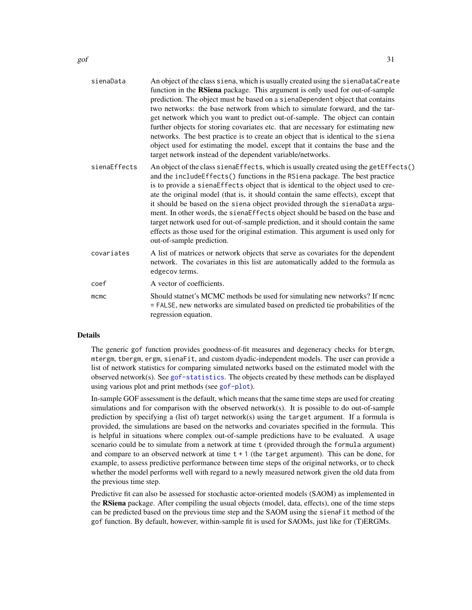| sienaData    | An object of the class siena, which is usually created using the sienaDataCreate<br>function in the RSiena package. This argument is only used for out-of-sample<br>prediction. The object must be based on a sienaDependent object that contains<br>two networks: the base network from which to simulate forward, and the tar-<br>get network which you want to predict out-of-sample. The object can contain<br>further objects for storing covariates etc. that are necessary for estimating new<br>networks. The best practice is to create an object that is identical to the siena<br>object used for estimating the model, except that it contains the base and the<br>target network instead of the dependent variable/networks. |
|--------------|-------------------------------------------------------------------------------------------------------------------------------------------------------------------------------------------------------------------------------------------------------------------------------------------------------------------------------------------------------------------------------------------------------------------------------------------------------------------------------------------------------------------------------------------------------------------------------------------------------------------------------------------------------------------------------------------------------------------------------------------|
| sienaEffects | An object of the class sienaEffects, which is usually created using the getEffects()<br>and the includeEffects() functions in the RSiena package. The best practice<br>is to provide a sienaEffects object that is identical to the object used to cre-<br>ate the original model (that is, it should contain the same effects), except that<br>it should be based on the siena object provided through the sienaData argu-<br>ment. In other words, the sienaEffects object should be based on the base and<br>target network used for out-of-sample prediction, and it should contain the same<br>effects as those used for the original estimation. This argument is used only for<br>out-of-sample prediction.                        |
| covariates   | A list of matrices or network objects that serve as covariates for the dependent<br>network. The covariates in this list are automatically added to the formula as<br>edgecov terms.                                                                                                                                                                                                                                                                                                                                                                                                                                                                                                                                                      |
| coef         | A vector of coefficients.                                                                                                                                                                                                                                                                                                                                                                                                                                                                                                                                                                                                                                                                                                                 |
| mcmc         | Should statnet's MCMC methods be used for simulating new networks? If mcmc<br>= FALSE, new networks are simulated based on predicted tie probabilities of the<br>regression equation.                                                                                                                                                                                                                                                                                                                                                                                                                                                                                                                                                     |

#### Details

The generic gof function provides goodness-of-fit measures and degeneracy checks for btergm, mtergm, tbergm, ergm, sienaFit, and custom dyadic-independent models. The user can provide a list of network statistics for comparing simulated networks based on the estimated model with the observed network(s). See [gof-statistics](#page-37-1). The objects created by these methods can be displayed using various plot and print methods (see [gof-plot](#page-31-1)).

In-sample GOF assessment is the default, which means that the same time steps are used for creating simulations and for comparison with the observed network $(s)$ . It is possible to do out-of-sample prediction by specifying a (list of) target network(s) using the target argument. If a formula is provided, the simulations are based on the networks and covariates specified in the formula. This is helpful in situations where complex out-of-sample predictions have to be evaluated. A usage scenario could be to simulate from a network at time t (provided through the formula argument) and compare to an observed network at time  $t + 1$  (the target argument). This can be done, for example, to assess predictive performance between time steps of the original networks, or to check whether the model performs well with regard to a newly measured network given the old data from the previous time step.

Predictive fit can also be assessed for stochastic actor-oriented models (SAOM) as implemented in the RSiena package. After compiling the usual objects (model, data, effects), one of the time steps can be predicted based on the previous time step and the SAOM using the sienaFit method of the gof function. By default, however, within-sample fit is used for SAOMs, just like for (T)ERGMs.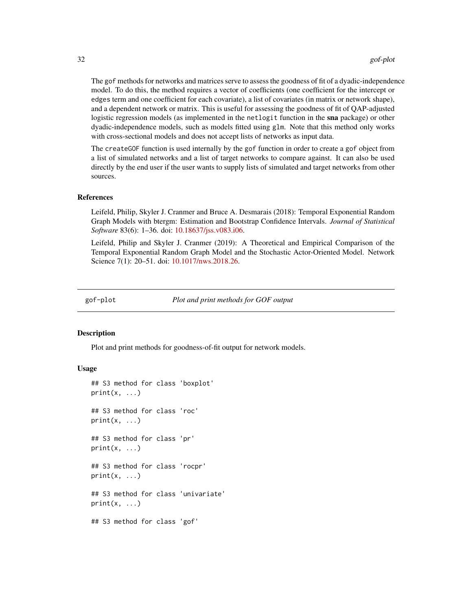<span id="page-31-0"></span>The gof methods for networks and matrices serve to assess the goodness of fit of a dyadic-independence model. To do this, the method requires a vector of coefficients (one coefficient for the intercept or edges term and one coefficient for each covariate), a list of covariates (in matrix or network shape), and a dependent network or matrix. This is useful for assessing the goodness of fit of QAP-adjusted logistic regression models (as implemented in the netlogit function in the sna package) or other dyadic-independence models, such as models fitted using glm. Note that this method only works with cross-sectional models and does not accept lists of networks as input data.

The createGOF function is used internally by the gof function in order to create a gof object from a list of simulated networks and a list of target networks to compare against. It can also be used directly by the end user if the user wants to supply lists of simulated and target networks from other sources.

#### References

Leifeld, Philip, Skyler J. Cranmer and Bruce A. Desmarais (2018): Temporal Exponential Random Graph Models with btergm: Estimation and Bootstrap Confidence Intervals. *Journal of Statistical Software* 83(6): 1–36. doi: [10.18637/jss.v083.i06.](https://doi.org/10.18637/jss.v083.i06)

Leifeld, Philip and Skyler J. Cranmer (2019): A Theoretical and Empirical Comparison of the Temporal Exponential Random Graph Model and the Stochastic Actor-Oriented Model. Network Science 7(1): 20–51. doi: [10.1017/nws.2018.26.](https://doi.org/10.1017/nws.2018.26)

<span id="page-31-1"></span>

gof-plot *Plot and print methods for GOF output*

#### **Description**

Plot and print methods for goodness-of-fit output for network models.

#### Usage

```
## S3 method for class 'boxplot'
print(x, \ldots)## S3 method for class 'roc'
print(x, \ldots)## S3 method for class 'pr'
print(x, \ldots)## S3 method for class 'rocpr'
print(x, \ldots)## S3 method for class 'univariate'
print(x, \ldots)## S3 method for class 'gof'
```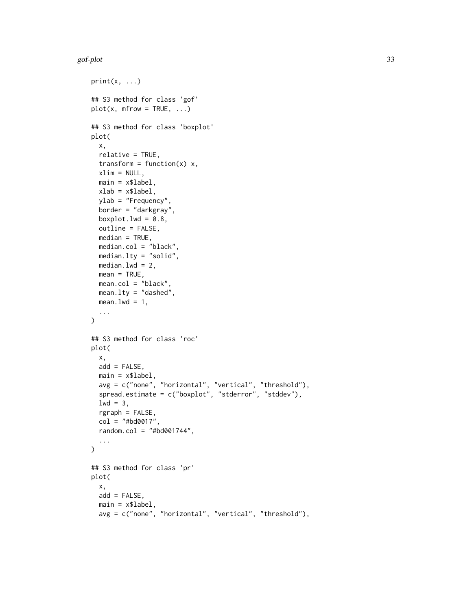#### gof-plot 33

```
print(x, \ldots)## S3 method for class 'gof'
plot(x, mfrom = TRUE, ...)## S3 method for class 'boxplot'
plot(
 x,
 relative = TRUE,
  transform = function(x) x,
 xlim = NULL,main = x$label,xlab = x$label,
 ylab = "Frequency",
 border = "darkgray",
  boxplot.lwd = 0.8,
  outline = FALSE,
 median = TRUE,
 median.col = "black",
 median.lty = "solid",
 median.lwd = 2,
 mean = TRUE,mean.col = "black",
 mean.lty = "dashed",
 mean.lwd = 1,
  ...
\mathcal{L}## S3 method for class 'roc'
plot(
  x,
  add = FALSE,main = x$label,avg = c("none", "horizontal", "vertical", "threshold"),
  spread.estimate = c("boxplot", "stderror", "stddev"),
 1wd = 3,
  rgraph = FALSE,
  col = "#bd0017",random.col = "#bd001744",
  ...
\mathcal{L}## S3 method for class 'pr'
plot(
  x,
  add = FALSE,main = x$label,avg = c("none", "horizontal", "vertical", "threshold"),
```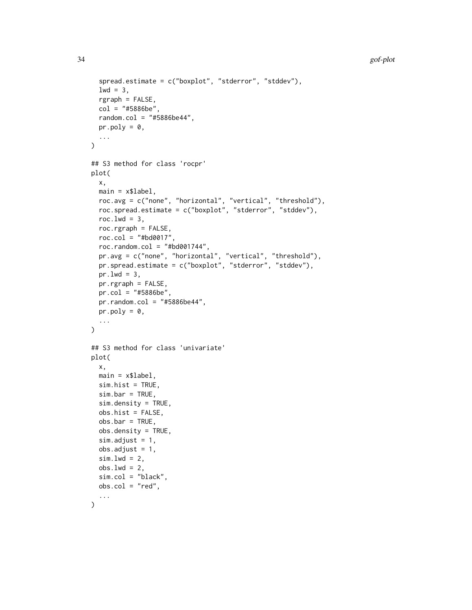```
spread.estimate = c("boxplot", "stderror", "stddev"),
  1wd = 3,
  rgraph = FALSE,
  col = "#5886be",random.col = "#5886be44",
 pr.poly = 0,
  ...
\lambda## S3 method for class 'rocpr'
plot(
 x,
 main = x$label,roc.avg = c("none", "horizontal", "vertical", "threshold"),
  roc.spread.estimate = c("boxplot", "stderror", "stddev"),
  roc.lwd = 3,
  roc.rgraph = FALSE,
  roc.col = "#bd0017",roc.random.col = "#bd001744",pr.avg = c("none", "horizontal", "vertical", "threshold"),
 pr.spread.estimate = c("boxplot", "stderror", "stddev"),
 pr.lwd = 3,
 pr.rgraph = FALSE,
 pr.col = "#5886be",
 pr.random.col = "#5886be44",pr.poly = 0,
  ...
\mathcal{L}## S3 method for class 'univariate'
plot(
 x,
 main = x$label,sim.hist = TRUE,
  sim.bar = TRUE,
  sim.density = TRUE,
  obs.hist = FALSE,
 obs.bar = TRUE,
  obs.density = TRUE,
  sim.adjust = 1,
 obs.addjust = 1,
  sim.lwd = 2,
  obs.lwd = 2,
  sim.col = "black",
 obs.col = "red",...
)
```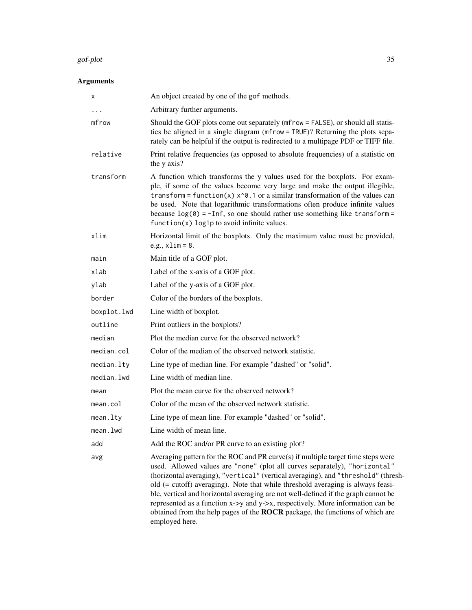#### gof-plot 35

| X           | An object created by one of the gof methods.                                                                                                                                                                                                                                                                                                                                                                                                                                                                                                                                                                        |
|-------------|---------------------------------------------------------------------------------------------------------------------------------------------------------------------------------------------------------------------------------------------------------------------------------------------------------------------------------------------------------------------------------------------------------------------------------------------------------------------------------------------------------------------------------------------------------------------------------------------------------------------|
| $\cdots$    | Arbitrary further arguments.                                                                                                                                                                                                                                                                                                                                                                                                                                                                                                                                                                                        |
| mfrow       | Should the GOF plots come out separately (mfrow = FALSE), or should all statis-<br>tics be aligned in a single diagram (mfrow = TRUE)? Returning the plots sepa-<br>rately can be helpful if the output is redirected to a multipage PDF or TIFF file.                                                                                                                                                                                                                                                                                                                                                              |
| relative    | Print relative frequencies (as opposed to absolute frequencies) of a statistic on<br>the y axis?                                                                                                                                                                                                                                                                                                                                                                                                                                                                                                                    |
| transform   | A function which transforms the y values used for the boxplots. For exam-<br>ple, if some of the values become very large and make the output illegible,<br>transform = function(x) $x^0$ . 1 or a similar transformation of the values can<br>be used. Note that logarithmic transformations often produce infinite values<br>because $log(0) = -Inf$ , so one should rather use something like transform =<br>$function(x) log1p to avoid infinite values.$                                                                                                                                                       |
| xlim        | Horizontal limit of the boxplots. Only the maximum value must be provided,<br>e.g., $xlim = 8$ .                                                                                                                                                                                                                                                                                                                                                                                                                                                                                                                    |
| main        | Main title of a GOF plot.                                                                                                                                                                                                                                                                                                                                                                                                                                                                                                                                                                                           |
| xlab        | Label of the x-axis of a GOF plot.                                                                                                                                                                                                                                                                                                                                                                                                                                                                                                                                                                                  |
| ylab        | Label of the y-axis of a GOF plot.                                                                                                                                                                                                                                                                                                                                                                                                                                                                                                                                                                                  |
| border      | Color of the borders of the boxplots.                                                                                                                                                                                                                                                                                                                                                                                                                                                                                                                                                                               |
| boxplot.lwd | Line width of boxplot.                                                                                                                                                                                                                                                                                                                                                                                                                                                                                                                                                                                              |
| outline     | Print outliers in the boxplots?                                                                                                                                                                                                                                                                                                                                                                                                                                                                                                                                                                                     |
| median      | Plot the median curve for the observed network?                                                                                                                                                                                                                                                                                                                                                                                                                                                                                                                                                                     |
| median.col  | Color of the median of the observed network statistic.                                                                                                                                                                                                                                                                                                                                                                                                                                                                                                                                                              |
| median.lty  | Line type of median line. For example "dashed" or "solid".                                                                                                                                                                                                                                                                                                                                                                                                                                                                                                                                                          |
| median.lwd  | Line width of median line.                                                                                                                                                                                                                                                                                                                                                                                                                                                                                                                                                                                          |
| mean        | Plot the mean curve for the observed network?                                                                                                                                                                                                                                                                                                                                                                                                                                                                                                                                                                       |
| mean.col    | Color of the mean of the observed network statistic.                                                                                                                                                                                                                                                                                                                                                                                                                                                                                                                                                                |
| mean.lty    | Line type of mean line. For example "dashed" or "solid".                                                                                                                                                                                                                                                                                                                                                                                                                                                                                                                                                            |
| mean.lwd    | Line width of mean line.                                                                                                                                                                                                                                                                                                                                                                                                                                                                                                                                                                                            |
| add         | Add the ROC and/or PR curve to an existing plot?                                                                                                                                                                                                                                                                                                                                                                                                                                                                                                                                                                    |
| avg         | Averaging pattern for the ROC and PR curve $(s)$ if multiple target time steps were<br>used. Allowed values are "none" (plot all curves separately), "horizontal"<br>(horizontal averaging), "vertical" (vertical averaging), and "threshold" (thresh-<br>old (= cutoff) averaging). Note that while threshold averaging is always feasi-<br>ble, vertical and horizontal averaging are not well-defined if the graph cannot be<br>represented as a function x->y and y->x, respectively. More information can be<br>obtained from the help pages of the ROCR package, the functions of which are<br>employed here. |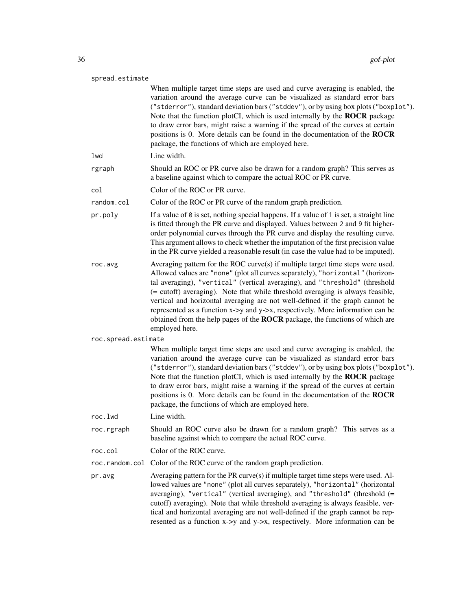| 36 |                     | gof-plot                                                                                                                                                                                                                                                                                                                                                                                                                                                                                                                                                                                                |
|----|---------------------|---------------------------------------------------------------------------------------------------------------------------------------------------------------------------------------------------------------------------------------------------------------------------------------------------------------------------------------------------------------------------------------------------------------------------------------------------------------------------------------------------------------------------------------------------------------------------------------------------------|
|    | spread.estimate     |                                                                                                                                                                                                                                                                                                                                                                                                                                                                                                                                                                                                         |
|    |                     | When multiple target time steps are used and curve averaging is enabled, the<br>variation around the average curve can be visualized as standard error bars<br>("stderror"), standard deviation bars ("stddev"), or by using box plots ("boxplot").<br>Note that the function plotCI, which is used internally by the ROCR package<br>to draw error bars, might raise a warning if the spread of the curves at certain<br>positions is 0. More details can be found in the documentation of the ROCR<br>package, the functions of which are employed here.                                              |
|    | lwd                 | Line width.                                                                                                                                                                                                                                                                                                                                                                                                                                                                                                                                                                                             |
|    | rgraph              | Should an ROC or PR curve also be drawn for a random graph? This serves as<br>a baseline against which to compare the actual ROC or PR curve.                                                                                                                                                                                                                                                                                                                                                                                                                                                           |
|    | col                 | Color of the ROC or PR curve.                                                                                                                                                                                                                                                                                                                                                                                                                                                                                                                                                                           |
|    | random.col          | Color of the ROC or PR curve of the random graph prediction.                                                                                                                                                                                                                                                                                                                                                                                                                                                                                                                                            |
|    | pr.poly             | If a value of $\theta$ is set, nothing special happens. If a value of 1 is set, a straight line<br>is fitted through the PR curve and displayed. Values between 2 and 9 fit higher-<br>order polynomial curves through the PR curve and display the resulting curve.<br>This argument allows to check whether the imputation of the first precision value<br>in the PR curve yielded a reasonable result (in case the value had to be imputed).                                                                                                                                                         |
|    | roc.avg             | Averaging pattern for the ROC curve(s) if multiple target time steps were used.<br>Allowed values are "none" (plot all curves separately), "horizontal" (horizon-<br>tal averaging), "vertical" (vertical averaging), and "threshold" (threshold<br>(= cutoff) averaging). Note that while threshold averaging is always feasible,<br>vertical and horizontal averaging are not well-defined if the graph cannot be<br>represented as a function x->y and y->x, respectively. More information can be<br>obtained from the help pages of the ROCR package, the functions of which are<br>employed here. |
|    | roc.spread.estimate |                                                                                                                                                                                                                                                                                                                                                                                                                                                                                                                                                                                                         |
|    |                     | When multiple target time steps are used and curve averaging is enabled, the<br>variation around the average curve can be visualized as standard error bars<br>("stderror"), standard deviation bars ("stddev"), or by using box plots ("boxplot").<br>Note that the function plotCI, which is used internally by the <b>ROCR</b> package<br>to draw error bars, might raise a warning if the spread of the curves at certain<br>positions is 0. More details can be found in the documentation of the ROCR<br>package, the functions of which are employed here.                                       |
|    | roc.lwd             | Line width.                                                                                                                                                                                                                                                                                                                                                                                                                                                                                                                                                                                             |
|    | roc.rgraph          | Should an ROC curve also be drawn for a random graph? This serves as a<br>baseline against which to compare the actual ROC curve.                                                                                                                                                                                                                                                                                                                                                                                                                                                                       |
|    | roc.col             | Color of the ROC curve.                                                                                                                                                                                                                                                                                                                                                                                                                                                                                                                                                                                 |
|    |                     | roc.random.col Color of the ROC curve of the random graph prediction.                                                                                                                                                                                                                                                                                                                                                                                                                                                                                                                                   |
|    | pr.avg              | Averaging pattern for the PR curve(s) if multiple target time steps were used. Al-<br>lowed values are "none" (plot all curves separately), "horizontal" (horizontal<br>averaging), "vertical" (vertical averaging), and "threshold" (threshold (=<br>cutoff) averaging). Note that while threshold averaging is always feasible, ver-<br>tical and horizontal averaging are not well-defined if the graph cannot be rep-                                                                                                                                                                               |

resented as a function x->y and y->x, respectively. More information can be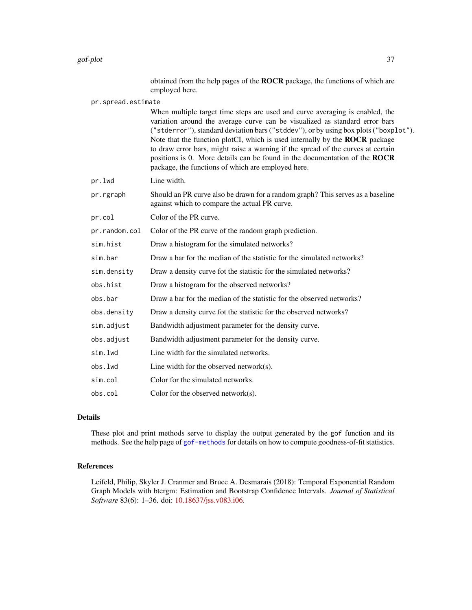obtained from the help pages of the ROCR package, the functions of which are employed here.

pr.spread.estimate

When multiple target time steps are used and curve averaging is enabled, the variation around the average curve can be visualized as standard error bars ("stderror"), standard deviation bars ("stddev"), or by using box plots ("boxplot"). Note that the function plotCI, which is used internally by the ROCR package to draw error bars, might raise a warning if the spread of the curves at certain positions is 0. More details can be found in the documentation of the ROCR package, the functions of which are employed here.

pr.lwd Line width.

pr.rgraph Should an PR curve also be drawn for a random graph? This serves as a baseline against which to compare the actual PR curve.

pr.col Color of the PR curve.

pr.random.col Color of the PR curve of the random graph prediction.

- sim.hist Draw a histogram for the simulated networks?
- sim.bar Draw a bar for the median of the statistic for the simulated networks?
- sim.density Draw a density curve fot the statistic for the simulated networks?
- obs.hist Draw a histogram for the observed networks?
- obs.bar Draw a bar for the median of the statistic for the observed networks?
- obs.density Draw a density curve fot the statistic for the observed networks?
- sim.adjust Bandwidth adjustment parameter for the density curve.
- obs.adjust Bandwidth adjustment parameter for the density curve.
- sim.lwd Line width for the simulated networks.
- obs.lwd Line width for the observed network(s).
- sim.col Color for the simulated networks.
- obs.col Color for the observed network(s).

#### Details

These plot and print methods serve to display the output generated by the gof function and its methods. See the help page of [gof-methods](#page-25-2) for details on how to compute goodness-of-fit statistics.

## References

Leifeld, Philip, Skyler J. Cranmer and Bruce A. Desmarais (2018): Temporal Exponential Random Graph Models with btergm: Estimation and Bootstrap Confidence Intervals. *Journal of Statistical Software* 83(6): 1–36. doi: [10.18637/jss.v083.i06.](https://doi.org/10.18637/jss.v083.i06)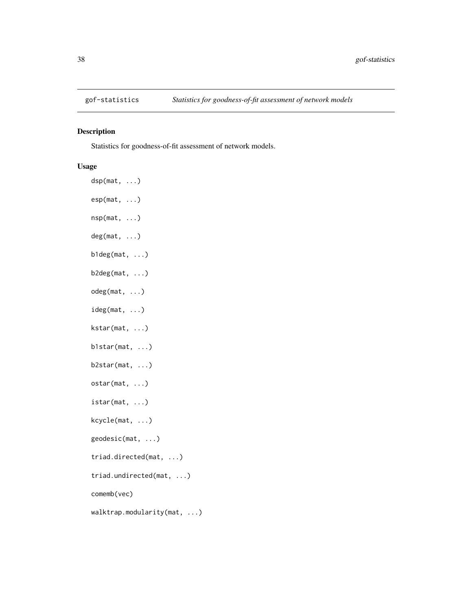<span id="page-37-1"></span><span id="page-37-0"></span>

## <span id="page-37-2"></span>Description

Statistics for goodness-of-fit assessment of network models.

## Usage

dsp(mat, ...) esp(mat, ...) nsp(mat, ...) deg(mat, ...) b1deg(mat, ...) b2deg(mat, ...) odeg(mat, ...) ideg(mat, ...) kstar(mat, ...) b1star(mat, ...) b2star(mat, ...) ostar(mat, ...) istar(mat, ...) kcycle(mat, ...) geodesic(mat, ...) triad.directed(mat, ...) triad.undirected(mat, ...) comemb(vec) walktrap.modularity(mat, ...)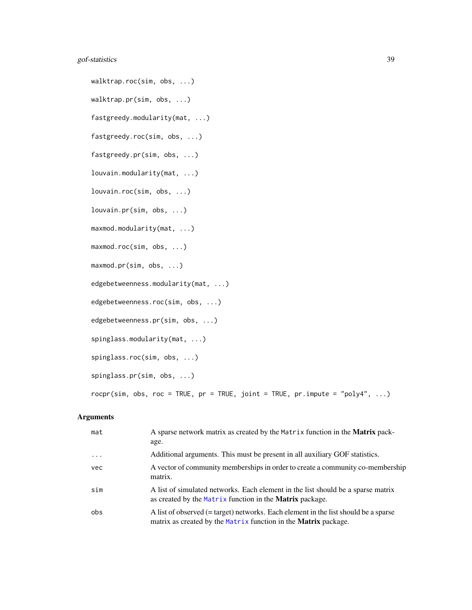## <span id="page-38-0"></span>gof-statistics 39

walktrap.roc(sim, obs, ...) walktrap.pr(sim, obs, ...) fastgreedy.modularity(mat, ...) fastgreedy.roc(sim, obs, ...) fastgreedy.pr(sim, obs, ...) louvain.modularity(mat, ...) louvain.roc(sim, obs, ...) louvain.pr(sim, obs, ...) maxmod.modularity(mat, ...) maxmod.roc(sim, obs, ...) maxmod.pr(sim, obs, ...) edgebetweenness.modularity(mat, ...) edgebetweenness.roc(sim, obs, ...) edgebetweenness.pr(sim, obs, ...) spinglass.modularity(mat, ...) spinglass.roc(sim, obs, ...) spinglass.pr(sim, obs, ...) rocpr(sim, obs, roc = TRUE, pr = TRUE, joint = TRUE, pr.impute = "poly4", ...)

| mat       | A sparse network matrix as created by the Matrix function in the Matrix pack-<br>age.                                                                         |
|-----------|---------------------------------------------------------------------------------------------------------------------------------------------------------------|
| $\ddotsc$ | Additional arguments. This must be present in all auxiliary GOF statistics.                                                                                   |
| vec       | A vector of community memberships in order to create a community co-membership<br>matrix.                                                                     |
| sim       | A list of simulated networks. Each element in the list should be a sparse matrix<br>as created by the Matrix function in the <b>Matrix</b> package.           |
| obs       | A list of observed (= target) networks. Each element in the list should be a sparse<br>matrix as created by the Matrix function in the <b>Matrix</b> package. |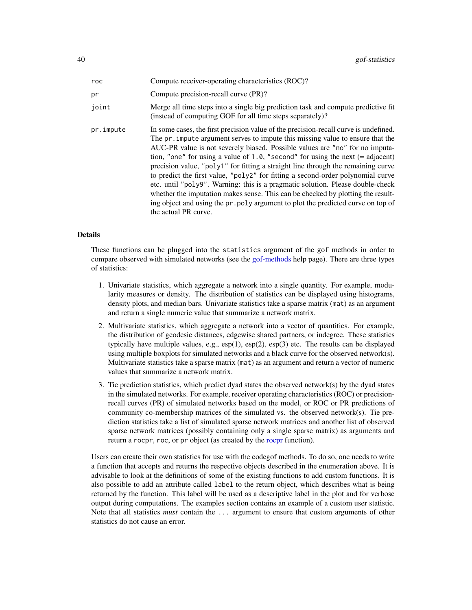<span id="page-39-0"></span>

| roc       | Compute receiver-operating characteristics (ROC)?                                                                                                                                                                                                                                                                                                                                                                                                                                                                                                                                                                                                                                                                                                                                                  |
|-----------|----------------------------------------------------------------------------------------------------------------------------------------------------------------------------------------------------------------------------------------------------------------------------------------------------------------------------------------------------------------------------------------------------------------------------------------------------------------------------------------------------------------------------------------------------------------------------------------------------------------------------------------------------------------------------------------------------------------------------------------------------------------------------------------------------|
| pr        | Compute precision-recall curve (PR)?                                                                                                                                                                                                                                                                                                                                                                                                                                                                                                                                                                                                                                                                                                                                                               |
| joint     | Merge all time steps into a single big prediction task and compute predictive fit<br>(instead of computing GOF for all time steps separately)?                                                                                                                                                                                                                                                                                                                                                                                                                                                                                                                                                                                                                                                     |
| pr.impute | In some cases, the first precision value of the precision-recall curve is undefined.<br>The pr. impute argument serves to impute this missing value to ensure that the<br>AUC-PR value is not severely biased. Possible values are "no" for no imputa-<br>tion, "one" for using a value of 1.0, "second" for using the next $(=$ adjacent)<br>precision value, "poly1" for fitting a straight line through the remaining curve<br>to predict the first value, "poly2" for fitting a second-order polynomial curve<br>etc. until "poly9". Warning: this is a pragmatic solution. Please double-check<br>whether the imputation makes sense. This can be checked by plotting the result-<br>ing object and using the pr. poly argument to plot the predicted curve on top of<br>the actual PR curve. |

## Details

These functions can be plugged into the statistics argument of the gof methods in order to compare observed with simulated networks (see the [gof-methods](#page-25-2) help page). There are three types of statistics:

- 1. Univariate statistics, which aggregate a network into a single quantity. For example, modularity measures or density. The distribution of statistics can be displayed using histograms, density plots, and median bars. Univariate statistics take a sparse matrix (mat) as an argument and return a single numeric value that summarize a network matrix.
- 2. Multivariate statistics, which aggregate a network into a vector of quantities. For example, the distribution of geodesic distances, edgewise shared partners, or indegree. These statistics typically have multiple values, e.g.,  $\exp(1)$ ,  $\exp(2)$ ,  $\exp(3)$  etc. The results can be displayed using multiple boxplots for simulated networks and a black curve for the observed network(s). Multivariate statistics take a sparse matrix (mat) as an argument and return a vector of numeric values that summarize a network matrix.
- 3. Tie prediction statistics, which predict dyad states the observed network(s) by the dyad states in the simulated networks. For example, receiver operating characteristics (ROC) or precisionrecall curves (PR) of simulated networks based on the model, or ROC or PR predictions of community co-membership matrices of the simulated vs. the observed network(s). Tie prediction statistics take a list of simulated sparse network matrices and another list of observed sparse network matrices (possibly containing only a single sparse matrix) as arguments and return a rocpr, roc, or pr object (as created by the [rocpr](#page-37-2) function).

Users can create their own statistics for use with the codegof methods. To do so, one needs to write a function that accepts and returns the respective objects described in the enumeration above. It is advisable to look at the definitions of some of the existing functions to add custom functions. It is also possible to add an attribute called label to the return object, which describes what is being returned by the function. This label will be used as a descriptive label in the plot and for verbose output during computations. The examples section contains an example of a custom user statistic. Note that all statistics *must* contain the ... argument to ensure that custom arguments of other statistics do not cause an error.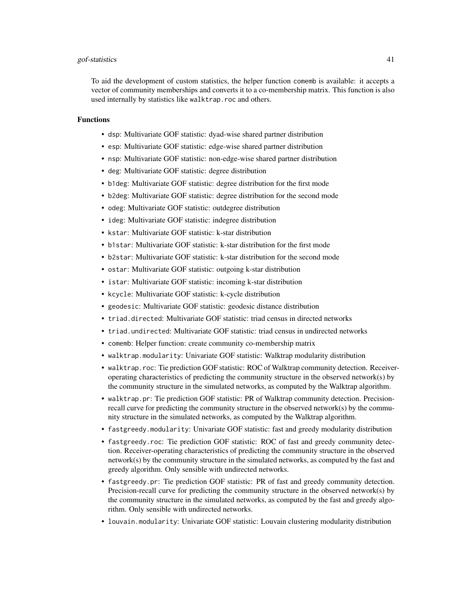#### gof-statistics 41

To aid the development of custom statistics, the helper function comemb is available: it accepts a vector of community memberships and converts it to a co-membership matrix. This function is also used internally by statistics like walktrap.roc and others.

#### Functions

- dsp: Multivariate GOF statistic: dyad-wise shared partner distribution
- esp: Multivariate GOF statistic: edge-wise shared partner distribution
- nsp: Multivariate GOF statistic: non-edge-wise shared partner distribution
- deg: Multivariate GOF statistic: degree distribution
- b1deg: Multivariate GOF statistic: degree distribution for the first mode
- b2deg: Multivariate GOF statistic: degree distribution for the second mode
- odeg: Multivariate GOF statistic: outdegree distribution
- ideg: Multivariate GOF statistic: indegree distribution
- kstar: Multivariate GOF statistic: k-star distribution
- b1star: Multivariate GOF statistic: k-star distribution for the first mode
- b2star: Multivariate GOF statistic: k-star distribution for the second mode
- ostar: Multivariate GOF statistic: outgoing k-star distribution
- istar: Multivariate GOF statistic: incoming k-star distribution
- kcycle: Multivariate GOF statistic: k-cycle distribution
- geodesic: Multivariate GOF statistic: geodesic distance distribution
- triad.directed: Multivariate GOF statistic: triad census in directed networks
- triad.undirected: Multivariate GOF statistic: triad census in undirected networks
- comemb: Helper function: create community co-membership matrix
- walktrap.modularity: Univariate GOF statistic: Walktrap modularity distribution
- walktrap.roc: Tie prediction GOF statistic: ROC of Walktrap community detection. Receiveroperating characteristics of predicting the community structure in the observed network(s) by the community structure in the simulated networks, as computed by the Walktrap algorithm.
- walktrap.pr: Tie prediction GOF statistic: PR of Walktrap community detection. Precisionrecall curve for predicting the community structure in the observed network(s) by the community structure in the simulated networks, as computed by the Walktrap algorithm.
- fastgreedy.modularity: Univariate GOF statistic: fast and greedy modularity distribution
- fastgreedy.roc: Tie prediction GOF statistic: ROC of fast and greedy community detection. Receiver-operating characteristics of predicting the community structure in the observed network(s) by the community structure in the simulated networks, as computed by the fast and greedy algorithm. Only sensible with undirected networks.
- fastgreedy.pr: Tie prediction GOF statistic: PR of fast and greedy community detection. Precision-recall curve for predicting the community structure in the observed network(s) by the community structure in the simulated networks, as computed by the fast and greedy algorithm. Only sensible with undirected networks.
- louvain.modularity: Univariate GOF statistic: Louvain clustering modularity distribution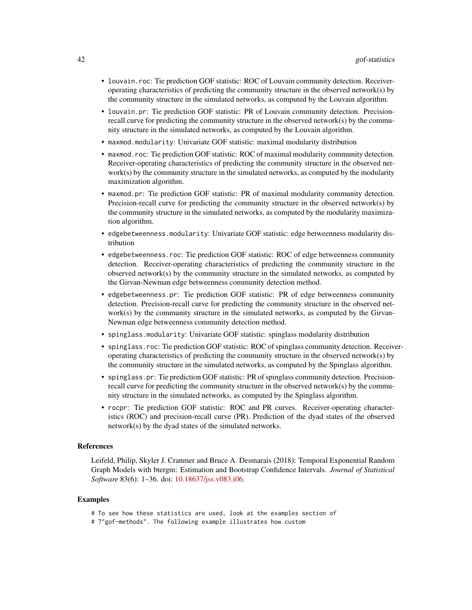- louvain.roc: Tie prediction GOF statistic: ROC of Louvain community detection. Receiveroperating characteristics of predicting the community structure in the observed network(s) by the community structure in the simulated networks, as computed by the Louvain algorithm.
- louvain.pr: Tie prediction GOF statistic: PR of Louvain community detection. Precisionrecall curve for predicting the community structure in the observed network(s) by the community structure in the simulated networks, as computed by the Louvain algorithm.
- maxmod.modularity: Univariate GOF statistic: maximal modularity distribution
- maxmod.roc: Tie prediction GOF statistic: ROC of maximal modularity community detection. Receiver-operating characteristics of predicting the community structure in the observed network $(s)$  by the community structure in the simulated networks, as computed by the modularity maximization algorithm.
- maxmod.pr: Tie prediction GOF statistic: PR of maximal modularity community detection. Precision-recall curve for predicting the community structure in the observed network(s) by the community structure in the simulated networks, as computed by the modularity maximization algorithm.
- edgebetweenness.modularity: Univariate GOF statistic: edge betweenness modularity distribution
- edgebetweenness.roc: Tie prediction GOF statistic: ROC of edge betweenness community detection. Receiver-operating characteristics of predicting the community structure in the observed network(s) by the community structure in the simulated networks, as computed by the Girvan-Newman edge betweenness community detection method.
- edgebetweenness.pr: Tie prediction GOF statistic: PR of edge betweenness community detection. Precision-recall curve for predicting the community structure in the observed network(s) by the community structure in the simulated networks, as computed by the Girvan-Newman edge betweenness community detection method.
- spinglass.modularity: Univariate GOF statistic: spinglass modularity distribution
- spinglass.roc: Tie prediction GOF statistic: ROC of spinglass community detection. Receiveroperating characteristics of predicting the community structure in the observed network(s) by the community structure in the simulated networks, as computed by the Spinglass algorithm.
- spinglass.pr: Tie prediction GOF statistic: PR of spinglass community detection. Precisionrecall curve for predicting the community structure in the observed network(s) by the community structure in the simulated networks, as computed by the Spinglass algorithm.
- rocpr: Tie prediction GOF statistic: ROC and PR curves. Receiver-operating characteristics (ROC) and precision-recall curve (PR). Prediction of the dyad states of the observed network(s) by the dyad states of the simulated networks.

#### References

Leifeld, Philip, Skyler J. Cranmer and Bruce A. Desmarais (2018): Temporal Exponential Random Graph Models with btergm: Estimation and Bootstrap Confidence Intervals. *Journal of Statistical Software* 83(6): 1–36. doi: [10.18637/jss.v083.i06.](https://doi.org/10.18637/jss.v083.i06)

#### Examples

- # To see how these statistics are used, look at the examples section of
- # ?"gof-methods". The following example illustrates how custom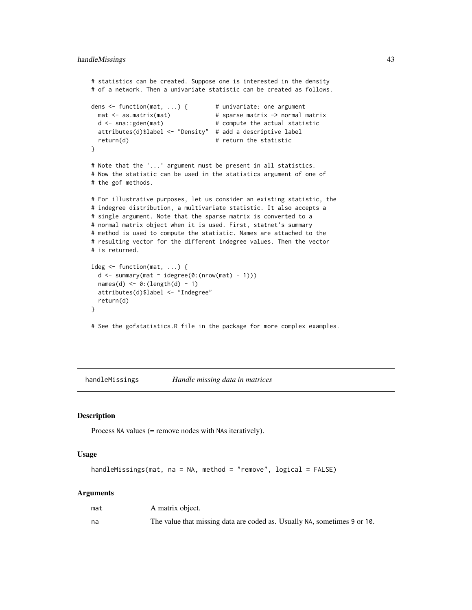```
# statistics can be created. Suppose one is interested in the density
# of a network. Then a univariate statistic can be created as follows.
dens <- function(mat, ...) { # univariate: one argument
 mat <- as.matrix(mat) # sparse matrix -> normal matrix
 d \leq - sna::gden(mat) # compute the actual statistic
 attributes(d)$label <- "Density" # add a descriptive label
 return(d) # return the statistic
}
# Note that the '...' argument must be present in all statistics.
# Now the statistic can be used in the statistics argument of one of
# the gof methods.
# For illustrative purposes, let us consider an existing statistic, the
# indegree distribution, a multivariate statistic. It also accepts a
# single argument. Note that the sparse matrix is converted to a
# normal matrix object when it is used. First, statnet's summary
# method is used to compute the statistic. Names are attached to the
# resulting vector for the different indegree values. Then the vector
# is returned.
ideg <- function(mat, ...) {
 d \leq summary(mat \sim idegree(0:(nrow(mat) - 1)))
 names(d) \leftarrow 0:(length(d) - 1)attributes(d)$label <- "Indegree"
 return(d)
}
```
# See the gofstatistics.R file in the package for more complex examples.

<span id="page-42-1"></span>handleMissings *Handle missing data in matrices*

#### Description

Process NA values (= remove nodes with NAs iteratively).

#### Usage

```
handleMissings(mat, na = NA, method = "remove", logical = FALSE)
```

| mat | A matrix object.                                                         |
|-----|--------------------------------------------------------------------------|
| na  | The value that missing data are coded as. Usually NA, sometimes 9 or 10. |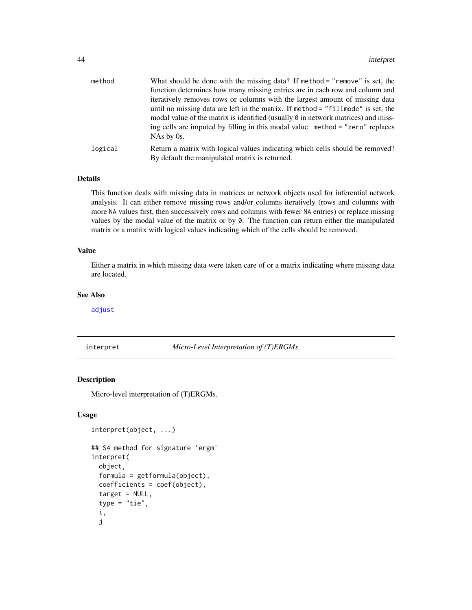<span id="page-43-0"></span>

| method  | What should be done with the missing data? If method $=$ "remove" is set, the                                                                                                                                                                                  |
|---------|----------------------------------------------------------------------------------------------------------------------------------------------------------------------------------------------------------------------------------------------------------------|
|         | function determines how many missing entries are in each row and column and                                                                                                                                                                                    |
|         | iteratively removes rows or columns with the largest amount of missing data                                                                                                                                                                                    |
|         | until no missing data are left in the matrix. If method = "fillmode" is set, the<br>modal value of the matrix is identified (usually $\theta$ in network matrices) and miss-<br>ing cells are imputed by filling in this modal value. method = "zero" replaces |
|         | $NAs$ by 0s.                                                                                                                                                                                                                                                   |
| logical | Return a matrix with logical values indicating which cells should be removed?<br>By default the manipulated matrix is returned.                                                                                                                                |

## Details

This function deals with missing data in matrices or network objects used for inferential network analysis. It can either remove missing rows and/or columns iteratively (rows and columns with more NA values first, then successively rows and columns with fewer NA entries) or replace missing values by the modal value of the matrix or by 0. The function can return either the manipulated matrix or a matrix with logical values indicating which of the cells should be removed.

## Value

Either a matrix in which missing data were taken care of or a matrix indicating where missing data are located.

#### See Also

[adjust](#page-2-1)

#### <span id="page-43-1"></span>interpret *Micro-Level Interpretation of (T)ERGMs*

#### Description

Micro-level interpretation of (T)ERGMs.

#### Usage

```
interpret(object, ...)
## S4 method for signature 'ergm'
```

```
interpret(
  object,
  formula = getformula(object),
  coefficients = coef(object),
  target = NULL,type = "tie",i,
  j
```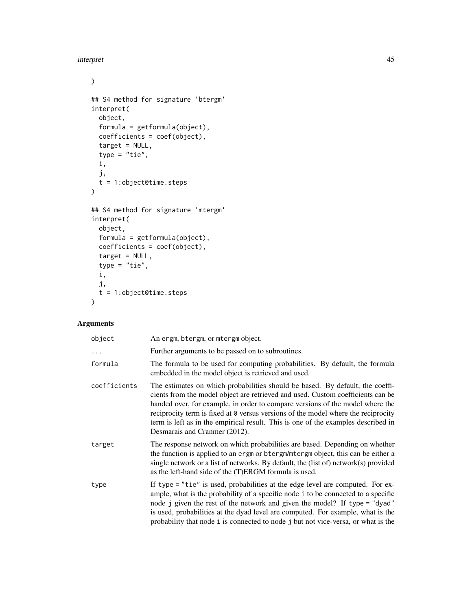#### interpret that the contract of the contract of the contract of the contract of the contract of the contract of the contract of the contract of the contract of the contract of the contract of the contract of the contract of

 $\mathcal{L}$ 

```
## S4 method for signature 'btergm'
interpret(
 object,
 formula = getformula(object),
 coefficients = coef(object),
  target = NULL,type = "tie",
 i,
 j,
 t = 1:object@time.steps
)
## S4 method for signature 'mtergm'
interpret(
 object,
 formula = getformula(object),
 coefficients = coef(object),
  target = NULL,type = "tie",i,
 j,
  t = 1:object@time.steps
\mathcal{L}
```

| object       | An ergm, btergm, or mtergm object.                                                                                                                                                                                                                                                                                                                                                                                                                           |
|--------------|--------------------------------------------------------------------------------------------------------------------------------------------------------------------------------------------------------------------------------------------------------------------------------------------------------------------------------------------------------------------------------------------------------------------------------------------------------------|
| $\ddots$     | Further arguments to be passed on to subroutines.                                                                                                                                                                                                                                                                                                                                                                                                            |
| formula      | The formula to be used for computing probabilities. By default, the formula<br>embedded in the model object is retrieved and used.                                                                                                                                                                                                                                                                                                                           |
| coefficients | The estimates on which probabilities should be based. By default, the coeffi-<br>cients from the model object are retrieved and used. Custom coefficients can be<br>handed over, for example, in order to compare versions of the model where the<br>reciprocity term is fixed at 0 versus versions of the model where the reciprocity<br>term is left as in the empirical result. This is one of the examples described in<br>Desmarais and Cranmer (2012). |
| target       | The response network on which probabilities are based. Depending on whether<br>the function is applied to an ergm or btergm/mtergm object, this can be either a<br>single network or a list of networks. By default, the (list of) network(s) provided<br>as the left-hand side of the (T)ERGM formula is used.                                                                                                                                              |
| type         | If type = "tie" is used, probabilities at the edge level are computed. For ex-<br>ample, what is the probability of a specific node i to be connected to a specific<br>node j given the rest of the network and given the model? If type = "dyad"<br>is used, probabilities at the dyad level are computed. For example, what is the<br>probability that node i is connected to node j but not vice-versa, or what is the                                    |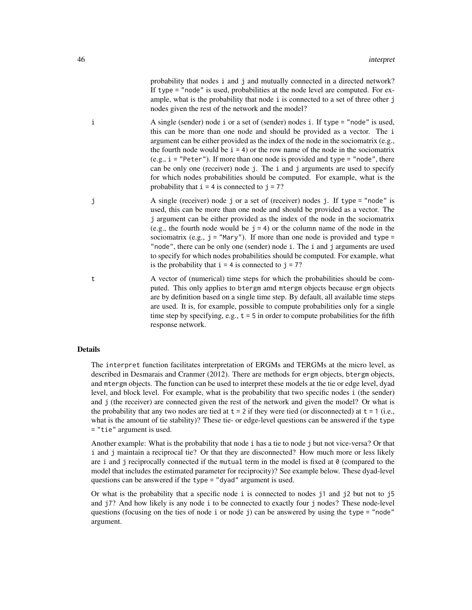probability that nodes i and j and mutually connected in a directed network? If type = "node" is used, probabilities at the node level are computed. For example, what is the probability that node i is connected to a set of three other j nodes given the rest of the network and the model?

- i A single (sender) node i or a set of (sender) nodes i. If type = "node" is used, this can be more than one node and should be provided as a vector. The i argument can be either provided as the index of the node in the sociomatrix (e.g., the fourth node would be  $i = 4$ ) or the row name of the node in the sociomatrix  $(e.g., i = "Peter").$  If more than one node is provided and type = "node", there can be only one (receiver) node j. The i and j arguments are used to specify for which nodes probabilities should be computed. For example, what is the probability that  $i = 4$  is connected to  $j = 7$ ?
- j A single (receiver) node j or a set of (receiver) nodes j. If type = "node" is used, this can be more than one node and should be provided as a vector. The j argument can be either provided as the index of the node in the sociomatrix (e.g., the fourth node would be  $j = 4$ ) or the column name of the node in the sociomatrix (e.g.,  $j =$  "Mary"). If more than one node is provided and type = "node", there can be only one (sender) node i. The i and j arguments are used to specify for which nodes probabilities should be computed. For example, what is the probability that  $i = 4$  is connected to  $j = 7$ ?
- t A vector of (numerical) time steps for which the probabilities should be computed. This only applies to btergm amd mtergm objects because ergm objects are by definition based on a single time step. By default, all available time steps are used. It is, for example, possible to compute probabilities only for a single time step by specifying, e.g.,  $t = 5$  in order to compute probabilities for the fifth response network.

#### Details

The interpret function facilitates interpretation of ERGMs and TERGMs at the micro level, as described in Desmarais and Cranmer (2012). There are methods for ergm objects, btergm objects, and mtergm objects. The function can be used to interpret these models at the tie or edge level, dyad level, and block level. For example, what is the probability that two specific nodes i (the sender) and j (the receiver) are connected given the rest of the network and given the model? Or what is the probability that any two nodes are tied at  $t = 2$  if they were tied (or disconnected) at  $t = 1$  (i.e., what is the amount of tie stability)? These tie- or edge-level questions can be answered if the type = "tie" argument is used.

Another example: What is the probability that node i has a tie to node j but not vice-versa? Or that i and j maintain a reciprocal tie? Or that they are disconnected? How much more or less likely are i and j reciprocally connected if the mutual term in the model is fixed at  $\theta$  (compared to the model that includes the estimated parameter for reciprocity)? See example below. These dyad-level questions can be answered if the type = "dyad" argument is used.

Or what is the probability that a specific node i is connected to nodes j1 and j2 but not to j5 and j7? And how likely is any node i to be connected to exactly four j nodes? These node-level questions (focusing on the ties of node i or node j) can be answered by using the type = "node" argument.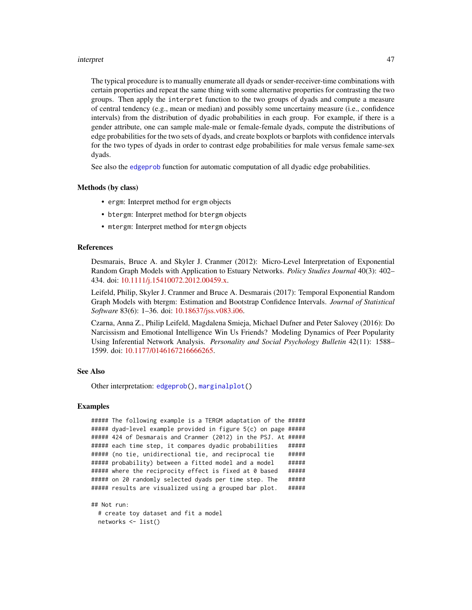#### <span id="page-46-0"></span>interpret 47

The typical procedure is to manually enumerate all dyads or sender-receiver-time combinations with certain properties and repeat the same thing with some alternative properties for contrasting the two groups. Then apply the interpret function to the two groups of dyads and compute a measure of central tendency (e.g., mean or median) and possibly some uncertainy measure (i.e., confidence intervals) from the distribution of dyadic probabilities in each group. For example, if there is a gender attribute, one can sample male-male or female-female dyads, compute the distributions of edge probabilities for the two sets of dyads, and create boxplots or barplots with confidence intervals for the two types of dyads in order to contrast edge probabilities for male versus female same-sex dyads.

See also the [edgeprob](#page-23-1) function for automatic computation of all dyadic edge probabilities.

#### Methods (by class)

- ergm: Interpret method for ergm objects
- btergm: Interpret method for btergm objects
- mtergm: Interpret method for mtergm objects

#### References

Desmarais, Bruce A. and Skyler J. Cranmer (2012): Micro-Level Interpretation of Exponential Random Graph Models with Application to Estuary Networks. *Policy Studies Journal* 40(3): 402– 434. doi: [10.1111/j.15410072.2012.00459.x.](https://doi.org/10.1111/j.1541-0072.2012.00459.x)

Leifeld, Philip, Skyler J. Cranmer and Bruce A. Desmarais (2017): Temporal Exponential Random Graph Models with btergm: Estimation and Bootstrap Confidence Intervals. *Journal of Statistical Software* 83(6): 1–36. doi: [10.18637/jss.v083.i06.](https://doi.org/10.18637/jss.v083.i06)

Czarna, Anna Z., Philip Leifeld, Magdalena Smieja, Michael Dufner and Peter Salovey (2016): Do Narcissism and Emotional Intelligence Win Us Friends? Modeling Dynamics of Peer Popularity Using Inferential Network Analysis. *Personality and Social Psychology Bulletin* 42(11): 1588– 1599. doi: [10.1177/0146167216666265.](https://doi.org/10.1177/0146167216666265)

#### See Also

Other interpretation: [edgeprob\(](#page-23-1)), [marginalplot\(](#page-53-1))

#### Examples

```
##### The following example is a TERGM adaptation of the #####
##### dyad-level example provided in figure 5(c) on page #####
##### 424 of Desmarais and Cranmer (2012) in the PSJ. At #####
##### each time step, it compares dyadic probabilities #####
##### (no tie, unidirectional tie, and reciprocal tie #####
##### probability) between a fitted model and a model #####
##### where the reciprocity effect is fixed at 0 based #####
##### on 20 randomly selected dyads per time step. The #####
##### results are visualized using a grouped bar plot. #####
```

```
## Not run:
 # create toy dataset and fit a model
 networks <- list()
```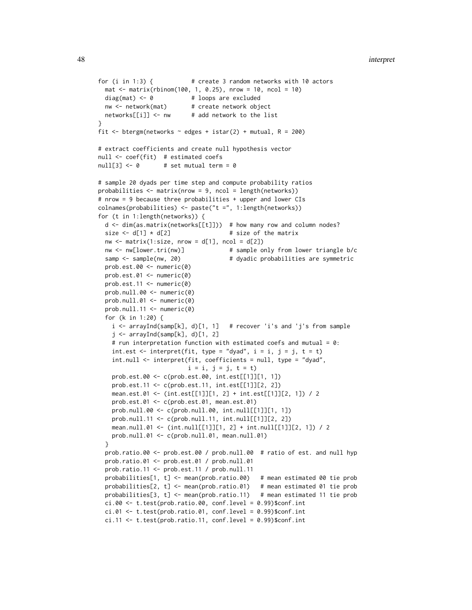```
for (i in 1:3) { # create 3 random networks with 10 actors
  mat < -matrix(rbinom{100}{100}, 1, 0.25), nrow = 10, ncol = 10)
  diag(mat) <- 0 + loops are excluded
  nw <- network(mat) # create network object
 networks[[i]] <- nw # add network to the list
}
fit \le btergm(networks \sim edges + istar(2) + mutual, R = 200)
# extract coefficients and create null hypothesis vector
null <- coef(fit) # estimated coefs
null[3] \leftarrow 0 # set mutual term = 0
# sample 20 dyads per time step and compute probability ratios
probabilities <- matrix(nrow = 9, ncol = length(networks))
# nrow = 9 because three probabilities + upper and lower CIs
colnames(probabilities) <- paste("t =", 1:length(networks))
for (t in 1:length(networks)) {
  d <- dim(as.matrix(networks[[t]])) # how many row and column nodes?
  size \leftarrow d[1] \times d[2] # size of the matrix
  nw \le matrix(1:size, nrow = d[1], ncol = d[2])
  nw <- nw[lower.tri(nw)] # sample only from lower triangle b/c
  samp \leq sample(nw, 20) \qquad # dyadic probabilities are symmetric
  prob.est.00 <- numeric(0)
  prob.est.01 <- numeric(0)
  prob.est.11 \leq numeric(0)prob.null.00 <- numeric(0)
  prob.null.01 <- numeric(0)
  prob.null.11 <- numeric(0)
  for (k in 1:20) {
    i <- arrayInd(samp[k], d)[1, 1] # recover 'i's and 'j's from sample
    j \leftarrow \text{arrayInd}(\text{samplek}], d)[1, 2]# run interpretation function with estimated coefs and mutual = 0:
    int.est \le interpret(fit, type = "dyad", i = i, j = j, t = t)
    int.null <- interpret(fit, coefficients = null, type = "dyad",
                          i = i, j = j, t = tprob.est.00 <- c(prob.est.00, int.est[[1]][1, 1])
    prob.est.11 <- c(prob.est.11, int.est[[1]][2, 2])
    mean.est.01 <- (int.est[[1]][1, 2] + int.est[[1]][2, 1]) / 2
    prob.est.01 <- c(prob.est.01, mean.est.01)
    prob.null.00 <- c(prob.null.00, int.null[[1]][1, 1])
    prob.null.11 <- c(prob.null.11, int.null[[1]][2, 2])
    mean.null.01 <- (int.null[[1]][1, 2] + int.null[[1]][2, 1]) / 2
    prob.null.01 <- c(prob.null.01, mean.null.01)
  }
  prob.ratio.00 <- prob.est.00 / prob.null.00 # ratio of est. and null hyp
  prob.ratio.01 <- prob.est.01 / prob.null.01
  prob.ratio.11 <- prob.est.11 / prob.null.11
  probabilities[1, t] <- mean(prob.ratio.00) # mean estimated 00 tie prob
  probabilities[2, t] <- mean(prob.ratio.01) # mean estimated 01 tie prob
  probabilities[3, t] <- mean(prob.ratio.11) # mean estimated 11 tie prob
  ci.00 \leftarrow t.test(prob.ratio.00, conf.level = 0.99)$conf.int
  ci.01 \leftarrow t.test(prob.ratio.01, conf.level = 0.99)$conf.int
  ci.11 < -t. test(prob.ratio.11, conf. level = 0.99)$conf.int
```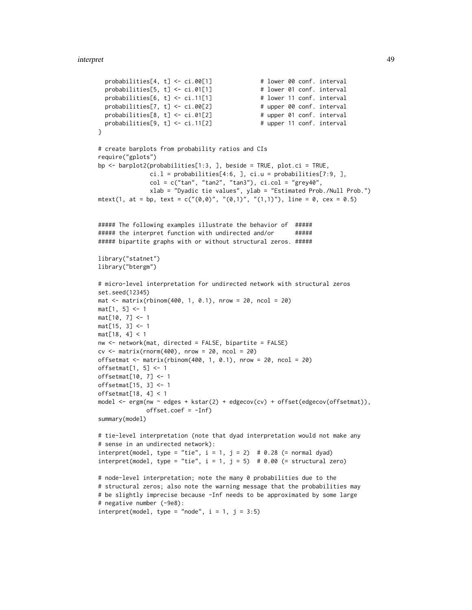```
probabilities[4, t] \leq c i.00[1] # lower 00 conf. interval
  probabilities[5, t] \leftarrow ci.01[1] # lower 01 conf. interval
  probabilities[6, t] \leftarrow ci.11[1] \leftarrow # lower 11 conf. interval<br>probabilities[7, t] \leftarrow ci.00[2] \leftarrow # upper 00 conf. interval
  probabilities[7, t] <- ci.00[2]
  probabilities[8, t] <- ci.01[2] # upper 01 conf. interval
  probabilities[9, t] \leftarrow ci.11[2] # upper 11 conf. interval
}
# create barplots from probability ratios and CIs
require("gplots")
bp <- barplot2(probabilities[1:3, ], beside = TRUE, plot.ci = TRUE,
               ci.l = probabilities[4:6, ], ci.u = probabilities[7:9, ],col = c("tan", "tan2", "tan3"), ci,col = "grey40",xlab = "Dyadic tie values", ylab = "Estimated Prob./Null Prob.")
mtext(1, at = bp, text = c("(0,0)", "(0,1)", "(1,1)"), line = 0, cex = 0.5)
##### The following examples illustrate the behavior of #####
###### the interpret function with undirected and/or ######
##### bipartite graphs with or without structural zeros. #####
library("statnet")
library("btergm")
# micro-level interpretation for undirected network with structural zeros
set.seed(12345)
\text{mat} < - matrix(rbinom(400, 1, 0.1), nrow = 20, ncol = 20)
mat[1, 5] < -1mat[10, 7] <- 1
mat[15, 3] <- 1
mat[18, 4] < 1
nw <- network(mat, directed = FALSE, bipartite = FALSE)
cv \leq -\text{matrix}(rnorm(400), nrow = 20, ncol = 20)offsetmat \leq matrix(rbinom(400, 1, 0.1), nrow = 20, ncol = 20)
offsetmat[1, 5] <- 1
offsetmat[10, 7] <- 1
offsetmat[15, 3] <- 1
offsetmat[18, 4] < 1
model <- ergm(nw ~ edges + kstar(2) + edgecov(cv) + offset(edgecov(offsetmat)),
              offset.coef = -Inf)summary(model)
# tie-level interpretation (note that dyad interpretation would not make any
# sense in an undirected network):
interpret(model, type = "tie", i = 1, j = 2) # 0.28 (= normal dyad)interpret(model, type = "tie", i = 1, j = 5) # 0.00 (= structural zero)
# node-level interpretation; note the many 0 probabilities due to the
# structural zeros; also note the warning message that the probabilities may
# be slightly imprecise because -Inf needs to be approximated by some large
# negative number (-9e8):
interpret(model, type = "node", i = 1, j = 3:5)
```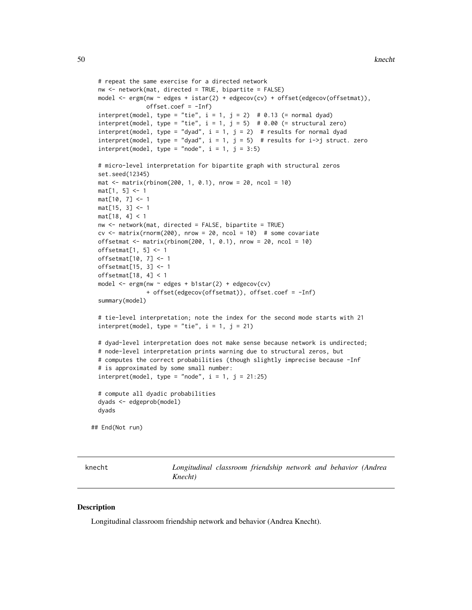```
# repeat the same exercise for a directed network
nw <- network(mat, directed = TRUE, bipartite = FALSE)
model <- ergm(nw ~ edges + istar(2) + edgecov(cv) + offset(edgecov(offsetmat)),
              offset.coef = -Inf)interpret(model, type = "tie", i = 1, j = 2) # 0.13 (= normal dyad)
interpret(model, type = "tie", i = 1, j = 5) # 0.00 (= structural zero)
interpret(model, type = "dyad", i = 1, j = 2) # results for normal dyad
interpret(model, type = "dyad", i = 1, j = 5) # results for i->j struct. zerointerpret(model, type = "node", i = 1, j = 3:5)
# micro-level interpretation for bipartite graph with structural zeros
set.seed(12345)
mat < -matrix(rbinom(200, 1, 0.1), nrow = 20, ncol = 10)mat[1, 5] < -1mat[10, 7] <- 1
mat[15, 3] < -1mat[18, 4] < 1
nw <- network(mat, directed = FALSE, bipartite = TRUE)
cv \le - matrix(rnorm(200), nrow = 20, ncol = 10) # some covariate
offsetmat \le matrix(rbinom(200, 1, 0.1), nrow = 20, ncol = 10)
offsetmat[1, 5] <- 1
offsetmat[10, 7] <- 1
offsetmat[15, 3] <- 1
offsetmat[18, 4] < 1
model <- ergm(nw ~ edges + b1star(2) + edgecov(cv)
              + offset(edgecov(offsetmat)), offset.coef = -Inf)
summary(model)
# tie-level interpretation; note the index for the second mode starts with 21
interpret(model, type = "tie", i = 1, j = 21)# dyad-level interpretation does not make sense because network is undirected;
# node-level interpretation prints warning due to structural zeros, but
# computes the correct probabilities (though slightly imprecise because -Inf
# is approximated by some small number:
interpret(model, type = "node", i = 1, j = 21:25)
# compute all dyadic probabilities
dyads <- edgeprob(model)
dyads
```
## End(Not run)

<span id="page-49-1"></span>

knecht *Longitudinal classroom friendship network and behavior (Andrea Knecht)*

#### **Description**

Longitudinal classroom friendship network and behavior (Andrea Knecht).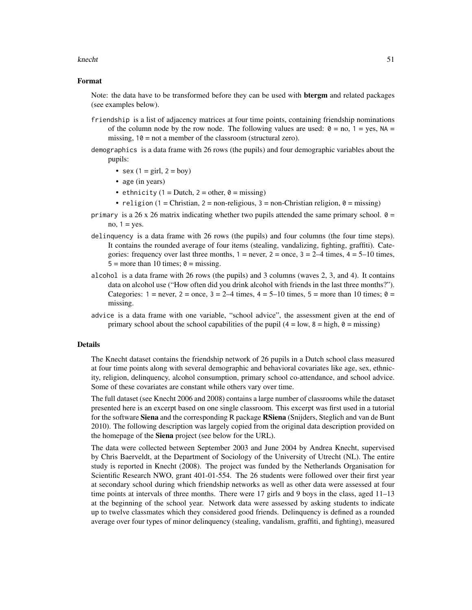#### knecht 51

#### Format

Note: the data have to be transformed before they can be used with **betram** and related packages (see examples below).

- friendship is a list of adjacency matrices at four time points, containing friendship nominations of the column node by the row node. The following values are used:  $\theta =$  no,  $1 =$  yes, NA = missing,  $10 = not a member of the classroom (structural zero).$
- demographics is a data frame with 26 rows (the pupils) and four demographic variables about the pupils:
	- sex  $(1 = \text{girl}, 2 = \text{boy})$
	- age (in years)
	- ethnicity (1 = Dutch, 2 = other,  $\theta$  = missing)
	- religion (1 = Christian, 2 = non-religious, 3 = non-Christian religion,  $0 =$  missing)
- primary is a 26 x 26 matrix indicating whether two pupils attended the same primary school.  $\theta$  = no,  $1 = yes$ .
- delinquency is a data frame with 26 rows (the pupils) and four columns (the four time steps). It contains the rounded average of four items (stealing, vandalizing, fighting, graffiti). Categories: frequency over last three months,  $1 =$  never,  $2 =$  once,  $3 = 2-4$  times,  $4 = 5-10$  times,  $5 =$  more than 10 times;  $\theta =$  missing.
- alcohol is a data frame with 26 rows (the pupils) and 3 columns (waves 2, 3, and 4). It contains data on alcohol use ("How often did you drink alcohol with friends in the last three months?"). Categories:  $1 =$  never,  $2 =$  once,  $3 = 2-4$  times,  $4 = 5-10$  times,  $5 =$  more than 10 times;  $\theta =$ missing.
- advice is a data frame with one variable, "school advice", the assessment given at the end of primary school about the school capabilities of the pupil  $(4 = low, 8 = high, 0 = missing)$

#### Details

The Knecht dataset contains the friendship network of 26 pupils in a Dutch school class measured at four time points along with several demographic and behavioral covariates like age, sex, ethnicity, religion, delinquency, alcohol consumption, primary school co-attendance, and school advice. Some of these covariates are constant while others vary over time.

The full dataset (see Knecht 2006 and 2008) contains a large number of classrooms while the dataset presented here is an excerpt based on one single classroom. This excerpt was first used in a tutorial for the software Siena and the corresponding R package RSiena (Snijders, Steglich and van de Bunt 2010). The following description was largely copied from the original data description provided on the homepage of the Siena project (see below for the URL).

The data were collected between September 2003 and June 2004 by Andrea Knecht, supervised by Chris Baerveldt, at the Department of Sociology of the University of Utrecht (NL). The entire study is reported in Knecht (2008). The project was funded by the Netherlands Organisation for Scientific Research NWO, grant 401-01-554. The 26 students were followed over their first year at secondary school during which friendship networks as well as other data were assessed at four time points at intervals of three months. There were 17 girls and 9 boys in the class, aged 11–13 at the beginning of the school year. Network data were assessed by asking students to indicate up to twelve classmates which they considered good friends. Delinquency is defined as a rounded average over four types of minor delinquency (stealing, vandalism, graffiti, and fighting), measured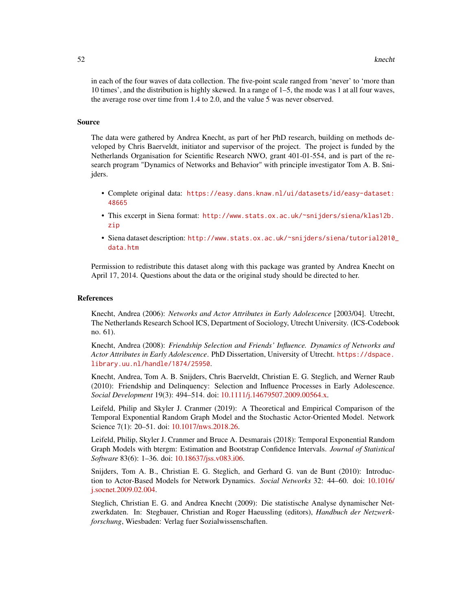in each of the four waves of data collection. The five-point scale ranged from 'never' to 'more than 10 times', and the distribution is highly skewed. In a range of 1–5, the mode was 1 at all four waves, the average rose over time from 1.4 to 2.0, and the value 5 was never observed.

#### Source

The data were gathered by Andrea Knecht, as part of her PhD research, building on methods developed by Chris Baerveldt, initiator and supervisor of the project. The project is funded by the Netherlands Organisation for Scientific Research NWO, grant 401-01-554, and is part of the research program "Dynamics of Networks and Behavior" with principle investigator Tom A. B. Snijders.

- Complete original data: [https://easy.dans.knaw.nl/ui/datasets/id/easy-dataset:](https://easy.dans.knaw.nl/ui/datasets/id/easy-dataset:48665) [48665](https://easy.dans.knaw.nl/ui/datasets/id/easy-dataset:48665)
- This excerpt in Siena format: [http://www.stats.ox.ac.uk/~snijders/siena/klas12b.](http://www.stats.ox.ac.uk/~snijders/siena/klas12b.zip) [zip](http://www.stats.ox.ac.uk/~snijders/siena/klas12b.zip)
- Siena dataset description: [http://www.stats.ox.ac.uk/~snijders/siena/tutorial2010\\_](http://www.stats.ox.ac.uk/~snijders/siena/tutorial2010_data.htm) [data.htm](http://www.stats.ox.ac.uk/~snijders/siena/tutorial2010_data.htm)

Permission to redistribute this dataset along with this package was granted by Andrea Knecht on April 17, 2014. Questions about the data or the original study should be directed to her.

#### References

Knecht, Andrea (2006): *Networks and Actor Attributes in Early Adolescence* [2003/04]. Utrecht, The Netherlands Research School ICS, Department of Sociology, Utrecht University. (ICS-Codebook no. 61).

Knecht, Andrea (2008): *Friendship Selection and Friends' Influence. Dynamics of Networks and Actor Attributes in Early Adolescence*. PhD Dissertation, University of Utrecht. [https://dspace.](https://dspace.library.uu.nl/handle/1874/25950) [library.uu.nl/handle/1874/25950](https://dspace.library.uu.nl/handle/1874/25950).

Knecht, Andrea, Tom A. B. Snijders, Chris Baerveldt, Christian E. G. Steglich, and Werner Raub (2010): Friendship and Delinquency: Selection and Influence Processes in Early Adolescence. *Social Development* 19(3): 494–514. doi: [10.1111/j.14679507.2009.00564.x.](https://doi.org/10.1111/j.1467-9507.2009.00564.x)

Leifeld, Philip and Skyler J. Cranmer (2019): A Theoretical and Empirical Comparison of the Temporal Exponential Random Graph Model and the Stochastic Actor-Oriented Model. Network Science 7(1): 20–51. doi: [10.1017/nws.2018.26.](https://doi.org/10.1017/nws.2018.26)

Leifeld, Philip, Skyler J. Cranmer and Bruce A. Desmarais (2018): Temporal Exponential Random Graph Models with btergm: Estimation and Bootstrap Confidence Intervals. *Journal of Statistical Software* 83(6): 1–36. doi: [10.18637/jss.v083.i06.](https://doi.org/10.18637/jss.v083.i06)

Snijders, Tom A. B., Christian E. G. Steglich, and Gerhard G. van de Bunt (2010): Introduction to Actor-Based Models for Network Dynamics. *Social Networks* 32: 44–60. doi: [10.1016/](https://doi.org/10.1016/j.socnet.2009.02.004) [j.socnet.2009.02.004.](https://doi.org/10.1016/j.socnet.2009.02.004)

Steglich, Christian E. G. and Andrea Knecht (2009): Die statistische Analyse dynamischer Netzwerkdaten. In: Stegbauer, Christian and Roger Haeussling (editors), *Handbuch der Netzwerkforschung*, Wiesbaden: Verlag fuer Sozialwissenschaften.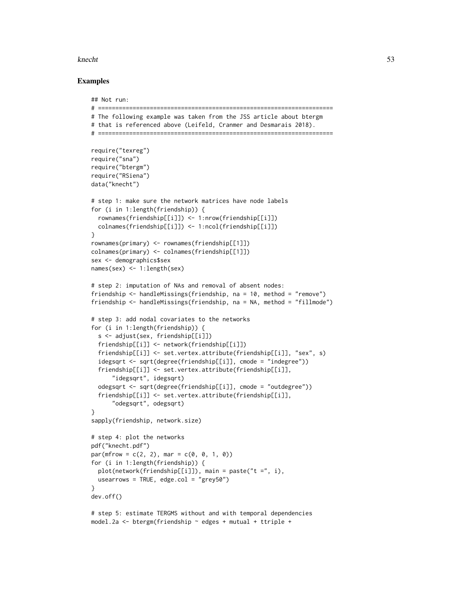#### knecht 53

#### Examples

```
## Not run:
# ====================================================================
# The following example was taken from the JSS article about btergm
# that is referenced above (Leifeld, Cranmer and Desmarais 2018).
# ====================================================================
require("texreg")
require("sna")
require("btergm")
require("RSiena")
data("knecht")
# step 1: make sure the network matrices have node labels
for (i in 1:length(friendship)) {
 rownames(friendship[[i]]) <- 1:nrow(friendship[[i]])
 colnames(friendship[[i]]) <- 1:ncol(friendship[[i]])
}
rownames(primary) <- rownames(friendship[[1]])
colnames(primary) <- colnames(friendship[[1]])
sex <- demographics$sex
names(sex) <- 1:length(sex)
# step 2: imputation of NAs and removal of absent nodes:
friendship <- handleMissings(friendship, na = 10, method = "remove")
friendship <- handleMissings(friendship, na = NA, method = "fillmode")
# step 3: add nodal covariates to the networks
for (i in 1:length(friendship)) {
 s <- adjust(sex, friendship[[i]])
 friendship[[i]] <- network(friendship[[i]])
  friendship[[i]] <- set.vertex.attribute(friendship[[i]], "sex", s)
 idegsqrt <- sqrt(degree(friendship[[i]], cmode = "indegree"))
 friendship[[i]] <- set.vertex.attribute(friendship[[i]],
      "idegsqrt", idegsqrt)
 odegsqrt <- sqrt(degree(friendship[[i]], cmode = "outdegree"))
 friendship[[i]] <- set.vertex.attribute(friendship[[i]],
      "odegsqrt", odegsqrt)
}
sapply(friendship, network.size)
# step 4: plot the networks
pdf("knecht.pdf")
par(mfrow = c(2, 2), mar = c(0, 0, 1, 0))for (i in 1:length(friendship)) {
 plot(network(friendship[[i]]), main = paste("t =", i),
 usearrows = TRUE, edge.col = "grey50")
}
dev.off()
# step 5: estimate TERGMS without and with temporal dependencies
model.2a <- btergm(friendship ~ edges + mutual + ttriple +
```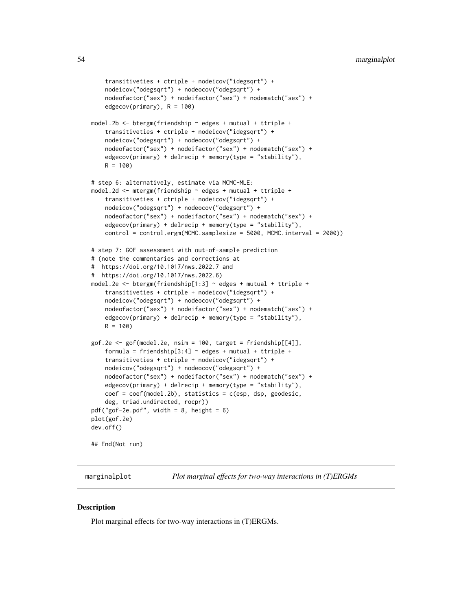```
transitiveties + ctriple + nodeicov("idegsqrt") +
    nodeicov("odegsqrt") + nodeocov("odegsqrt") +
    nodeofactor("sex") + nodeifactor("sex") + nodematch("sex") +
    edgecov(primary), R = 100)
model.2b <- btergm(friendship ~ edges + mutual + ttriple +
    transitiveties + ctriple + nodeicov("idegsqrt") +
    nodeicov("odegsqrt") + nodeocov("odegsqrt") +
    nodeofactor("sex") + nodeifactor("sex") + nodematch("sex") +
    edgecov(primary) + delrecip + memory(type = "stability"),
    R = 100# step 6: alternatively, estimate via MCMC-MLE:
model.2d <- mtergm(friendship ~ edges + mutual + ttriple +
    transitiveties + ctriple + nodeicov("idegsqrt") +
    nodeicov("odegsqrt") + nodeocov("odegsqrt") +
    nodeofactor("sex") + nodeifactor("sex") + nodematch("sex") +
    edgecov(primary) + delrecip + memory(type = "stability"),
    control = control.ergm(MCMC.samplesize = 5000, MCMC.interval = 2000))
# step 7: GOF assessment with out-of-sample prediction
# (note the commentaries and corrections at
# https://doi.org/10.1017/nws.2022.7 and
# https://doi.org/10.1017/nws.2022.6)
model.2e <- btergm(friendship[1:3] ~ edges + mutual + ttriple +
    transitiveties + ctriple + nodeicov("idegsqrt") +
    nodeicov("odegsqrt") + nodeocov("odegsqrt") +
    nodeofactor("sex") + nodeifactor("sex") + nodematch("sex") +
    edgecov(primary) + delrecip + memory(type = "stability"),
    R = 100gof.2e <- gof(model.2e, nsim = 100, target = friendship[[4]],
    formula = friendship[3:4] \sim edges + mutual + ttriple +
    transitiveties + ctriple + nodeicov("idegsqrt") +
    nodeicov("odegsqrt") + nodeocov("odegsqrt") +
    nodeofactor("sex") + nodeifactor("sex") + nodematch("sex") +
    edgecov(primary) + delrecip + memory(type = "stability"),
    coef = coef(model.2b), statistics = c(esp, dsp, geodesic,
    deg, triad.undirected, rocpr))
pdf("gof-2e.pdf", width = 8, height = 6)
plot(gof.2e)
dev.off()
## End(Not run)
```
marginalplot *Plot marginal effects for two-way interactions in (T)ERGMs*

#### **Description**

Plot marginal effects for two-way interactions in (T)ERGMs.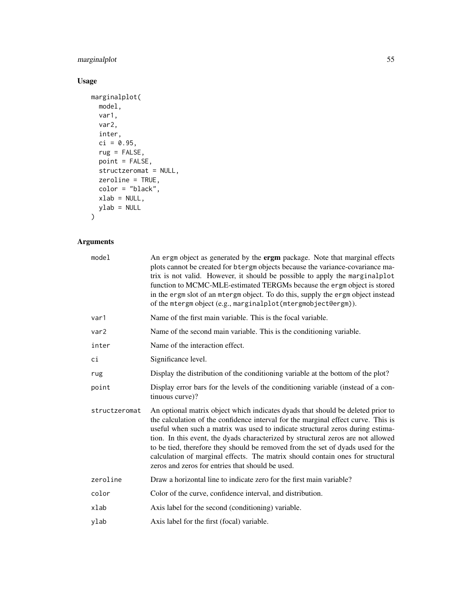## marginalplot 55

## Usage

```
marginalplot(
  model,
  var1,
  var2,
  inter,
  ci = 0.95,rug = FALSE,
  point = FALSE,
  structzeromat = NULL,
  zeroline = TRUE,
 color = "black",xlab = NULL,ylab = NULL
\mathcal{L}
```

| model            | An ergm object as generated by the ergm package. Note that marginal effects<br>plots cannot be created for b tergm objects because the variance-covariance ma-<br>trix is not valid. However, it should be possible to apply the marginalplot<br>function to MCMC-MLE-estimated TERGMs because the ergm object is stored<br>in the ergm slot of an mtergm object. To do this, supply the ergm object instead<br>of the mtergm object (e.g., marginalplot (mtergmobject@ergm)).                                                                                      |
|------------------|---------------------------------------------------------------------------------------------------------------------------------------------------------------------------------------------------------------------------------------------------------------------------------------------------------------------------------------------------------------------------------------------------------------------------------------------------------------------------------------------------------------------------------------------------------------------|
| var1             | Name of the first main variable. This is the focal variable.                                                                                                                                                                                                                                                                                                                                                                                                                                                                                                        |
| var <sub>2</sub> | Name of the second main variable. This is the conditioning variable.                                                                                                                                                                                                                                                                                                                                                                                                                                                                                                |
| inter            | Name of the interaction effect.                                                                                                                                                                                                                                                                                                                                                                                                                                                                                                                                     |
| ci               | Significance level.                                                                                                                                                                                                                                                                                                                                                                                                                                                                                                                                                 |
| rug              | Display the distribution of the conditioning variable at the bottom of the plot?                                                                                                                                                                                                                                                                                                                                                                                                                                                                                    |
| point            | Display error bars for the levels of the conditioning variable (instead of a con-<br>tinuous curve)?                                                                                                                                                                                                                                                                                                                                                                                                                                                                |
| structzeromat    | An optional matrix object which indicates dyads that should be deleted prior to<br>the calculation of the confidence interval for the marginal effect curve. This is<br>useful when such a matrix was used to indicate structural zeros during estima-<br>tion. In this event, the dyads characterized by structural zeros are not allowed<br>to be tied, therefore they should be removed from the set of dyads used for the<br>calculation of marginal effects. The matrix should contain ones for structural<br>zeros and zeros for entries that should be used. |
| zeroline         | Draw a horizontal line to indicate zero for the first main variable?                                                                                                                                                                                                                                                                                                                                                                                                                                                                                                |
| color            | Color of the curve, confidence interval, and distribution.                                                                                                                                                                                                                                                                                                                                                                                                                                                                                                          |
| xlab             | Axis label for the second (conditioning) variable.                                                                                                                                                                                                                                                                                                                                                                                                                                                                                                                  |
| ylab             | Axis label for the first (focal) variable.                                                                                                                                                                                                                                                                                                                                                                                                                                                                                                                          |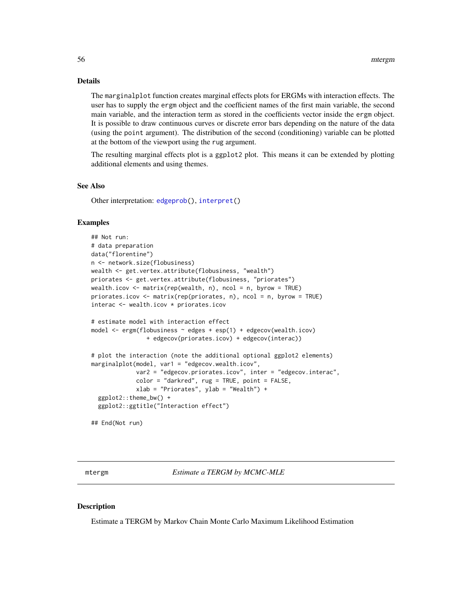## <span id="page-55-0"></span>Details

The marginalplot function creates marginal effects plots for ERGMs with interaction effects. The user has to supply the ergm object and the coefficient names of the first main variable, the second main variable, and the interaction term as stored in the coefficients vector inside the ergm object. It is possible to draw continuous curves or discrete error bars depending on the nature of the data (using the point argument). The distribution of the second (conditioning) variable can be plotted at the bottom of the viewport using the rug argument.

The resulting marginal effects plot is a ggplot2 plot. This means it can be extended by plotting additional elements and using themes.

## See Also

Other interpretation: [edgeprob\(](#page-23-1)), [interpret\(](#page-43-1))

#### Examples

```
## Not run:
# data preparation
data("florentine")
n <- network.size(flobusiness)
wealth <- get.vertex.attribute(flobusiness, "wealth")
priorates <- get.vertex.attribute(flobusiness, "priorates")
wealth.icov <- matrix(rep(wealth, n), ncol = n, byrow = TRUE)
priorates.icov <- matrix(rep(priorates, n), ncol = n, byrow = TRUE)
interac <- wealth.icov * priorates.icov
# estimate model with interaction effect
model <- ergm(flobusiness ~ edges + esp(1) + edgecov(wealth.icov)
                + edgecov(priorates.icov) + edgecov(interac))
# plot the interaction (note the additional optional ggplot2 elements)
marginalplot(model, var1 = "edgecov.wealth.icov",
             var2 = "edgecov.priorates.icov", inter = "edgecov.interac",
             color = "darkred", rug = TRUE, point = FALSE,
             xlab = "Priorates", ylab = "Wealth") +
 ggplot2::theme_bw() +
 ggplot2::ggtitle("Interaction effect")
```
## End(Not run)

<span id="page-55-1"></span>mtergm *Estimate a TERGM by MCMC-MLE*

#### **Description**

Estimate a TERGM by Markov Chain Monte Carlo Maximum Likelihood Estimation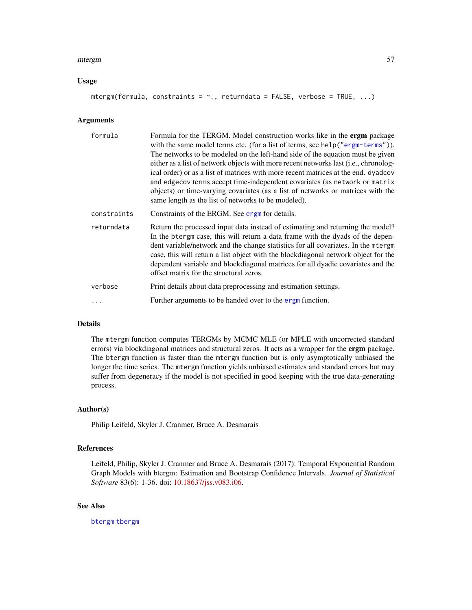#### <span id="page-56-0"></span>mtergm 57

#### Usage

```
mtergm(formula, constraints = \sim., returndata = FALSE, verbose = TRUE, ...)
```
#### Arguments

| formula     | Formula for the TERGM. Model construction works like in the <b>ergm</b> package<br>with the same model terms etc. (for a list of terms, see help ("ergm-terms")).<br>The networks to be modeled on the left-hand side of the equation must be given<br>either as a list of network objects with more recent networks last (i.e., chronolog-<br>ical order) or as a list of matrices with more recent matrices at the end. dyadcov<br>and edgecov terms accept time-independent covariates (as network or matrix<br>objects) or time-varying covariates (as a list of networks or matrices with the<br>same length as the list of networks to be modeled). |
|-------------|-----------------------------------------------------------------------------------------------------------------------------------------------------------------------------------------------------------------------------------------------------------------------------------------------------------------------------------------------------------------------------------------------------------------------------------------------------------------------------------------------------------------------------------------------------------------------------------------------------------------------------------------------------------|
| constraints | Constraints of the ERGM. See ergn for details.                                                                                                                                                                                                                                                                                                                                                                                                                                                                                                                                                                                                            |
| returndata  | Return the processed input data instead of estimating and returning the model?<br>In the b tergm case, this will return a data frame with the dyads of the depen-<br>dent variable/network and the change statistics for all covariates. In the mtergm<br>case, this will return a list object with the blockdiagonal network object for the<br>dependent variable and blockdiagonal matrices for all dyadic covariates and the<br>offset matrix for the structural zeros.                                                                                                                                                                                |
| verbose     | Print details about data preprocessing and estimation settings.                                                                                                                                                                                                                                                                                                                                                                                                                                                                                                                                                                                           |
| .           | Further arguments to be handed over to the ergm function.                                                                                                                                                                                                                                                                                                                                                                                                                                                                                                                                                                                                 |

## Details

The mtergm function computes TERGMs by MCMC MLE (or MPLE with uncorrected standard errors) via blockdiagonal matrices and structural zeros. It acts as a wrapper for the ergm package. The btergm function is faster than the mtergm function but is only asymptotically unbiased the longer the time series. The mtergm function yields unbiased estimates and standard errors but may suffer from degeneracy if the model is not specified in good keeping with the true data-generating process.

#### Author(s)

Philip Leifeld, Skyler J. Cranmer, Bruce A. Desmarais

#### References

Leifeld, Philip, Skyler J. Cranmer and Bruce A. Desmarais (2017): Temporal Exponential Random Graph Models with btergm: Estimation and Bootstrap Confidence Intervals. *Journal of Statistical Software* 83(6): 1-36. doi: [10.18637/jss.v083.i06.](https://doi.org/10.18637/jss.v083.i06)

#### See Also

[btergm](#page-6-1) [tbergm](#page-61-1)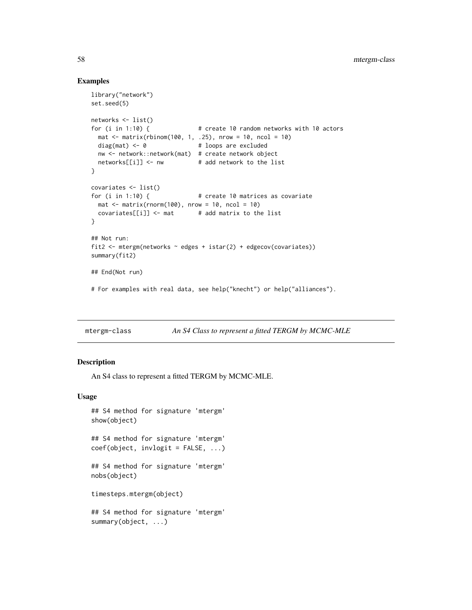#### Examples

```
library("network")
set.seed(5)
networks <- list()
for (i in 1:10) { # create 10 random networks with 10 actors
 mat < - matrix(rbinom{100}{1}, 1, .25), nrow = 10, ncol = 10)
 diag(mat) \leq 0 # loops are excluded
 nw <- network::network(mat) # create network object
 networks[[i]] \leftarrow nw # add network to the list
}
covariates <- list()
for (i in 1:10) { # create 10 matrices as covariate
 mat \leq matrix(rnorm(100), nrow = 10, ncol = 10)
 covariates[[i]] \leftarrow mat # add matrix to the list
}
## Not run:
fit2 <- mtergm(networks \sim edges + istar(2) + edgecov(covariates))
summary(fit2)
## End(Not run)
# For examples with real data, see help("knecht") or help("alliances").
```
<span id="page-57-1"></span>mtergm-class *An S4 Class to represent a fitted TERGM by MCMC-MLE*

#### Description

An S4 class to represent a fitted TERGM by MCMC-MLE.

#### Usage

```
## S4 method for signature 'mtergm'
show(object)
```
## S4 method for signature 'mtergm' coef(object, invlogit = FALSE, ...)

## S4 method for signature 'mtergm' nobs(object)

timesteps.mtergm(object)

## S4 method for signature 'mtergm' summary(object, ...)

<span id="page-57-0"></span>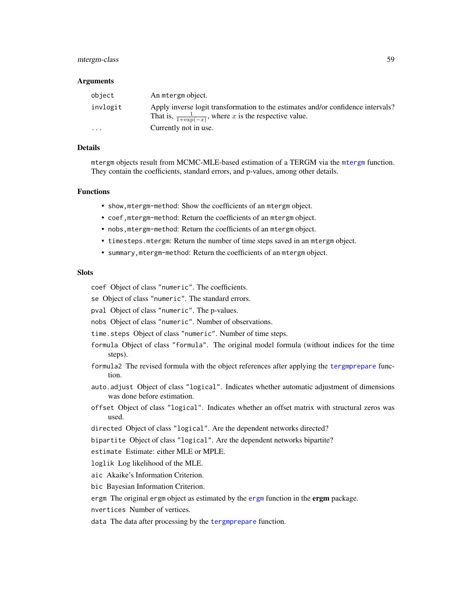## <span id="page-58-0"></span>mtergm-class 59

#### Arguments

| object                  | An mtergm object.                                                                                                                                      |
|-------------------------|--------------------------------------------------------------------------------------------------------------------------------------------------------|
| invlogit                | Apply inverse logit transformation to the estimates and/or confidence intervals?<br>That is, $\frac{1}{1+\exp(-x)}$ , where x is the respective value. |
| $\cdot$ $\cdot$ $\cdot$ | Currently not in use.                                                                                                                                  |

#### Details

mtergm objects result from MCMC-MLE-based estimation of a TERGM via the [mtergm](#page-55-1) function. They contain the coefficients, standard errors, and p-values, among other details.

#### Functions

- show,mtergm-method: Show the coefficients of an mtergm object.
- coef,mtergm-method: Return the coefficients of an mtergm object.
- nobs,mtergm-method: Return the coefficients of an mtergm object.
- timesteps.mtergm: Return the number of time steps saved in an mtergm object.
- summary,mtergm-method: Return the coefficients of an mtergm object.

#### **Slots**

- coef Object of class "numeric". The coefficients.
- se Object of class "numeric". The standard errors.
- pval Object of class "numeric". The p-values.
- nobs Object of class "numeric". Number of observations.
- time.steps Object of class "numeric". Number of time steps.
- formula Object of class "formula". The original model formula (without indices for the time steps).
- formula2 The revised formula with the object references after applying the [tergmprepare](#page-66-1) function.
- auto.adjust Object of class "logical". Indicates whether automatic adjustment of dimensions was done before estimation.
- offset Object of class "logical". Indicates whether an offset matrix with structural zeros was used.
- directed Object of class "logical". Are the dependent networks directed?
- bipartite Object of class "logical". Are the dependent networks bipartite?
- estimate Estimate: either MLE or MPLE.
- loglik Log likelihood of the MLE.
- aic Akaike's Information Criterion.
- bic Bayesian Information Criterion.
- [ergm](#page-0-0) The original ergm object as estimated by the ergm function in the ergm package.
- nvertices Number of vertices.
- data The data after processing by the [tergmprepare](#page-66-1) function.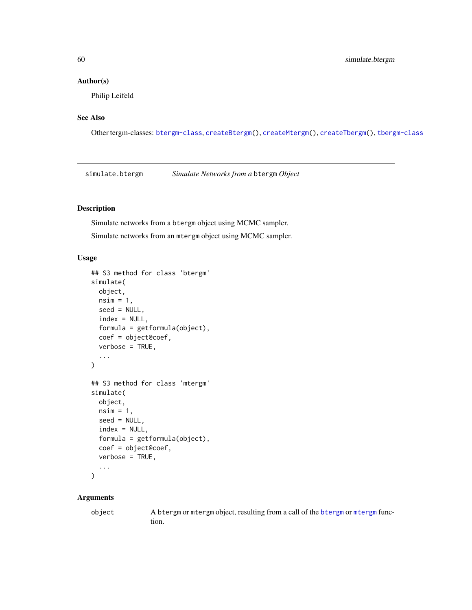## <span id="page-59-0"></span>Author(s)

Philip Leifeld

## See Also

Other tergm-classes: [btergm-class](#page-10-1), [createBtergm\(](#page-19-1)), [createMtergm\(](#page-20-1)), [createTbergm\(](#page-22-1)), [tbergm-class](#page-62-1)

<span id="page-59-1"></span>simulate.btergm *Simulate Networks from a* btergm *Object*

## Description

Simulate networks from a btergm object using MCMC sampler. Simulate networks from an mtergm object using MCMC sampler.

## Usage

```
## S3 method for class 'btergm'
simulate(
 object,
 nsim = 1,
  seed = NULL,
  index = NULL,formula = getformula(object),
  coef = object@coef,
  verbose = TRUE,
  ...
\mathcal{E}## S3 method for class 'mtergm'
simulate(
 object,
 nsim = 1,
 seed = NULL,
  index = NULL,formula = getformula(object),
  coef = object@coef,
 verbose = TRUE,
  ...
\mathcal{L}
```
## Arguments

object A btergm or mtergm object, resulting from a call of the [btergm](#page-6-1) or [mtergm](#page-55-1) function.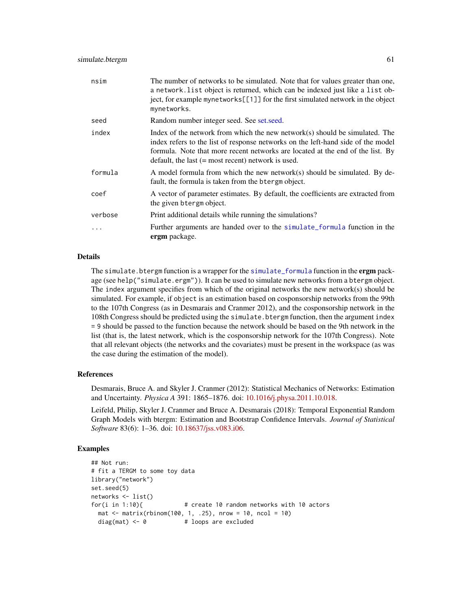<span id="page-60-0"></span>

| nsim     | The number of networks to be simulated. Note that for values greater than one,<br>a network. list object is returned, which can be indexed just like a list ob-<br>ject, for example mynetworks[[1]] for the first simulated network in the object<br>mynetworks.                                         |
|----------|-----------------------------------------------------------------------------------------------------------------------------------------------------------------------------------------------------------------------------------------------------------------------------------------------------------|
| seed     | Random number integer seed. See set.seed.                                                                                                                                                                                                                                                                 |
| index    | Index of the network from which the new network(s) should be simulated. The<br>index refers to the list of response networks on the left-hand side of the model<br>formula. Note that more recent networks are located at the end of the list. By<br>default, the last $(=$ most recent) network is used. |
| formula  | A model formula from which the new network(s) should be simulated. By de-<br>fault, the formula is taken from the btergm object.                                                                                                                                                                          |
| coef     | A vector of parameter estimates. By default, the coefficients are extracted from<br>the given b tergm object.                                                                                                                                                                                             |
| verbose  | Print additional details while running the simulations?                                                                                                                                                                                                                                                   |
| $\cdots$ | Further arguments are handed over to the simulate_formula function in the<br>ergm package.                                                                                                                                                                                                                |

#### Details

The simulate.btergm function is a wrapper for the [simulate\\_formula](#page-0-0) function in the ergm package (see help("simulate.ergm")). It can be used to simulate new networks from a btergm object. The index argument specifies from which of the original networks the new network(s) should be simulated. For example, if object is an estimation based on cosponsorship networks from the 99th to the 107th Congress (as in Desmarais and Cranmer 2012), and the cosponsorship network in the 108th Congress should be predicted using the simulate.btergm function, then the argument index = 9 should be passed to the function because the network should be based on the 9th network in the list (that is, the latest network, which is the cosponsorship network for the 107th Congress). Note that all relevant objects (the networks and the covariates) must be present in the workspace (as was the case during the estimation of the model).

#### References

Desmarais, Bruce A. and Skyler J. Cranmer (2012): Statistical Mechanics of Networks: Estimation and Uncertainty. *Physica A* 391: 1865–1876. doi: [10.1016/j.physa.2011.10.018.](https://doi.org/10.1016/j.physa.2011.10.018)

Leifeld, Philip, Skyler J. Cranmer and Bruce A. Desmarais (2018): Temporal Exponential Random Graph Models with btergm: Estimation and Bootstrap Confidence Intervals. *Journal of Statistical Software* 83(6): 1–36. doi: [10.18637/jss.v083.i06.](https://doi.org/10.18637/jss.v083.i06)

#### Examples

```
## Not run:
# fit a TERGM to some toy data
library("network")
set.seed(5)
networks <- list()
for(i in 1:10){ # create 10 random networks with 10 actors
 mat \le matrix(rbinom(100, 1, .25), nrow = 10, ncol = 10)
 diag(mat) <- 0 + loops are excluded
```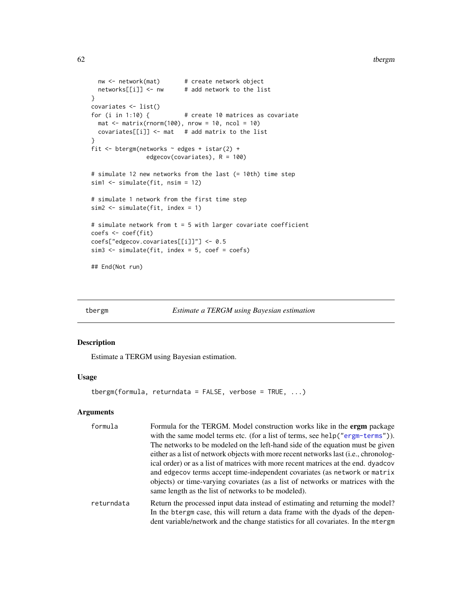```
nw <- network(mat) # create network object
 networks[[i]] <- nw # add network to the list
}
covariates <- list()
for (i in 1:10) { # create 10 matrices as covariate
 mat \le matrix(rnorm(100), nrow = 10, ncol = 10)
 covariates[[i]] \leq mat # add matrix to the list
}
fit \leq btergm(networks \sim edges + istar(2) +
               edgecov(covariates), R = 100)
# simulate 12 new networks from the last (= 10th) time step
sim1 <- simulate(fit, nsim = 12)
# simulate 1 network from the first time step
sim2 <- simulate(fit, index = 1)
# simulate network from t = 5 with larger covariate coefficient
coefs <- coef(fit)
coefs["edgecov.covariates[[i]]"] <- 0.5
sim3 <- simulate(fit, index = 5, coef = coefs)
## End(Not run)
```
<span id="page-61-1"></span>

```
tbergm Estimate a TERGM using Bayesian estimation
```
## **Description**

Estimate a TERGM using Bayesian estimation.

## Usage

```
tbergm(formula, returndata = FALSE, verbose = TRUE, \ldots)
```

| formula    | Formula for the TERGM. Model construction works like in the ergm package             |
|------------|--------------------------------------------------------------------------------------|
|            | with the same model terms etc. (for a list of terms, see help ("ergm-terms")).       |
|            | The networks to be modeled on the left-hand side of the equation must be given       |
|            | either as a list of network objects with more recent networks last (i.e., chronolog- |
|            | ical order) or as a list of matrices with more recent matrices at the end. dyadcov   |
|            | and edge cov terms accept time-independent covariates (as network or matrix          |
|            | objects) or time-varying covariates (as a list of networks or matrices with the      |
|            | same length as the list of networks to be modeled).                                  |
| returndata | Return the processed input data instead of estimating and returning the model?       |
|            | In the btergm case, this will return a data frame with the dyads of the depen-       |
|            | dent variable/network and the change statistics for all covariates. In the mtergm    |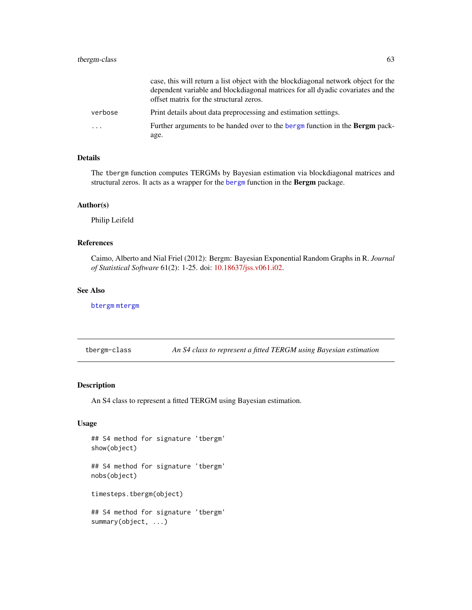<span id="page-62-0"></span>

|                         | case, this will return a list object with the blockdiagonal network object for the<br>dependent variable and blockdiagonal matrices for all dyadic covariates and the<br>offset matrix for the structural zeros. |
|-------------------------|------------------------------------------------------------------------------------------------------------------------------------------------------------------------------------------------------------------|
| verbose                 | Print details about data preprocessing and estimation settings.                                                                                                                                                  |
| $\cdot$ $\cdot$ $\cdot$ | Further arguments to be handed over to the bergm function in the <b>Bergm</b> pack-<br>age.                                                                                                                      |

## Details

The tbergm function computes TERGMs by Bayesian estimation via blockdiagonal matrices and structural zeros. It acts as a wrapper for the [bergm](#page-0-0) function in the Bergm package.

#### Author(s)

Philip Leifeld

## References

Caimo, Alberto and Nial Friel (2012): Bergm: Bayesian Exponential Random Graphs in R. *Journal of Statistical Software* 61(2): 1-25. doi: [10.18637/jss.v061.i02.](https://doi.org/10.18637/jss.v061.i02)

## See Also

[btergm](#page-6-1) [mtergm](#page-55-1)

<span id="page-62-1"></span>tbergm-class *An S4 class to represent a fitted TERGM using Bayesian estimation*

## **Description**

An S4 class to represent a fitted TERGM using Bayesian estimation.

## Usage

```
## S4 method for signature 'tbergm'
show(object)
## S4 method for signature 'tbergm'
nobs(object)
timesteps.tbergm(object)
```
## S4 method for signature 'tbergm' summary(object, ...)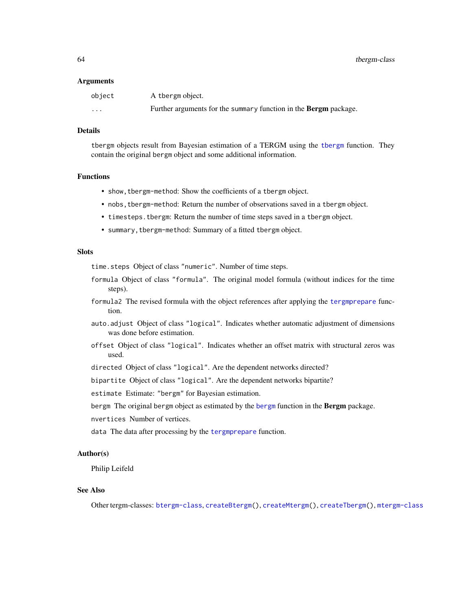#### <span id="page-63-0"></span>Arguments

| object                  | A thergm object.                                                 |
|-------------------------|------------------------------------------------------------------|
| $\cdot$ $\cdot$ $\cdot$ | Further arguments for the summary function in the Bergm package. |

#### Details

tbergm objects result from Bayesian estimation of a TERGM using the [tbergm](#page-61-1) function. They contain the original bergm object and some additional information.

#### Functions

- show,tbergm-method: Show the coefficients of a tbergm object.
- nobs,tbergm-method: Return the number of observations saved in a tbergm object.
- timesteps.tbergm: Return the number of time steps saved in a tbergm object.
- summary,tbergm-method: Summary of a fitted tbergm object.

#### **Slots**

time.steps Object of class "numeric". Number of time steps.

- formula Object of class "formula". The original model formula (without indices for the time steps).
- formula2 The revised formula with the object references after applying the [tergmprepare](#page-66-1) function.
- auto.adjust Object of class "logical". Indicates whether automatic adjustment of dimensions was done before estimation.
- offset Object of class "logical". Indicates whether an offset matrix with structural zeros was used.
- directed Object of class "logical". Are the dependent networks directed?

bipartite Object of class "logical". Are the dependent networks bipartite?

estimate Estimate: "bergm" for Bayesian estimation.

[bergm](#page-0-0) The original bergm object as estimated by the bergm function in the Bergm package.

nvertices Number of vertices.

data The data after processing by the [tergmprepare](#page-66-1) function.

#### Author(s)

Philip Leifeld

#### See Also

Other tergm-classes: [btergm-class](#page-10-1), [createBtergm\(](#page-19-1)), [createMtergm\(](#page-20-1)), [createTbergm\(](#page-22-1)), [mtergm-class](#page-57-1)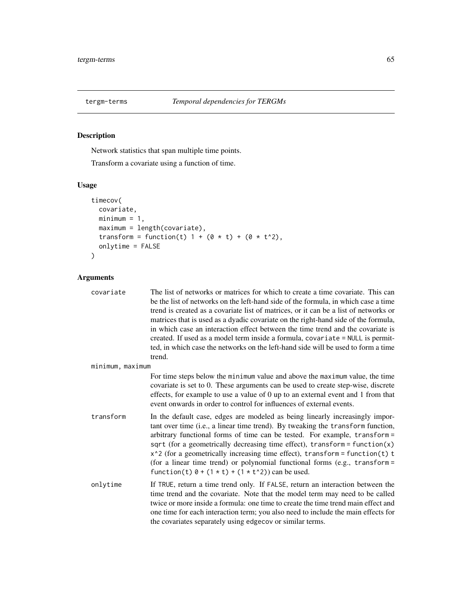<span id="page-64-0"></span>

## Description

Network statistics that span multiple time points.

Transform a covariate using a function of time.

## Usage

```
timecov(
 covariate,
 minimum = 1,maximum = length(covariate),
 transform = function(t) 1 + (0 * t) + (0 * t^2),
 onlytime = FALSE
\mathcal{L}
```

| covariate        | The list of networks or matrices for which to create a time covariate. This can<br>be the list of networks on the left-hand side of the formula, in which case a time<br>trend is created as a covariate list of matrices, or it can be a list of networks or<br>matrices that is used as a dyadic covariate on the right-hand side of the formula,<br>in which case an interaction effect between the time trend and the covariate is<br>created. If used as a model term inside a formula, covariate = NULL is permit-<br>ted, in which case the networks on the left-hand side will be used to form a time<br>trend. |
|------------------|-------------------------------------------------------------------------------------------------------------------------------------------------------------------------------------------------------------------------------------------------------------------------------------------------------------------------------------------------------------------------------------------------------------------------------------------------------------------------------------------------------------------------------------------------------------------------------------------------------------------------|
| minimum, maximum |                                                                                                                                                                                                                                                                                                                                                                                                                                                                                                                                                                                                                         |
|                  | For time steps below the minimum value and above the maximum value, the time<br>covariate is set to 0. These arguments can be used to create step-wise, discrete<br>effects, for example to use a value of $0$ up to an external event and $1$ from that<br>event onwards in order to control for influences of external events.                                                                                                                                                                                                                                                                                        |
| transform        | In the default case, edges are modeled as being linearly increasingly impor-<br>tant over time (i.e., a linear time trend). By tweaking the transform function,<br>arbitrary functional forms of time can be tested. For example, transform =<br>sqrt (for a geometrically decreasing time effect), $transform = function(x)$<br>$x^2$ (for a geometrically increasing time effect), transform = function(t) t<br>(for a linear time trend) or polynomial functional forms (e.g., transform =<br>function(t) $0 + (1 * t) + (1 * t^2)$ ) can be used.                                                                   |
| onlvtime         | If TRUE, return a time trend only. If FALSE, return an interaction between the<br>time trend and the covariate. Note that the model term may need to be called<br>twice or more inside a formula: one time to create the time trend main effect and<br>one time for each interaction term; you also need to include the main effects for<br>the covariates separately using edgecov or similar terms.                                                                                                                                                                                                                   |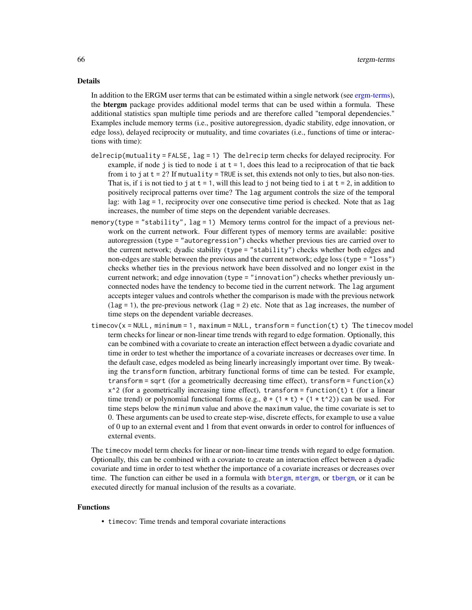#### Details

In addition to the ERGM user terms that can be estimated within a single network (see [ergm-terms\)](#page-0-0), the **btergm** package provides additional model terms that can be used within a formula. These additional statistics span multiple time periods and are therefore called "temporal dependencies." Examples include memory terms (i.e., positive autoregression, dyadic stability, edge innovation, or edge loss), delayed reciprocity or mutuality, and time covariates (i.e., functions of time or interactions with time):

- delrecip(mutuality = FALSE, lag = 1) The delrecip term checks for delayed reciprocity. For example, if node j is tied to node i at  $t = 1$ , does this lead to a reciprocation of that tie back from i to j at  $t = 2$ ? If mutuality = TRUE is set, this extends not only to ties, but also non-ties. That is, if i is not tied to j at  $t = 1$ , will this lead to j not being tied to i at  $t = 2$ , in addition to positively reciprocal patterns over time? The lag argument controls the size of the temporal lag: with  $\log = 1$ , reciprocity over one consecutive time period is checked. Note that as  $\log$ increases, the number of time steps on the dependent variable decreases.
- memory(type = "stability", lag = 1) Memory terms control for the impact of a previous network on the current network. Four different types of memory terms are available: positive autoregression (type = "autoregression") checks whether previous ties are carried over to the current network; dyadic stability (type = "stability") checks whether both edges and non-edges are stable between the previous and the current network; edge loss (type = "loss") checks whether ties in the previous network have been dissolved and no longer exist in the current network; and edge innovation (type = "innovation") checks whether previously unconnected nodes have the tendency to become tied in the current network. The lag argument accepts integer values and controls whether the comparison is made with the previous network (lag = 1), the pre-previous network (lag = 2) etc. Note that as lag increases, the number of time steps on the dependent variable decreases.
- $timecov(x = NULL, minimum = 1, maximum = NULL, transform = function(t) t)$  The timecov model term checks for linear or non-linear time trends with regard to edge formation. Optionally, this can be combined with a covariate to create an interaction effect between a dyadic covariate and time in order to test whether the importance of a covariate increases or decreases over time. In the default case, edges modeled as being linearly increasingly important over time. By tweaking the transform function, arbitrary functional forms of time can be tested. For example,  $transform = sqrt (for a geometrically decreasing time effect), transform = function(x)$  $x^2$  (for a geometrically increasing time effect), transform = function(t) t (for a linear time trend) or polynomial functional forms (e.g.,  $\theta + (1 \times t) + (1 \times t^2)$ ) can be used. For time steps below the minimum value and above the maximum value, the time covariate is set to 0. These arguments can be used to create step-wise, discrete effects, for example to use a value of 0 up to an external event and 1 from that event onwards in order to control for influences of external events.

The timecov model term checks for linear or non-linear time trends with regard to edge formation. Optionally, this can be combined with a covariate to create an interaction effect between a dyadic covariate and time in order to test whether the importance of a covariate increases or decreases over time. The function can either be used in a formula with [btergm](#page-6-1), [mtergm](#page-55-1), or [tbergm](#page-61-1), or it can be executed directly for manual inclusion of the results as a covariate.

#### Functions

• timecov: Time trends and temporal covariate interactions

<span id="page-65-0"></span>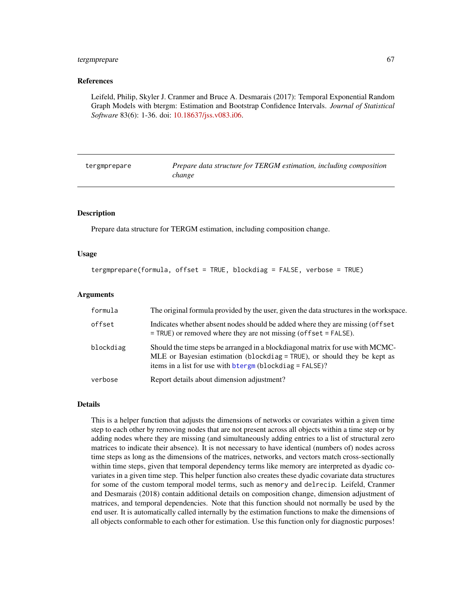#### <span id="page-66-0"></span>tergmprepare 67

#### References

Leifeld, Philip, Skyler J. Cranmer and Bruce A. Desmarais (2017): Temporal Exponential Random Graph Models with btergm: Estimation and Bootstrap Confidence Intervals. *Journal of Statistical Software* 83(6): 1-36. doi: [10.18637/jss.v083.i06.](https://doi.org/10.18637/jss.v083.i06)

<span id="page-66-1"></span>tergmprepare *Prepare data structure for TERGM estimation, including composition change*

#### **Description**

Prepare data structure for TERGM estimation, including composition change.

#### Usage

```
tergmprepare(formula, offset = TRUE, blockdiag = FALSE, verbose = TRUE)
```
#### Arguments

| formula   | The original formula provided by the user, given the data structures in the workspace.                                                                                                                                 |
|-----------|------------------------------------------------------------------------------------------------------------------------------------------------------------------------------------------------------------------------|
| offset    | Indicates whether absent nodes should be added where they are missing (offset<br>$=$ TRUE) or removed where they are not missing (offset $=$ FALSE).                                                                   |
| blockdiag | Should the time steps be arranged in a blockdiagonal matrix for use with MCMC-<br>MLE or Bayesian estimation (blockdiag = TRUE), or should they be kept as<br>items in a list for use with btergm (blockdiag = FALSE)? |
| verbose   | Report details about dimension adjustment?                                                                                                                                                                             |

#### Details

This is a helper function that adjusts the dimensions of networks or covariates within a given time step to each other by removing nodes that are not present across all objects within a time step or by adding nodes where they are missing (and simultaneously adding entries to a list of structural zero matrices to indicate their absence). It is not necessary to have identical (numbers of) nodes across time steps as long as the dimensions of the matrices, networks, and vectors match cross-sectionally within time steps, given that temporal dependency terms like memory are interpreted as dyadic covariates in a given time step. This helper function also creates these dyadic covariate data structures for some of the custom temporal model terms, such as memory and delrecip. Leifeld, Cranmer and Desmarais (2018) contain additional details on composition change, dimension adjustment of matrices, and temporal dependencies. Note that this function should not normally be used by the end user. It is automatically called internally by the estimation functions to make the dimensions of all objects conformable to each other for estimation. Use this function only for diagnostic purposes!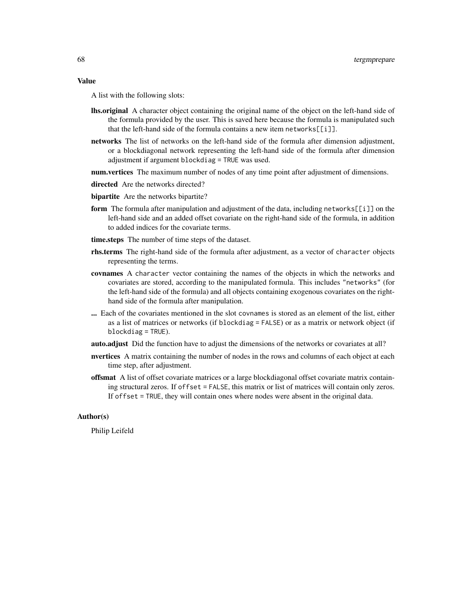#### Value

A list with the following slots:

- lhs.original A character object containing the original name of the object on the left-hand side of the formula provided by the user. This is saved here because the formula is manipulated such that the left-hand side of the formula contains a new item networks[[i]].
- networks The list of networks on the left-hand side of the formula after dimension adjustment, or a blockdiagonal network representing the left-hand side of the formula after dimension adjustment if argument blockdiag = TRUE was used.
- **num.vertices** The maximum number of nodes of any time point after adjustment of dimensions.
- directed Are the networks directed?
- **bipartite** Are the networks bipartite?
- form The formula after manipulation and adjustment of the data, including networks [[i]] on the left-hand side and an added offset covariate on the right-hand side of the formula, in addition to added indices for the covariate terms.
- time.steps The number of time steps of the dataset.
- rhs.terms The right-hand side of the formula after adjustment, as a vector of character objects representing the terms.
- covnames A character vector containing the names of the objects in which the networks and covariates are stored, according to the manipulated formula. This includes "networks" (for the left-hand side of the formula) and all objects containing exogenous covariates on the righthand side of the formula after manipulation.
- ... Each of the covariates mentioned in the slot covnames is stored as an element of the list, either as a list of matrices or networks (if blockdiag = FALSE) or as a matrix or network object (if blockdiag = TRUE).
- auto.adjust Did the function have to adjust the dimensions of the networks or covariates at all?
- nvertices A matrix containing the number of nodes in the rows and columns of each object at each time step, after adjustment.
- offsmat A list of offset covariate matrices or a large blockdiagonal offset covariate matrix containing structural zeros. If offset = FALSE, this matrix or list of matrices will contain only zeros. If offset = TRUE, they will contain ones where nodes were absent in the original data.

#### Author(s)

Philip Leifeld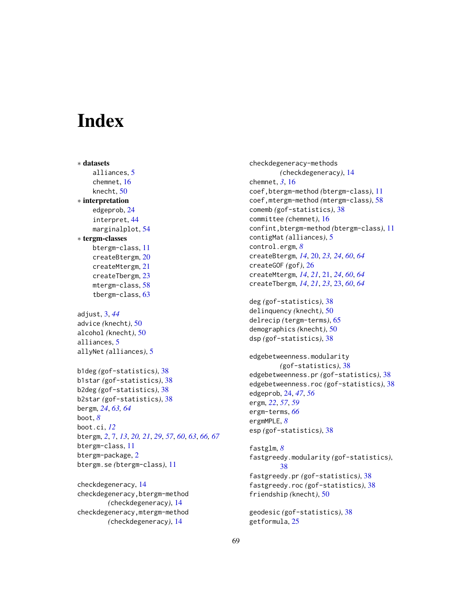# <span id="page-68-0"></span>**Index**

∗ datasets alliances, [5](#page-4-0) chemnet, [16](#page-15-0) knecht, [50](#page-49-0) ∗ interpretation edgeprob, [24](#page-23-0) interpret, [44](#page-43-0) marginalplot, [54](#page-53-0) ∗ tergm-classes btergm-class, [11](#page-10-0) createBtergm, [20](#page-19-0) createMtergm, [21](#page-20-0) createTbergm, [23](#page-22-0) mtergm-class, [58](#page-57-0) tbergm-class, [63](#page-62-0) adjust, [3,](#page-2-0) *[44](#page-43-0)* advice *(*knecht*)*, [50](#page-49-0) alcohol *(*knecht*)*, [50](#page-49-0) alliances, [5](#page-4-0) allyNet *(*alliances*)*, [5](#page-4-0) b1deg *(*gof-statistics*)*, [38](#page-37-0) b1star *(*gof-statistics*)*, [38](#page-37-0) b2deg *(*gof-statistics*)*, [38](#page-37-0) b2star *(*gof-statistics*)*, [38](#page-37-0) bergm, *[24](#page-23-0)*, *[63,](#page-62-0) [64](#page-63-0)* boot, *[8](#page-7-0)* boot.ci, *[12](#page-11-0)* btergm, *[2](#page-1-0)*, [7,](#page-6-0) *[13](#page-12-0)*, *[20,](#page-19-0) [21](#page-20-0)*, *[29](#page-28-0)*, *[57](#page-56-0)*, *[60](#page-59-0)*, *[63](#page-62-0)*, *[66,](#page-65-0) [67](#page-66-0)* btergm-class, [11](#page-10-0) btergm-package, [2](#page-1-0) btergm.se *(*btergm-class*)*, [11](#page-10-0)

checkdegeneracy, [14](#page-13-0) checkdegeneracy,btergm-method *(*checkdegeneracy*)*, [14](#page-13-0) checkdegeneracy,mtergm-method *(*checkdegeneracy*)*, [14](#page-13-0)

checkdegeneracy-methods *(*checkdegeneracy*)*, [14](#page-13-0) chemnet, *[3](#page-2-0)*, [16](#page-15-0) coef,btergm-method *(*btergm-class*)*, [11](#page-10-0) coef,mtergm-method *(*mtergm-class*)*, [58](#page-57-0) comemb *(*gof-statistics*)*, [38](#page-37-0) committee *(*chemnet*)*, [16](#page-15-0) confint,btergm-method *(*btergm-class*)*, [11](#page-10-0) contigMat *(*alliances*)*, [5](#page-4-0) control.ergm, *[8](#page-7-0)* createBtergm, *[14](#page-13-0)*, [20,](#page-19-0) *[23,](#page-22-0) [24](#page-23-0)*, *[60](#page-59-0)*, *[64](#page-63-0)* createGOF *(*gof*)*, [26](#page-25-0) createMtergm, *[14](#page-13-0)*, *[21](#page-20-0)*, [21,](#page-20-0) *[24](#page-23-0)*, *[60](#page-59-0)*, *[64](#page-63-0)* createTbergm, *[14](#page-13-0)*, *[21](#page-20-0)*, *[23](#page-22-0)*, [23,](#page-22-0) *[60](#page-59-0)*, *[64](#page-63-0)*

deg *(*gof-statistics*)*, [38](#page-37-0) delinquency *(*knecht*)*, [50](#page-49-0) delrecip *(*tergm-terms*)*, [65](#page-64-0) demographics *(*knecht*)*, [50](#page-49-0) dsp *(*gof-statistics*)*, [38](#page-37-0)

edgebetweenness.modularity *(*gof-statistics*)*, [38](#page-37-0) edgebetweenness.pr *(*gof-statistics*)*, [38](#page-37-0) edgebetweenness.roc *(*gof-statistics*)*, [38](#page-37-0) edgeprob, [24,](#page-23-0) *[47](#page-46-0)*, *[56](#page-55-0)* ergm, *[22](#page-21-0)*, *[57](#page-56-0)*, *[59](#page-58-0)* ergm-terms, *[66](#page-65-0)* ergmMPLE, *[8](#page-7-0)* esp *(*gof-statistics*)*, [38](#page-37-0)

fastglm, *[8](#page-7-0)* fastgreedy.modularity *(*gof-statistics*)*, [38](#page-37-0) fastgreedy.pr *(*gof-statistics*)*, [38](#page-37-0) fastgreedy.roc *(*gof-statistics*)*, [38](#page-37-0) friendship *(*knecht*)*, [50](#page-49-0)

geodesic *(*gof-statistics*)*, [38](#page-37-0) getformula, [25](#page-24-0)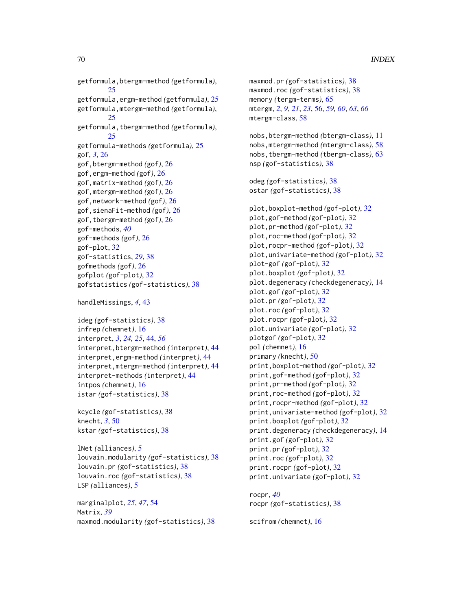getformula,btergm-method *(*getformula*)*, [25](#page-24-0) getformula,ergm-method *(*getformula*)*, [25](#page-24-0) getformula,mtergm-method *(*getformula*)*, [25](#page-24-0) getformula,tbergm-method *(*getformula*)*, [25](#page-24-0) getformula-methods *(*getformula*)*, [25](#page-24-0) gof, *[3](#page-2-0)*, [26](#page-25-0) gof,btergm-method *(*gof*)*, [26](#page-25-0) gof,ergm-method *(*gof*)*, [26](#page-25-0) gof,matrix-method *(*gof*)*, [26](#page-25-0) gof,mtergm-method *(*gof*)*, [26](#page-25-0) gof,network-method *(*gof*)*, [26](#page-25-0) gof,sienaFit-method *(*gof*)*, [26](#page-25-0) gof,tbergm-method *(*gof*)*, [26](#page-25-0) gof-methods, *[40](#page-39-0)* gof-methods *(*gof*)*, [26](#page-25-0) gof-plot, [32](#page-31-0) gof-statistics, *[29](#page-28-0)*, [38](#page-37-0) gofmethods *(*gof*)*, [26](#page-25-0) gofplot *(*gof-plot*)*, [32](#page-31-0) gofstatistics *(*gof-statistics*)*, [38](#page-37-0)

```
handleMissings, 4, 43
```
ideg *(*gof-statistics*)*, [38](#page-37-0) infrep *(*chemnet*)*, [16](#page-15-0) interpret, *[3](#page-2-0)*, *[24,](#page-23-0) [25](#page-24-0)*, [44,](#page-43-0) *[56](#page-55-0)* interpret,btergm-method *(*interpret*)*, [44](#page-43-0) interpret,ergm-method *(*interpret*)*, [44](#page-43-0) interpret,mtergm-method *(*interpret*)*, [44](#page-43-0) interpret-methods *(*interpret*)*, [44](#page-43-0) intpos *(*chemnet*)*, [16](#page-15-0) istar *(*gof-statistics*)*, [38](#page-37-0)

kcycle *(*gof-statistics*)*, [38](#page-37-0) knecht, *[3](#page-2-0)*, [50](#page-49-0) kstar *(*gof-statistics*)*, [38](#page-37-0)

lNet *(*alliances*)*, [5](#page-4-0) louvain.modularity *(*gof-statistics*)*, [38](#page-37-0) louvain.pr *(*gof-statistics*)*, [38](#page-37-0) louvain.roc *(*gof-statistics*)*, [38](#page-37-0) LSP *(*alliances*)*, [5](#page-4-0)

marginalplot, *[25](#page-24-0)*, *[47](#page-46-0)*, [54](#page-53-0) Matrix, *[39](#page-38-0)* maxmod.modularity *(*gof-statistics*)*, [38](#page-37-0) maxmod.pr *(*gof-statistics*)*, [38](#page-37-0) maxmod.roc *(*gof-statistics*)*, [38](#page-37-0) memory *(*tergm-terms*)*, [65](#page-64-0) mtergm, *[2](#page-1-0)*, *[9](#page-8-0)*, *[21](#page-20-0)*, *[23](#page-22-0)*, [56,](#page-55-0) *[59,](#page-58-0) [60](#page-59-0)*, *[63](#page-62-0)*, *[66](#page-65-0)* mtergm-class, [58](#page-57-0) nobs,btergm-method *(*btergm-class*)*, [11](#page-10-0) nobs,mtergm-method *(*mtergm-class*)*, [58](#page-57-0) nobs,tbergm-method *(*tbergm-class*)*, [63](#page-62-0) nsp *(*gof-statistics*)*, [38](#page-37-0) odeg *(*gof-statistics*)*, [38](#page-37-0) ostar *(*gof-statistics*)*, [38](#page-37-0) plot,boxplot-method *(*gof-plot*)*, [32](#page-31-0) plot,gof-method *(*gof-plot*)*, [32](#page-31-0) plot,pr-method *(*gof-plot*)*, [32](#page-31-0) plot,roc-method *(*gof-plot*)*, [32](#page-31-0) plot,rocpr-method *(*gof-plot*)*, [32](#page-31-0) plot,univariate-method *(*gof-plot*)*, [32](#page-31-0) plot-gof *(*gof-plot*)*, [32](#page-31-0) plot.boxplot *(*gof-plot*)*, [32](#page-31-0) plot.degeneracy *(*checkdegeneracy*)*, [14](#page-13-0) plot.gof *(*gof-plot*)*, [32](#page-31-0) plot.pr *(*gof-plot*)*, [32](#page-31-0) plot.roc *(*gof-plot*)*, [32](#page-31-0) plot.rocpr *(*gof-plot*)*, [32](#page-31-0) plot.univariate *(*gof-plot*)*, [32](#page-31-0) plotgof *(*gof-plot*)*, [32](#page-31-0) pol *(*chemnet*)*, [16](#page-15-0) primary *(*knecht*)*, [50](#page-49-0) print,boxplot-method *(*gof-plot*)*, [32](#page-31-0) print,gof-method *(*gof-plot*)*, [32](#page-31-0) print,pr-method *(*gof-plot*)*, [32](#page-31-0) print,roc-method *(*gof-plot*)*, [32](#page-31-0) print,rocpr-method *(*gof-plot*)*, [32](#page-31-0) print,univariate-method *(*gof-plot*)*, [32](#page-31-0) print.boxplot *(*gof-plot*)*, [32](#page-31-0) print.degeneracy *(*checkdegeneracy*)*, [14](#page-13-0) print.gof *(*gof-plot*)*, [32](#page-31-0) print.pr *(*gof-plot*)*, [32](#page-31-0) print.roc *(*gof-plot*)*, [32](#page-31-0) print.rocpr *(*gof-plot*)*, [32](#page-31-0) print.univariate *(*gof-plot*)*, [32](#page-31-0)

rocpr, *[40](#page-39-0)* rocpr *(*gof-statistics*)*, [38](#page-37-0)

scifrom *(*chemnet*)*, [16](#page-15-0)